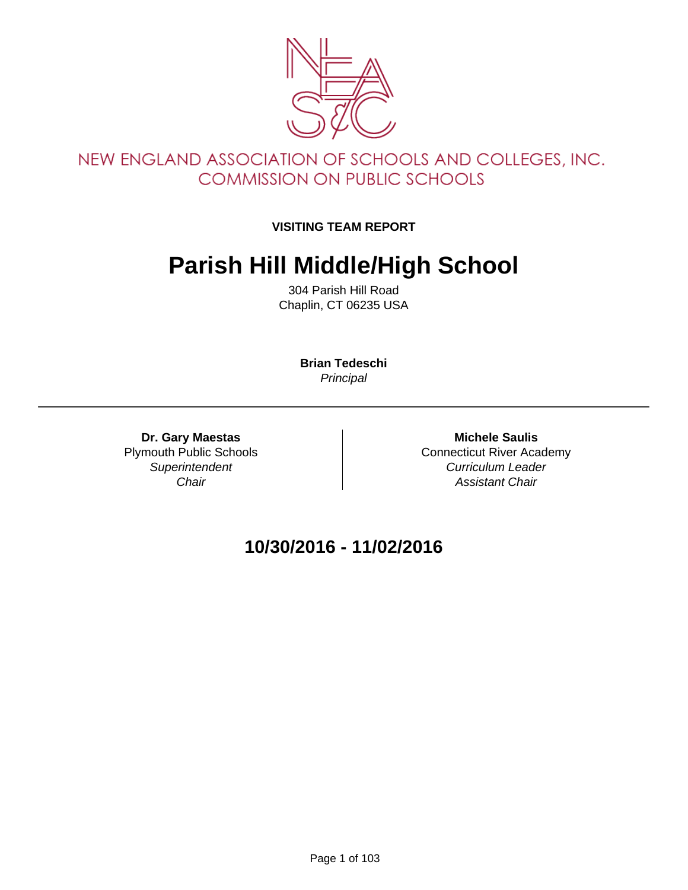

#### NEW ENGLAND ASSOCIATION OF SCHOOLS AND COLLEGES, INC. **COMMISSION ON PUBLIC SCHOOLS**

#### **VISITING TEAM REPORT**

## **Parish Hill Middle/High School**

304 Parish Hill Road Chaplin, CT 06235 USA

> **Brian Tedeschi Principal**

**Dr. Gary Maestas** Plymouth Public Schools **Superintendent Chair** 

**Michele Saulis** Connecticut River Academy Curriculum Leader Assistant Chair

#### **10/30/2016 - 11/02/2016**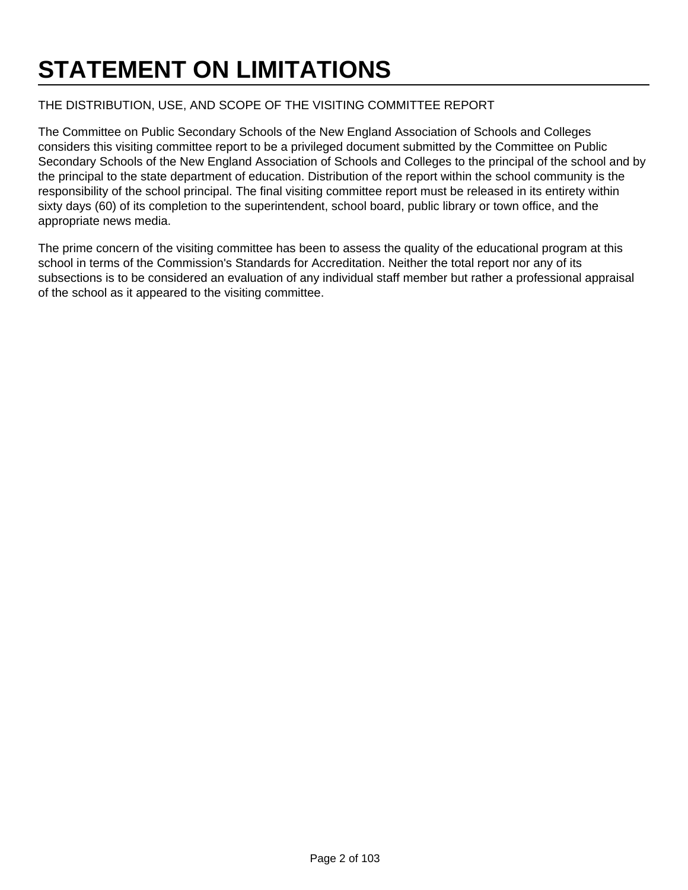# **STATEMENT ON LIMITATIONS**

#### THE DISTRIBUTION, USE, AND SCOPE OF THE VISITING COMMITTEE REPORT

The Committee on Public Secondary Schools of the New England Association of Schools and Colleges considers this visiting committee report to be a privileged document submitted by the Committee on Public Secondary Schools of the New England Association of Schools and Colleges to the principal of the school and by the principal to the state department of education. Distribution of the report within the school community is the responsibility of the school principal. The final visiting committee report must be released in its entirety within sixty days (60) of its completion to the superintendent, school board, public library or town office, and the appropriate news media.

The prime concern of the visiting committee has been to assess the quality of the educational program at this school in terms of the Commission's Standards for Accreditation. Neither the total report nor any of its subsections is to be considered an evaluation of any individual staff member but rather a professional appraisal of the school as it appeared to the visiting committee.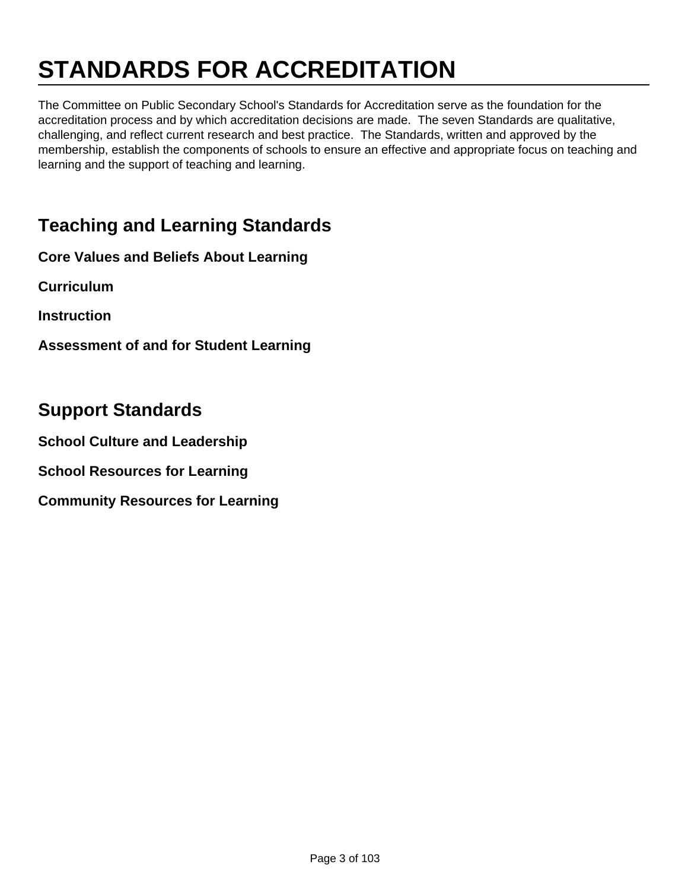# **STANDARDS FOR ACCREDITATION**

The Committee on Public Secondary School's Standards for Accreditation serve as the foundation for the accreditation process and by which accreditation decisions are made. The seven Standards are qualitative, challenging, and reflect current research and best practice. The Standards, written and approved by the membership, establish the components of schools to ensure an effective and appropriate focus on teaching and learning and the support of teaching and learning.

### **Teaching and Learning Standards**

**Core Values and Beliefs About Learning**

**Curriculum**

**Instruction**

**Assessment of and for Student Learning**

#### **Support Standards**

**School Culture and Leadership**

**School Resources for Learning**

**Community Resources for Learning**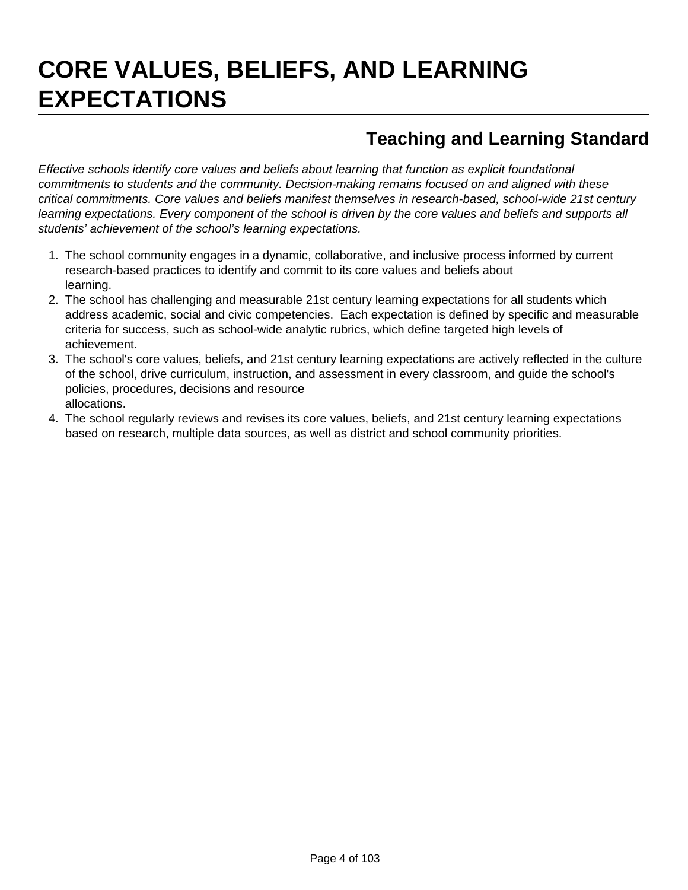# **CORE VALUES, BELIEFS, AND LEARNING EXPECTATIONS**

### **Teaching and Learning Standard**

Effective schools identify core values and beliefs about learning that function as explicit foundational commitments to students and the community. Decision-making remains focused on and aligned with these critical commitments. Core values and beliefs manifest themselves in research-based, school-wide 21st century learning expectations. Every component of the school is driven by the core values and beliefs and supports all students' achievement of the school's learning expectations.

- 1. The school community engages in a dynamic, collaborative, and inclusive process informed by current research-based practices to identify and commit to its core values and beliefs about learning.
- 2. The school has challenging and measurable 21st century learning expectations for all students which address academic, social and civic competencies. Each expectation is defined by specific and measurable criteria for success, such as school-wide analytic rubrics, which define targeted high levels of achievement.
- 3. The school's core values, beliefs, and 21st century learning expectations are actively reflected in the culture of the school, drive curriculum, instruction, and assessment in every classroom, and guide the school's policies, procedures, decisions and resource allocations.
- 4. The school regularly reviews and revises its core values, beliefs, and 21st century learning expectations based on research, multiple data sources, as well as district and school community priorities.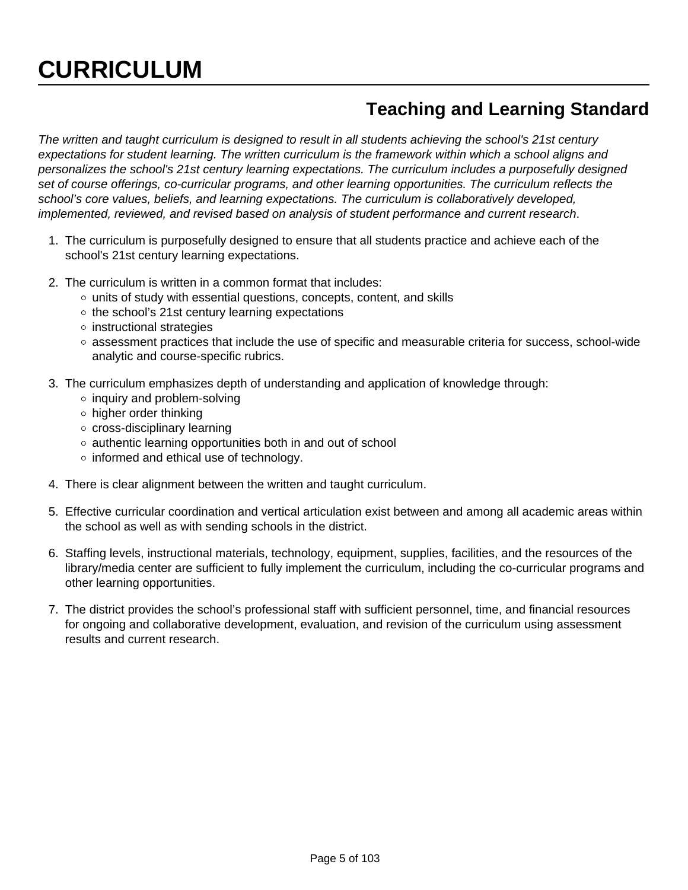### **Teaching and Learning Standard**

The written and taught curriculum is designed to result in all students achieving the school's 21st century expectations for student learning. The written curriculum is the framework within which a school aligns and personalizes the school's 21st century learning expectations. The curriculum includes a purposefully designed set of course offerings, co-curricular programs, and other learning opportunities. The curriculum reflects the school's core values, beliefs, and learning expectations. The curriculum is collaboratively developed, implemented, reviewed, and revised based on analysis of student performance and current research.

- 1. The curriculum is purposefully designed to ensure that all students practice and achieve each of the school's 21st century learning expectations.
- 2. The curriculum is written in a common format that includes:
	- $\circ$  units of study with essential questions, concepts, content, and skills
	- $\circ$  the school's 21st century learning expectations
	- $\circ$  instructional strategies
	- $\circ$  assessment practices that include the use of specific and measurable criteria for success, school-wide analytic and course-specific rubrics.
- 3. The curriculum emphasizes depth of understanding and application of knowledge through:
	- $\circ$  inquiry and problem-solving
	- $\circ$  higher order thinking
	- cross-disciplinary learning
	- $\circ$  authentic learning opportunities both in and out of school
	- o informed and ethical use of technology.
- 4. There is clear alignment between the written and taught curriculum.
- 5. Effective curricular coordination and vertical articulation exist between and among all academic areas within the school as well as with sending schools in the district.
- 6. Staffing levels, instructional materials, technology, equipment, supplies, facilities, and the resources of the library/media center are sufficient to fully implement the curriculum, including the co-curricular programs and other learning opportunities.
- 7. The district provides the school's professional staff with sufficient personnel, time, and financial resources for ongoing and collaborative development, evaluation, and revision of the curriculum using assessment results and current research.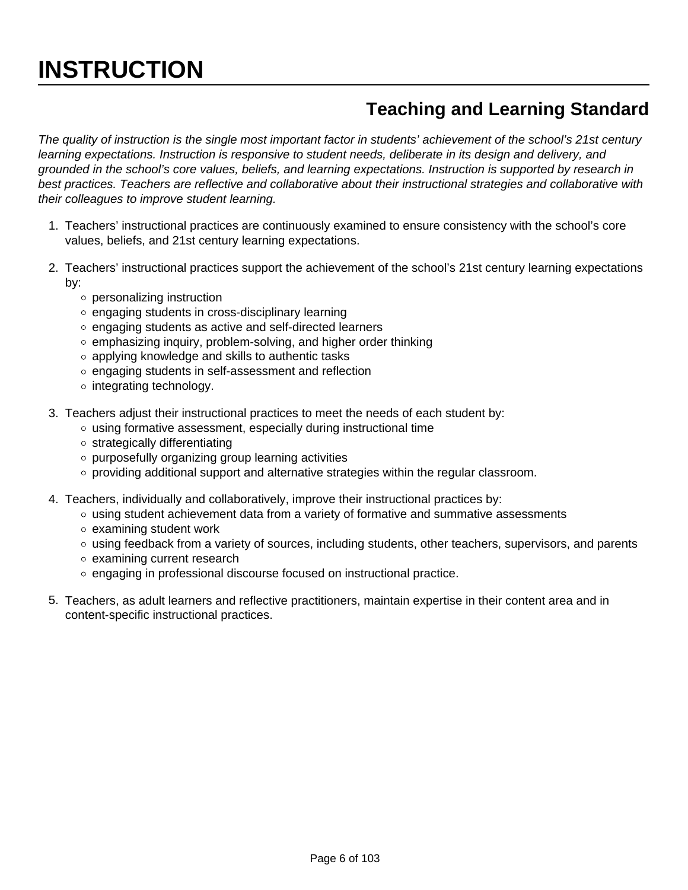# **INSTRUCTION**

### **Teaching and Learning Standard**

The quality of instruction is the single most important factor in students' achievement of the school's 21st century learning expectations. Instruction is responsive to student needs, deliberate in its design and delivery, and grounded in the school's core values, beliefs, and learning expectations. Instruction is supported by research in best practices. Teachers are reflective and collaborative about their instructional strategies and collaborative with their colleagues to improve student learning.

- 1. Teachers' instructional practices are continuously examined to ensure consistency with the school's core values, beliefs, and 21st century learning expectations.
- 2. Teachers' instructional practices support the achievement of the school's 21st century learning expectations by:
	- personalizing instruction
	- $\circ$  engaging students in cross-disciplinary learning
	- engaging students as active and self-directed learners
	- $\circ$  emphasizing inquiry, problem-solving, and higher order thinking
	- o applying knowledge and skills to authentic tasks
	- o engaging students in self-assessment and reflection
	- o integrating technology.
- 3. Teachers adjust their instructional practices to meet the needs of each student by:
	- using formative assessment, especially during instructional time
	- $\circ$  strategically differentiating
	- o purposefully organizing group learning activities
	- $\circ$  providing additional support and alternative strategies within the regular classroom.
- 4. Teachers, individually and collaboratively, improve their instructional practices by:
	- $\circ$  using student achievement data from a variety of formative and summative assessments
	- $\circ$  examining student work
	- using feedback from a variety of sources, including students, other teachers, supervisors, and parents
	- examining current research
	- engaging in professional discourse focused on instructional practice.
- 5. Teachers, as adult learners and reflective practitioners, maintain expertise in their content area and in content-specific instructional practices.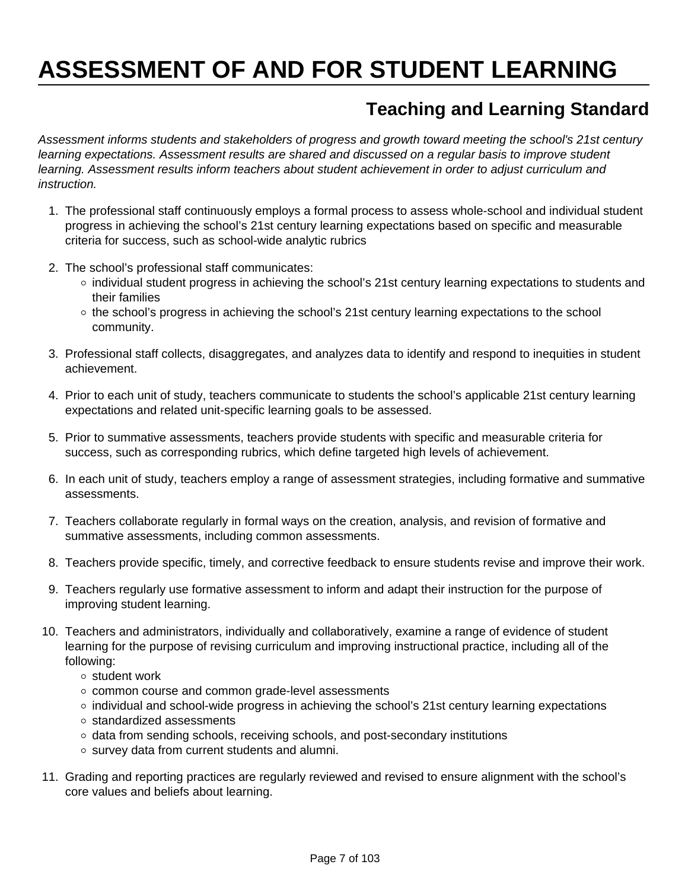# **ASSESSMENT OF AND FOR STUDENT LEARNING**

### **Teaching and Learning Standard**

Assessment informs students and stakeholders of progress and growth toward meeting the school's 21st century learning expectations. Assessment results are shared and discussed on a regular basis to improve student learning. Assessment results inform teachers about student achievement in order to adjust curriculum and instruction.

- 1. The professional staff continuously employs a formal process to assess whole-school and individual student progress in achieving the school's 21st century learning expectations based on specific and measurable criteria for success, such as school-wide analytic rubrics
- 2. The school's professional staff communicates:
	- o individual student progress in achieving the school's 21st century learning expectations to students and their families
	- $\circ$  the school's progress in achieving the school's 21st century learning expectations to the school community.
- 3. Professional staff collects, disaggregates, and analyzes data to identify and respond to inequities in student achievement.
- 4. Prior to each unit of study, teachers communicate to students the school's applicable 21st century learning expectations and related unit-specific learning goals to be assessed.
- 5. Prior to summative assessments, teachers provide students with specific and measurable criteria for success, such as corresponding rubrics, which define targeted high levels of achievement.
- 6. In each unit of study, teachers employ a range of assessment strategies, including formative and summative assessments.
- 7. Teachers collaborate regularly in formal ways on the creation, analysis, and revision of formative and summative assessments, including common assessments.
- 8. Teachers provide specific, timely, and corrective feedback to ensure students revise and improve their work.
- 9. Teachers regularly use formative assessment to inform and adapt their instruction for the purpose of improving student learning.
- 10. Teachers and administrators, individually and collaboratively, examine a range of evidence of student learning for the purpose of revising curriculum and improving instructional practice, including all of the following:
	- o student work
	- o common course and common grade-level assessments
	- $\circ$  individual and school-wide progress in achieving the school's 21st century learning expectations
	- o standardized assessments
	- o data from sending schools, receiving schools, and post-secondary institutions
	- o survey data from current students and alumni.
- 11. Grading and reporting practices are regularly reviewed and revised to ensure alignment with the school's core values and beliefs about learning.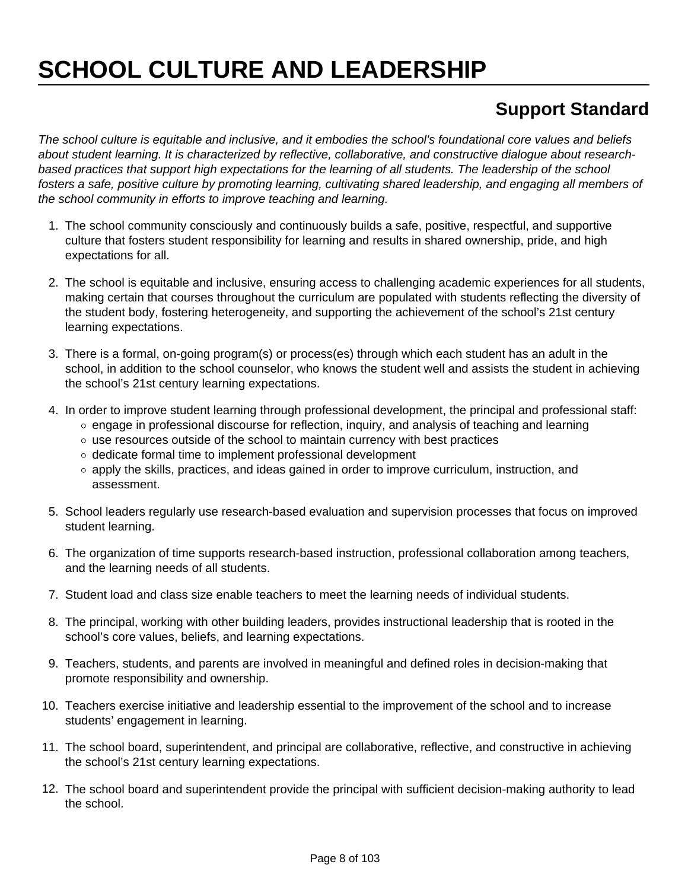# **SCHOOL CULTURE AND LEADERSHIP**

### **Support Standard**

The school culture is equitable and inclusive, and it embodies the school's foundational core values and beliefs about student learning. It is characterized by reflective, collaborative, and constructive dialogue about researchbased practices that support high expectations for the learning of all students. The leadership of the school fosters a safe, positive culture by promoting learning, cultivating shared leadership, and engaging all members of the school community in efforts to improve teaching and learning.

- 1. The school community consciously and continuously builds a safe, positive, respectful, and supportive culture that fosters student responsibility for learning and results in shared ownership, pride, and high expectations for all.
- 2. The school is equitable and inclusive, ensuring access to challenging academic experiences for all students, making certain that courses throughout the curriculum are populated with students reflecting the diversity of the student body, fostering heterogeneity, and supporting the achievement of the school's 21st century learning expectations.
- 3. There is a formal, on-going program(s) or process(es) through which each student has an adult in the school, in addition to the school counselor, who knows the student well and assists the student in achieving the school's 21st century learning expectations.
- 4. In order to improve student learning through professional development, the principal and professional staff:
	- o engage in professional discourse for reflection, inquiry, and analysis of teaching and learning
	- $\circ$  use resources outside of the school to maintain currency with best practices
	- o dedicate formal time to implement professional development
	- o apply the skills, practices, and ideas gained in order to improve curriculum, instruction, and assessment.
- 5. School leaders regularly use research-based evaluation and supervision processes that focus on improved student learning.
- 6. The organization of time supports research-based instruction, professional collaboration among teachers, and the learning needs of all students.
- 7. Student load and class size enable teachers to meet the learning needs of individual students.
- 8. The principal, working with other building leaders, provides instructional leadership that is rooted in the school's core values, beliefs, and learning expectations.
- 9. Teachers, students, and parents are involved in meaningful and defined roles in decision-making that promote responsibility and ownership.
- 10. Teachers exercise initiative and leadership essential to the improvement of the school and to increase students' engagement in learning.
- 11. The school board, superintendent, and principal are collaborative, reflective, and constructive in achieving the school's 21st century learning expectations.
- 12. The school board and superintendent provide the principal with sufficient decision-making authority to lead the school.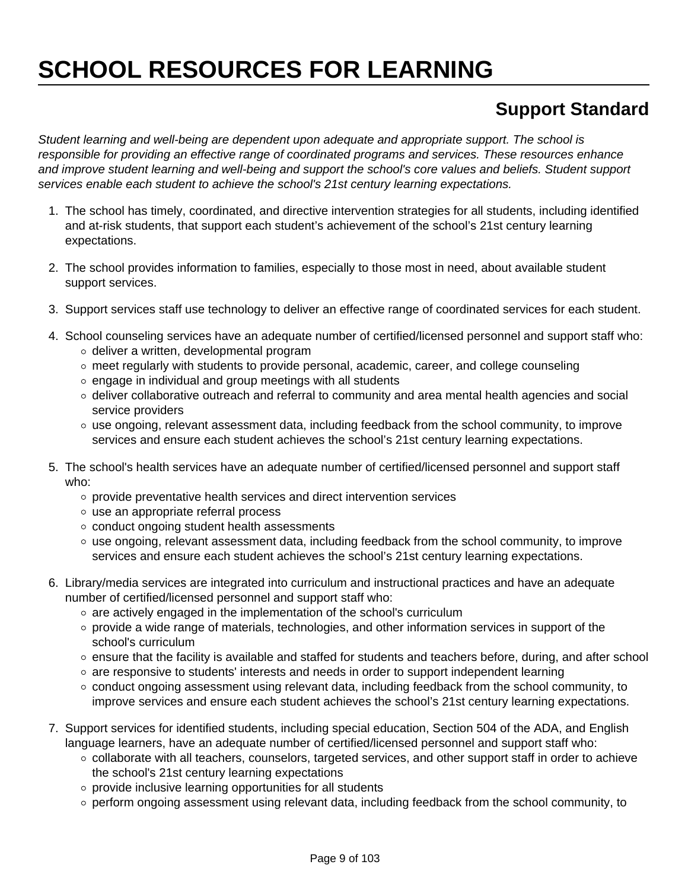# **SCHOOL RESOURCES FOR LEARNING**

### **Support Standard**

Student learning and well-being are dependent upon adequate and appropriate support. The school is responsible for providing an effective range of coordinated programs and services. These resources enhance and improve student learning and well-being and support the school's core values and beliefs. Student support services enable each student to achieve the school's 21st century learning expectations.

- 1. The school has timely, coordinated, and directive intervention strategies for all students, including identified and at-risk students, that support each student's achievement of the school's 21st century learning expectations.
- 2. The school provides information to families, especially to those most in need, about available student support services.
- 3. Support services staff use technology to deliver an effective range of coordinated services for each student.
- 4. School counseling services have an adequate number of certified/licensed personnel and support staff who:
	- $\circ$  deliver a written, developmental program
	- $\circ$  meet regularly with students to provide personal, academic, career, and college counseling
	- $\circ$  engage in individual and group meetings with all students
	- o deliver collaborative outreach and referral to community and area mental health agencies and social service providers
	- use ongoing, relevant assessment data, including feedback from the school community, to improve services and ensure each student achieves the school's 21st century learning expectations.
- 5. The school's health services have an adequate number of certified/licensed personnel and support staff who:
	- $\circ$  provide preventative health services and direct intervention services
	- use an appropriate referral process
	- conduct ongoing student health assessments
	- o use ongoing, relevant assessment data, including feedback from the school community, to improve services and ensure each student achieves the school's 21st century learning expectations.
- 6. Library/media services are integrated into curriculum and instructional practices and have an adequate number of certified/licensed personnel and support staff who:
	- $\circ$  are actively engaged in the implementation of the school's curriculum
	- $\circ$  provide a wide range of materials, technologies, and other information services in support of the school's curriculum
	- $\circ$  ensure that the facility is available and staffed for students and teachers before, during, and after school
	- $\circ$  are responsive to students' interests and needs in order to support independent learning
	- $\circ$  conduct ongoing assessment using relevant data, including feedback from the school community, to improve services and ensure each student achieves the school's 21st century learning expectations.
- 7. Support services for identified students, including special education, Section 504 of the ADA, and English language learners, have an adequate number of certified/licensed personnel and support staff who:
	- o collaborate with all teachers, counselors, targeted services, and other support staff in order to achieve the school's 21st century learning expectations
	- $\circ$  provide inclusive learning opportunities for all students
	- $\circ$  perform ongoing assessment using relevant data, including feedback from the school community, to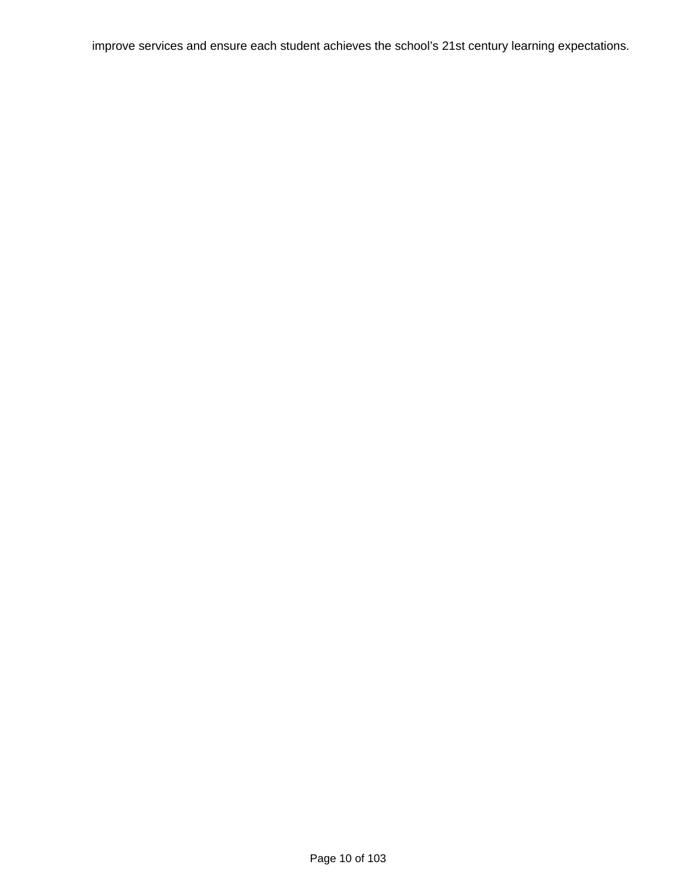improve services and ensure each student achieves the school's 21st century learning expectations.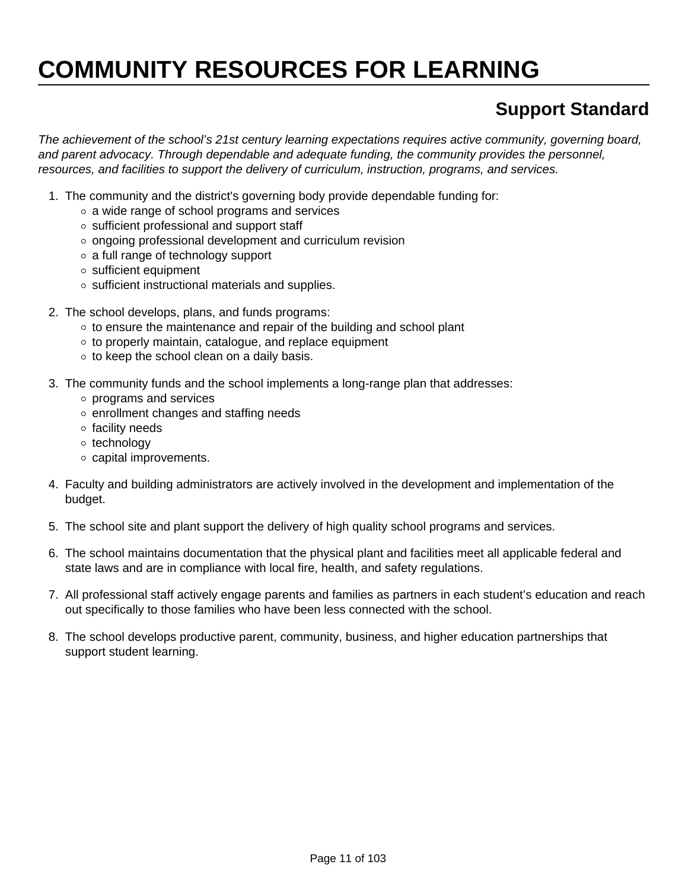# **COMMUNITY RESOURCES FOR LEARNING**

### **Support Standard**

The achievement of the school's 21st century learning expectations requires active community, governing board, and parent advocacy. Through dependable and adequate funding, the community provides the personnel, resources, and facilities to support the delivery of curriculum, instruction, programs, and services.

- 1. The community and the district's governing body provide dependable funding for:
	- $\circ$  a wide range of school programs and services
	- $\circ$  sufficient professional and support staff
	- o ongoing professional development and curriculum revision
	- a full range of technology support
	- sufficient equipment
	- $\circ$  sufficient instructional materials and supplies.
- 2. The school develops, plans, and funds programs:
	- $\circ$  to ensure the maintenance and repair of the building and school plant
	- $\circ$  to properly maintain, catalogue, and replace equipment
	- $\circ$  to keep the school clean on a daily basis.
- 3. The community funds and the school implements a long-range plan that addresses:
	- programs and services
	- o enrollment changes and staffing needs
	- o facility needs
	- o technology
	- capital improvements.
- 4. Faculty and building administrators are actively involved in the development and implementation of the budget.
- 5. The school site and plant support the delivery of high quality school programs and services.
- 6. The school maintains documentation that the physical plant and facilities meet all applicable federal and state laws and are in compliance with local fire, health, and safety regulations.
- 7. All professional staff actively engage parents and families as partners in each student's education and reach out specifically to those families who have been less connected with the school.
- 8. The school develops productive parent, community, business, and higher education partnerships that support student learning.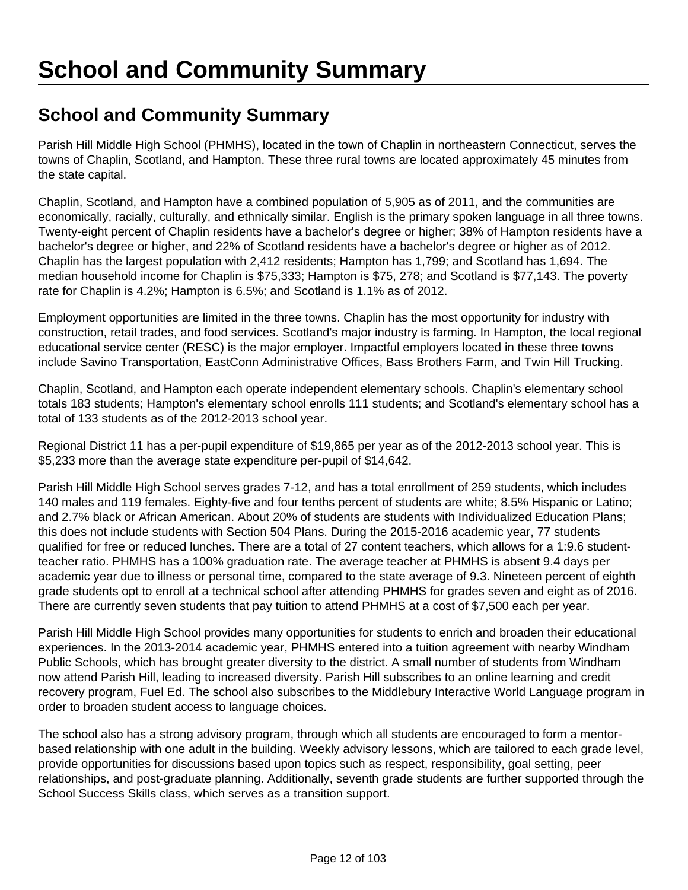### **School and Community Summary**

Parish Hill Middle High School (PHMHS), located in the town of Chaplin in northeastern Connecticut, serves the towns of Chaplin, Scotland, and Hampton. These three rural towns are located approximately 45 minutes from the state capital.

Chaplin, Scotland, and Hampton have a combined population of 5,905 as of 2011, and the communities are economically, racially, culturally, and ethnically similar. English is the primary spoken language in all three towns. Twenty-eight percent of Chaplin residents have a bachelor's degree or higher; 38% of Hampton residents have a bachelor's degree or higher, and 22% of Scotland residents have a bachelor's degree or higher as of 2012. Chaplin has the largest population with 2,412 residents; Hampton has 1,799; and Scotland has 1,694. The median household income for Chaplin is \$75,333; Hampton is \$75, 278; and Scotland is \$77,143. The poverty rate for Chaplin is 4.2%; Hampton is 6.5%; and Scotland is 1.1% as of 2012.

Employment opportunities are limited in the three towns. Chaplin has the most opportunity for industry with construction, retail trades, and food services. Scotland's major industry is farming. In Hampton, the local regional educational service center (RESC) is the major employer. Impactful employers located in these three towns include Savino Transportation, EastConn Administrative Offices, Bass Brothers Farm, and Twin Hill Trucking.

Chaplin, Scotland, and Hampton each operate independent elementary schools. Chaplin's elementary school totals 183 students; Hampton's elementary school enrolls 111 students; and Scotland's elementary school has a total of 133 students as of the 2012-2013 school year.

Regional District 11 has a per-pupil expenditure of \$19,865 per year as of the 2012-2013 school year. This is \$5,233 more than the average state expenditure per-pupil of \$14,642.

Parish Hill Middle High School serves grades 7-12, and has a total enrollment of 259 students, which includes 140 males and 119 females. Eighty-five and four tenths percent of students are white; 8.5% Hispanic or Latino; and 2.7% black or African American. About 20% of students are students with Individualized Education Plans; this does not include students with Section 504 Plans. During the 2015-2016 academic year, 77 students qualified for free or reduced lunches. There are a total of 27 content teachers, which allows for a 1:9.6 studentteacher ratio. PHMHS has a 100% graduation rate. The average teacher at PHMHS is absent 9.4 days per academic year due to illness or personal time, compared to the state average of 9.3. Nineteen percent of eighth grade students opt to enroll at a technical school after attending PHMHS for grades seven and eight as of 2016. There are currently seven students that pay tuition to attend PHMHS at a cost of \$7,500 each per year.

Parish Hill Middle High School provides many opportunities for students to enrich and broaden their educational experiences. In the 2013-2014 academic year, PHMHS entered into a tuition agreement with nearby Windham Public Schools, which has brought greater diversity to the district. A small number of students from Windham now attend Parish Hill, leading to increased diversity. Parish Hill subscribes to an online learning and credit recovery program, Fuel Ed. The school also subscribes to the Middlebury Interactive World Language program in order to broaden student access to language choices.

The school also has a strong advisory program, through which all students are encouraged to form a mentorbased relationship with one adult in the building. Weekly advisory lessons, which are tailored to each grade level, provide opportunities for discussions based upon topics such as respect, responsibility, goal setting, peer relationships, and post-graduate planning. Additionally, seventh grade students are further supported through the School Success Skills class, which serves as a transition support.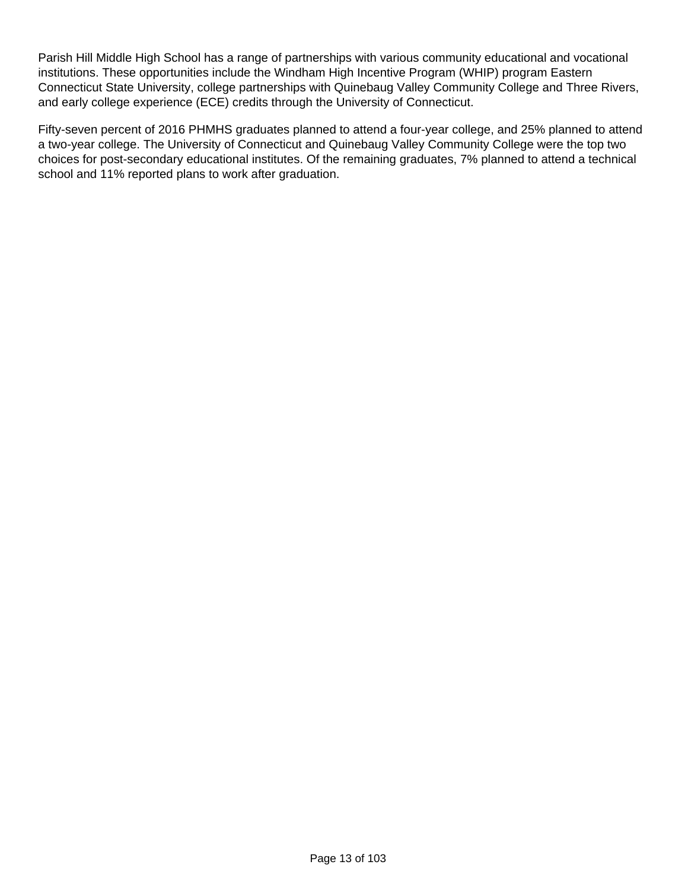Parish Hill Middle High School has a range of partnerships with various community educational and vocational institutions. These opportunities include the Windham High Incentive Program (WHIP) program Eastern Connecticut State University, college partnerships with Quinebaug Valley Community College and Three Rivers, and early college experience (ECE) credits through the University of Connecticut.

Fifty-seven percent of 2016 PHMHS graduates planned to attend a four-year college, and 25% planned to attend a two-year college. The University of Connecticut and Quinebaug Valley Community College were the top two choices for post-secondary educational institutes. Of the remaining graduates, 7% planned to attend a technical school and 11% reported plans to work after graduation.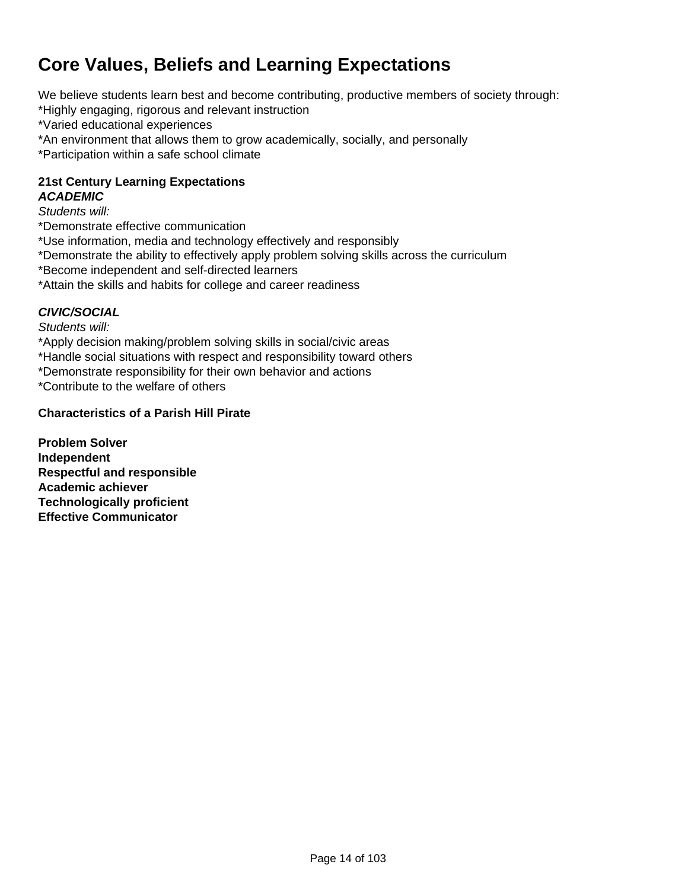### **Core Values, Beliefs and Learning Expectations**

We believe students learn best and become contributing, productive members of society through:

- \*Highly engaging, rigorous and relevant instruction
- \*Varied educational experiences
- \*An environment that allows them to grow academically, socially, and personally \*Participation within a safe school climate

#### **21st Century Learning Expectations ACADEMIC**

Students will:

- \*Demonstrate effective communication
- \*Use information, media and technology effectively and responsibly
- \*Demonstrate the ability to effectively apply problem solving skills across the curriculum
- \*Become independent and self-directed learners
- \*Attain the skills and habits for college and career readiness

#### **CIVIC/SOCIAL**

Students will:

\*Apply decision making/problem solving skills in social/civic areas

- \*Handle social situations with respect and responsibility toward others
- \*Demonstrate responsibility for their own behavior and actions

\*Contribute to the welfare of others

#### **Characteristics of a Parish Hill Pirate**

**Problem Solver Independent Respectful and responsible Academic achiever Technologically proficient Effective Communicator**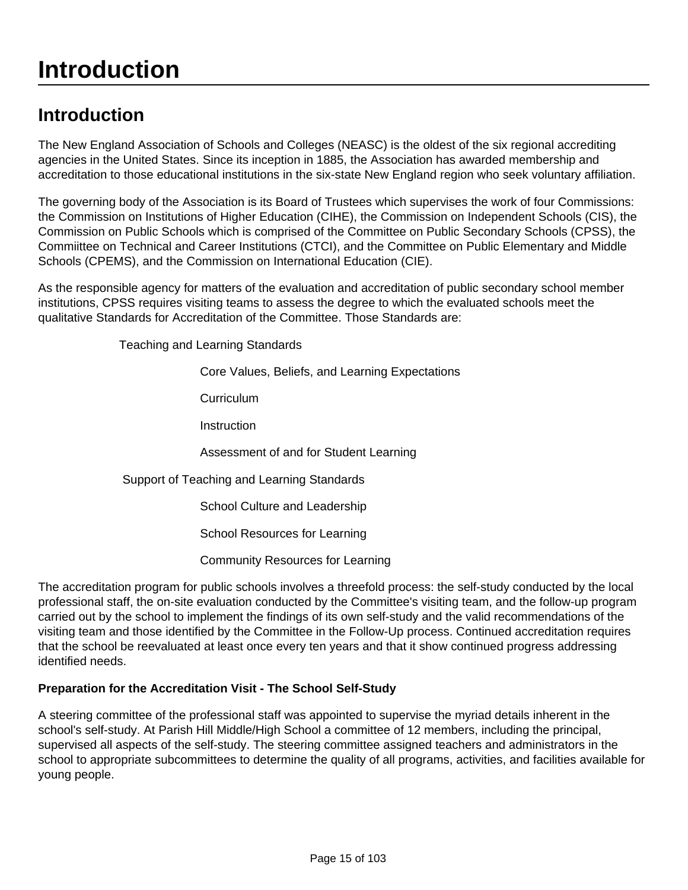## **Introduction**

### **Introduction**

The New England Association of Schools and Colleges (NEASC) is the oldest of the six regional accrediting agencies in the United States. Since its inception in 1885, the Association has awarded membership and accreditation to those educational institutions in the six-state New England region who seek voluntary affiliation.

The governing body of the Association is its Board of Trustees which supervises the work of four Commissions: the Commission on Institutions of Higher Education (CIHE), the Commission on Independent Schools (CIS), the Commission on Public Schools which is comprised of the Committee on Public Secondary Schools (CPSS), the Commiittee on Technical and Career Institutions (CTCI), and the Committee on Public Elementary and Middle Schools (CPEMS), and the Commission on International Education (CIE).

As the responsible agency for matters of the evaluation and accreditation of public secondary school member institutions, CPSS requires visiting teams to assess the degree to which the evaluated schools meet the qualitative Standards for Accreditation of the Committee. Those Standards are:

Teaching and Learning Standards

Core Values, Beliefs, and Learning Expectations

**Curriculum** 

**Instruction** 

Assessment of and for Student Learning

#### Support of Teaching and Learning Standards

School Culture and Leadership

School Resources for Learning

Community Resources for Learning

The accreditation program for public schools involves a threefold process: the self-study conducted by the local professional staff, the on-site evaluation conducted by the Committee's visiting team, and the follow-up program carried out by the school to implement the findings of its own self-study and the valid recommendations of the visiting team and those identified by the Committee in the Follow-Up process. Continued accreditation requires that the school be reevaluated at least once every ten years and that it show continued progress addressing identified needs.

#### **Preparation for the Accreditation Visit - The School Self-Study**

A steering committee of the professional staff was appointed to supervise the myriad details inherent in the school's self-study. At Parish Hill Middle/High School a committee of 12 members, including the principal, supervised all aspects of the self-study. The steering committee assigned teachers and administrators in the school to appropriate subcommittees to determine the quality of all programs, activities, and facilities available for young people.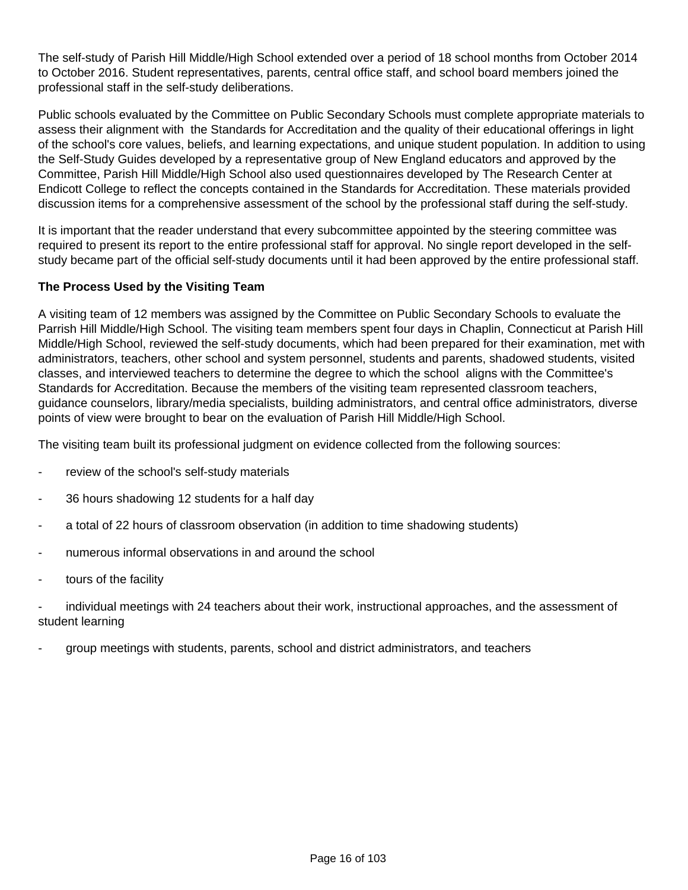The self-study of Parish Hill Middle/High School extended over a period of 18 school months from October 2014 to October 2016. Student representatives, parents, central office staff, and school board members joined the professional staff in the self-study deliberations.

Public schools evaluated by the Committee on Public Secondary Schools must complete appropriate materials to assess their alignment with the Standards for Accreditation and the quality of their educational offerings in light of the school's core values, beliefs, and learning expectations, and unique student population. In addition to using the Self-Study Guides developed by a representative group of New England educators and approved by the Committee, Parish Hill Middle/High School also used questionnaires developed by The Research Center at Endicott College to reflect the concepts contained in the Standards for Accreditation. These materials provided discussion items for a comprehensive assessment of the school by the professional staff during the self-study.

It is important that the reader understand that every subcommittee appointed by the steering committee was required to present its report to the entire professional staff for approval. No single report developed in the selfstudy became part of the official self-study documents until it had been approved by the entire professional staff.

#### **The Process Used by the Visiting Team**

A visiting team of 12 members was assigned by the Committee on Public Secondary Schools to evaluate the Parrish Hill Middle/High School. The visiting team members spent four days in Chaplin, Connecticut at Parish Hill Middle/High School, reviewed the self-study documents, which had been prepared for their examination, met with administrators, teachers, other school and system personnel, students and parents, shadowed students, visited classes, and interviewed teachers to determine the degree to which the school aligns with the Committee's Standards for Accreditation. Because the members of the visiting team represented classroom teachers, guidance counselors, library/media specialists, building administrators, and central office administrators, diverse points of view were brought to bear on the evaluation of Parish Hill Middle/High School.

The visiting team built its professional judgment on evidence collected from the following sources:

- review of the school's self-study materials
- 36 hours shadowing 12 students for a half day
- a total of 22 hours of classroom observation (in addition to time shadowing students)
- numerous informal observations in and around the school
- tours of the facility

- individual meetings with 24 teachers about their work, instructional approaches, and the assessment of student learning

- group meetings with students, parents, school and district administrators, and teachers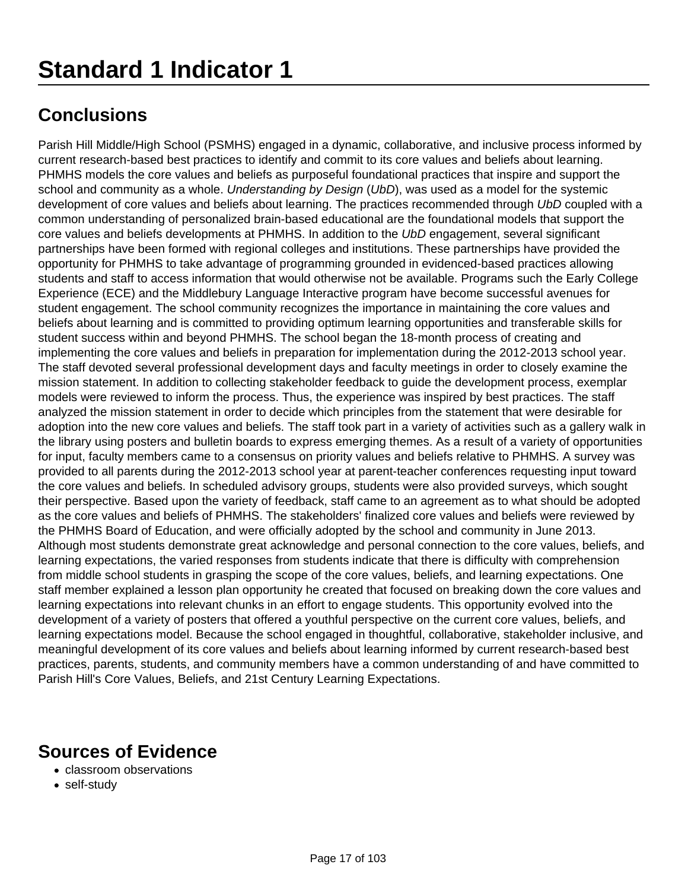Parish Hill Middle/High School (PSMHS) engaged in a dynamic, collaborative, and inclusive process informed by current research-based best practices to identify and commit to its core values and beliefs about learning. PHMHS models the core values and beliefs as purposeful foundational practices that inspire and support the school and community as a whole. Understanding by Design (UbD), was used as a model for the systemic development of core values and beliefs about learning. The practices recommended through UbD coupled with a common understanding of personalized brain-based educational are the foundational models that support the core values and beliefs developments at PHMHS. In addition to the UbD engagement, several significant partnerships have been formed with regional colleges and institutions. These partnerships have provided the opportunity for PHMHS to take advantage of programming grounded in evidenced-based practices allowing students and staff to access information that would otherwise not be available. Programs such the Early College Experience (ECE) and the Middlebury Language Interactive program have become successful avenues for student engagement. The school community recognizes the importance in maintaining the core values and beliefs about learning and is committed to providing optimum learning opportunities and transferable skills for student success within and beyond PHMHS. The school began the 18-month process of creating and implementing the core values and beliefs in preparation for implementation during the 2012-2013 school year. The staff devoted several professional development days and faculty meetings in order to closely examine the mission statement. In addition to collecting stakeholder feedback to guide the development process, exemplar models were reviewed to inform the process. Thus, the experience was inspired by best practices. The staff analyzed the mission statement in order to decide which principles from the statement that were desirable for adoption into the new core values and beliefs. The staff took part in a variety of activities such as a gallery walk in the library using posters and bulletin boards to express emerging themes. As a result of a variety of opportunities for input, faculty members came to a consensus on priority values and beliefs relative to PHMHS. A survey was provided to all parents during the 2012-2013 school year at parent-teacher conferences requesting input toward the core values and beliefs. In scheduled advisory groups, students were also provided surveys, which sought their perspective. Based upon the variety of feedback, staff came to an agreement as to what should be adopted as the core values and beliefs of PHMHS. The stakeholders' finalized core values and beliefs were reviewed by the PHMHS Board of Education, and were officially adopted by the school and community in June 2013. Although most students demonstrate great acknowledge and personal connection to the core values, beliefs, and learning expectations, the varied responses from students indicate that there is difficulty with comprehension from middle school students in grasping the scope of the core values, beliefs, and learning expectations. One staff member explained a lesson plan opportunity he created that focused on breaking down the core values and learning expectations into relevant chunks in an effort to engage students. This opportunity evolved into the development of a variety of posters that offered a youthful perspective on the current core values, beliefs, and learning expectations model. Because the school engaged in thoughtful, collaborative, stakeholder inclusive, and meaningful development of its core values and beliefs about learning informed by current research-based best practices, parents, students, and community members have a common understanding of and have committed to Parish Hill's Core Values, Beliefs, and 21st Century Learning Expectations.

- classroom observations
- self-study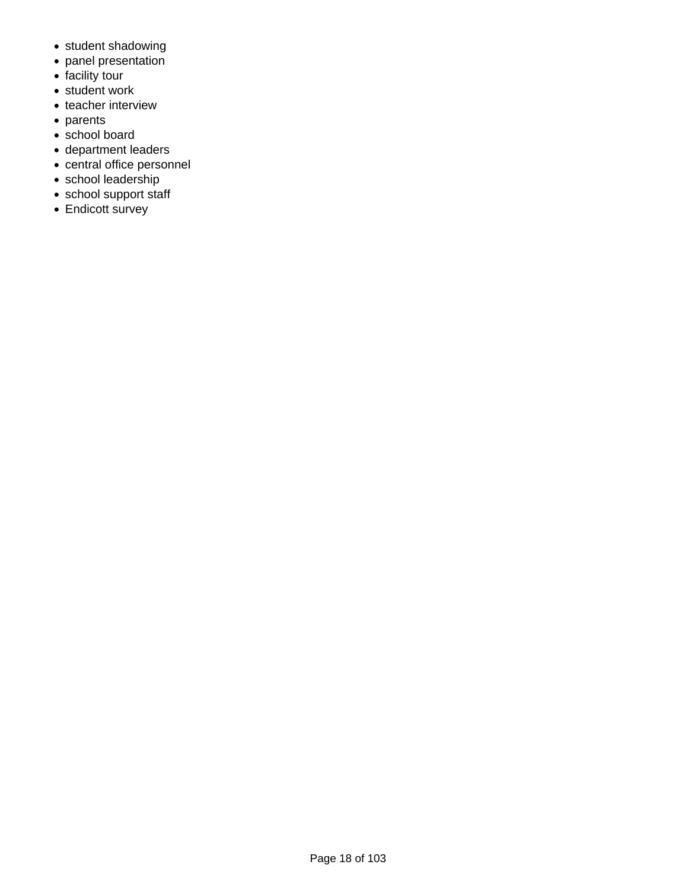- student shadowing
- panel presentation
- facility tour
- student work
- teacher interview
- parents
- school board
- department leaders
- central office personnel
- school leadership
- school support staff
- Endicott survey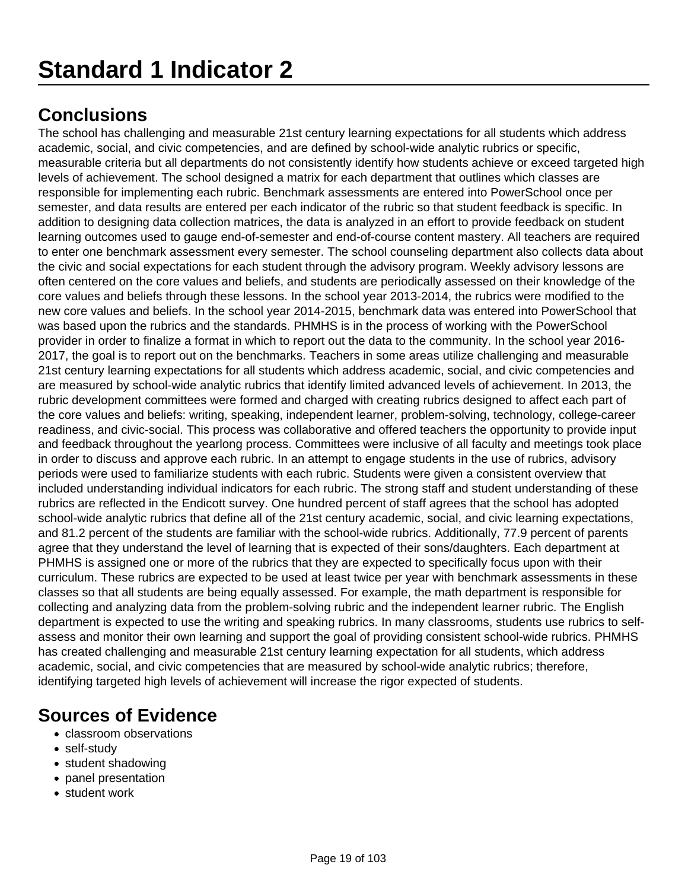The school has challenging and measurable 21st century learning expectations for all students which address academic, social, and civic competencies, and are defined by school-wide analytic rubrics or specific, measurable criteria but all departments do not consistently identify how students achieve or exceed targeted high levels of achievement. The school designed a matrix for each department that outlines which classes are responsible for implementing each rubric. Benchmark assessments are entered into PowerSchool once per semester, and data results are entered per each indicator of the rubric so that student feedback is specific. In addition to designing data collection matrices, the data is analyzed in an effort to provide feedback on student learning outcomes used to gauge end-of-semester and end-of-course content mastery. All teachers are required to enter one benchmark assessment every semester. The school counseling department also collects data about the civic and social expectations for each student through the advisory program. Weekly advisory lessons are often centered on the core values and beliefs, and students are periodically assessed on their knowledge of the core values and beliefs through these lessons. In the school year 2013-2014, the rubrics were modified to the new core values and beliefs. In the school year 2014-2015, benchmark data was entered into PowerSchool that was based upon the rubrics and the standards. PHMHS is in the process of working with the PowerSchool provider in order to finalize a format in which to report out the data to the community. In the school year 2016- 2017, the goal is to report out on the benchmarks. Teachers in some areas utilize challenging and measurable 21st century learning expectations for all students which address academic, social, and civic competencies and are measured by school-wide analytic rubrics that identify limited advanced levels of achievement. In 2013, the rubric development committees were formed and charged with creating rubrics designed to affect each part of the core values and beliefs: writing, speaking, independent learner, problem-solving, technology, college-career readiness, and civic-social. This process was collaborative and offered teachers the opportunity to provide input and feedback throughout the yearlong process. Committees were inclusive of all faculty and meetings took place in order to discuss and approve each rubric. In an attempt to engage students in the use of rubrics, advisory periods were used to familiarize students with each rubric. Students were given a consistent overview that included understanding individual indicators for each rubric. The strong staff and student understanding of these rubrics are reflected in the Endicott survey. One hundred percent of staff agrees that the school has adopted school-wide analytic rubrics that define all of the 21st century academic, social, and civic learning expectations, and 81.2 percent of the students are familiar with the school-wide rubrics. Additionally, 77.9 percent of parents agree that they understand the level of learning that is expected of their sons/daughters. Each department at PHMHS is assigned one or more of the rubrics that they are expected to specifically focus upon with their curriculum. These rubrics are expected to be used at least twice per year with benchmark assessments in these classes so that all students are being equally assessed. For example, the math department is responsible for collecting and analyzing data from the problem-solving rubric and the independent learner rubric. The English department is expected to use the writing and speaking rubrics. In many classrooms, students use rubrics to selfassess and monitor their own learning and support the goal of providing consistent school-wide rubrics. PHMHS has created challenging and measurable 21st century learning expectation for all students, which address academic, social, and civic competencies that are measured by school-wide analytic rubrics; therefore, identifying targeted high levels of achievement will increase the rigor expected of students.

- classroom observations
- self-study
- student shadowing
- panel presentation
- student work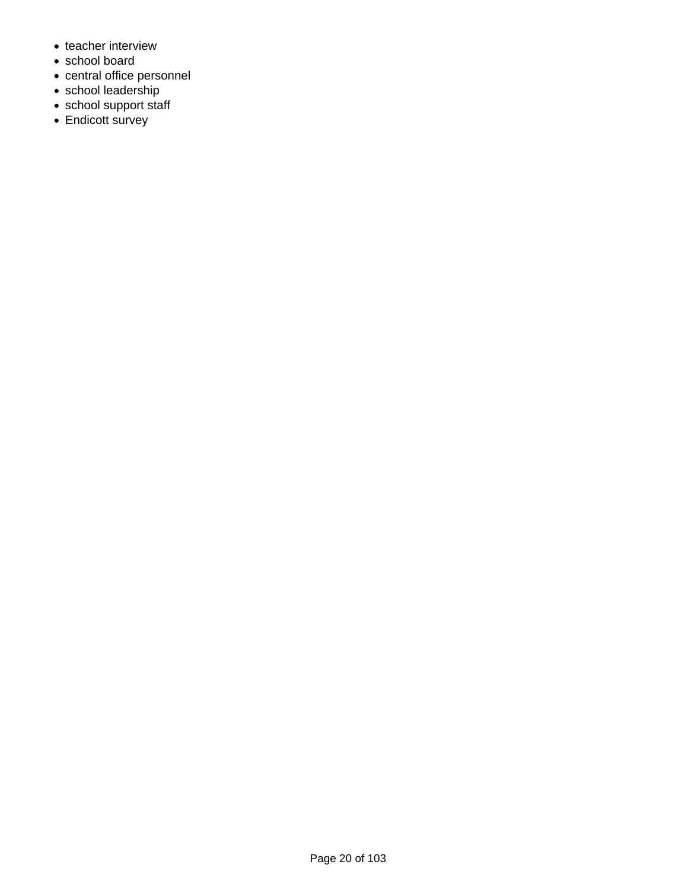- teacher interview
- school board
- central office personnel
- school leadership
- school support staff
- Endicott survey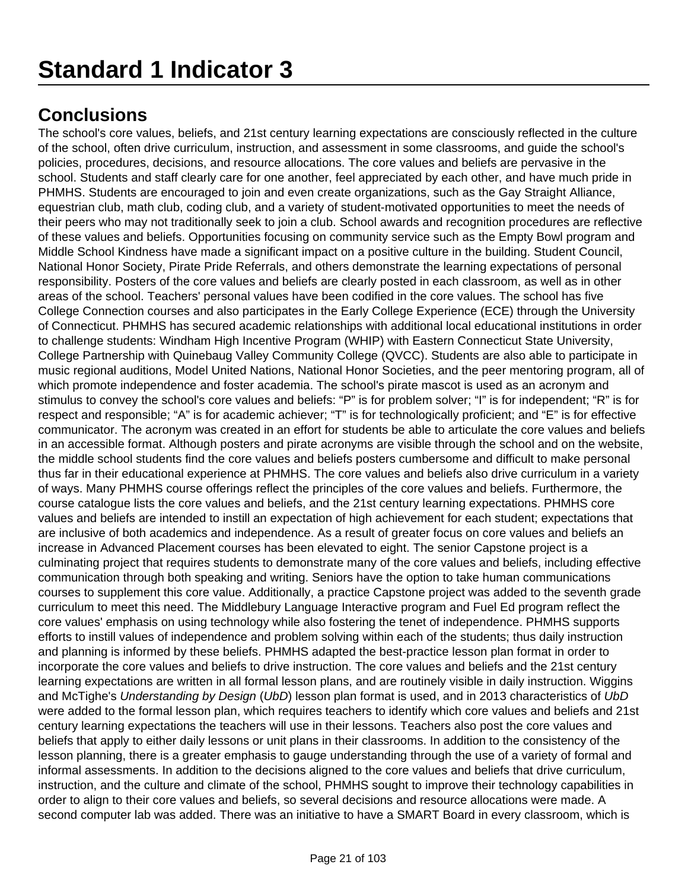The school's core values, beliefs, and 21st century learning expectations are consciously reflected in the culture of the school, often drive curriculum, instruction, and assessment in some classrooms, and guide the school's policies, procedures, decisions, and resource allocations. The core values and beliefs are pervasive in the school. Students and staff clearly care for one another, feel appreciated by each other, and have much pride in PHMHS. Students are encouraged to join and even create organizations, such as the Gay Straight Alliance, equestrian club, math club, coding club, and a variety of student-motivated opportunities to meet the needs of their peers who may not traditionally seek to join a club. School awards and recognition procedures are reflective of these values and beliefs. Opportunities focusing on community service such as the Empty Bowl program and Middle School Kindness have made a significant impact on a positive culture in the building. Student Council, National Honor Society, Pirate Pride Referrals, and others demonstrate the learning expectations of personal responsibility. Posters of the core values and beliefs are clearly posted in each classroom, as well as in other areas of the school. Teachers' personal values have been codified in the core values. The school has five College Connection courses and also participates in the Early College Experience (ECE) through the University of Connecticut. PHMHS has secured academic relationships with additional local educational institutions in order to challenge students: Windham High Incentive Program (WHIP) with Eastern Connecticut State University, College Partnership with Quinebaug Valley Community College (QVCC). Students are also able to participate in music regional auditions, Model United Nations, National Honor Societies, and the peer mentoring program, all of which promote independence and foster academia. The school's pirate mascot is used as an acronym and stimulus to convey the school's core values and beliefs: "P" is for problem solver; "I" is for independent; "R" is for respect and responsible; "A" is for academic achiever; "T" is for technologically proficient; and "E" is for effective communicator. The acronym was created in an effort for students be able to articulate the core values and beliefs in an accessible format. Although posters and pirate acronyms are visible through the school and on the website, the middle school students find the core values and beliefs posters cumbersome and difficult to make personal thus far in their educational experience at PHMHS. The core values and beliefs also drive curriculum in a variety of ways. Many PHMHS course offerings reflect the principles of the core values and beliefs. Furthermore, the course catalogue lists the core values and beliefs, and the 21st century learning expectations. PHMHS core values and beliefs are intended to instill an expectation of high achievement for each student; expectations that are inclusive of both academics and independence. As a result of greater focus on core values and beliefs an increase in Advanced Placement courses has been elevated to eight. The senior Capstone project is a culminating project that requires students to demonstrate many of the core values and beliefs, including effective communication through both speaking and writing. Seniors have the option to take human communications courses to supplement this core value. Additionally, a practice Capstone project was added to the seventh grade curriculum to meet this need. The Middlebury Language Interactive program and Fuel Ed program reflect the core values' emphasis on using technology while also fostering the tenet of independence. PHMHS supports efforts to instill values of independence and problem solving within each of the students; thus daily instruction and planning is informed by these beliefs. PHMHS adapted the best-practice lesson plan format in order to incorporate the core values and beliefs to drive instruction. The core values and beliefs and the 21st century learning expectations are written in all formal lesson plans, and are routinely visible in daily instruction. Wiggins and McTighe's Understanding by Design (UbD) lesson plan format is used, and in 2013 characteristics of UbD were added to the formal lesson plan, which requires teachers to identify which core values and beliefs and 21st century learning expectations the teachers will use in their lessons. Teachers also post the core values and beliefs that apply to either daily lessons or unit plans in their classrooms. In addition to the consistency of the lesson planning, there is a greater emphasis to gauge understanding through the use of a variety of formal and informal assessments. In addition to the decisions aligned to the core values and beliefs that drive curriculum, instruction, and the culture and climate of the school, PHMHS sought to improve their technology capabilities in order to align to their core values and beliefs, so several decisions and resource allocations were made. A second computer lab was added. There was an initiative to have a SMART Board in every classroom, which is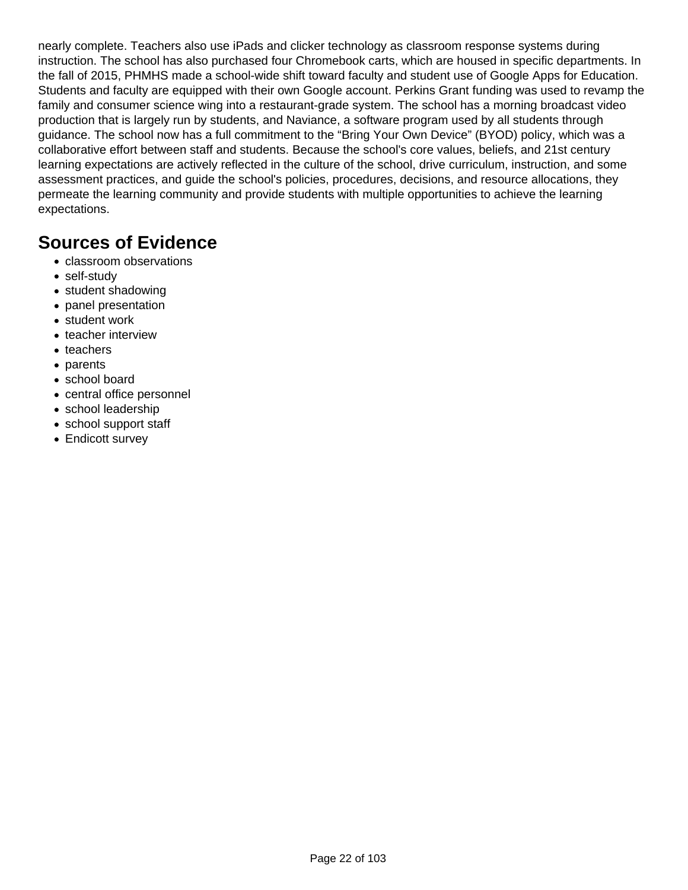nearly complete. Teachers also use iPads and clicker technology as classroom response systems during instruction. The school has also purchased four Chromebook carts, which are housed in specific departments. In the fall of 2015, PHMHS made a school-wide shift toward faculty and student use of Google Apps for Education. Students and faculty are equipped with their own Google account. Perkins Grant funding was used to revamp the family and consumer science wing into a restaurant-grade system. The school has a morning broadcast video production that is largely run by students, and Naviance, a software program used by all students through guidance. The school now has a full commitment to the "Bring Your Own Device" (BYOD) policy, which was a collaborative effort between staff and students. Because the school's core values, beliefs, and 21st century learning expectations are actively reflected in the culture of the school, drive curriculum, instruction, and some assessment practices, and guide the school's policies, procedures, decisions, and resource allocations, they permeate the learning community and provide students with multiple opportunities to achieve the learning expectations.

- classroom observations
- self-study
- student shadowing
- panel presentation
- student work
- teacher interview
- teachers
- parents
- school board
- central office personnel
- school leadership
- school support staff
- Endicott survey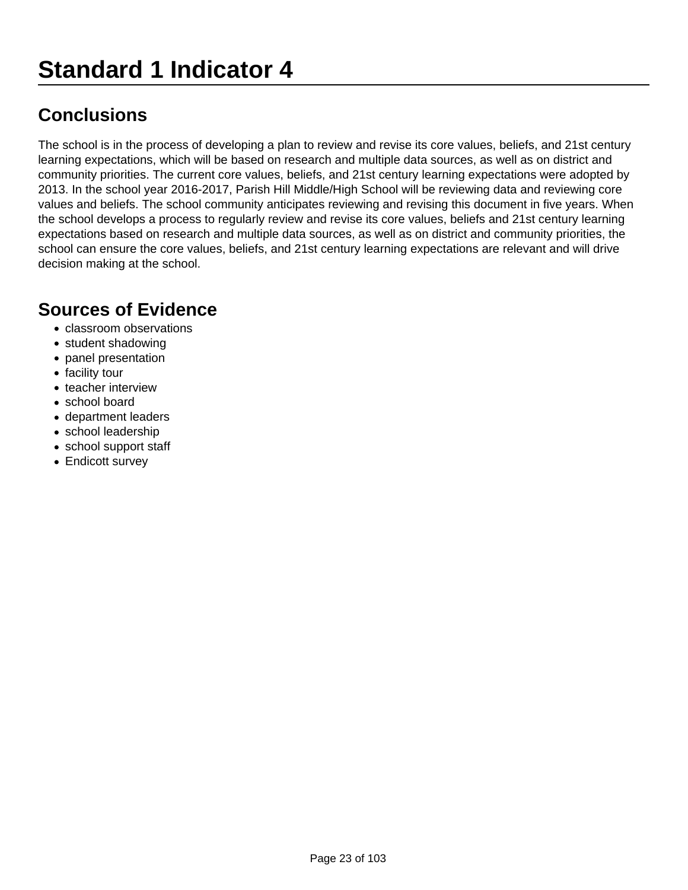## **Standard 1 Indicator 4**

### **Conclusions**

The school is in the process of developing a plan to review and revise its core values, beliefs, and 21st century learning expectations, which will be based on research and multiple data sources, as well as on district and community priorities. The current core values, beliefs, and 21st century learning expectations were adopted by 2013. In the school year 2016-2017, Parish Hill Middle/High School will be reviewing data and reviewing core values and beliefs. The school community anticipates reviewing and revising this document in five years. When the school develops a process to regularly review and revise its core values, beliefs and 21st century learning expectations based on research and multiple data sources, as well as on district and community priorities, the school can ensure the core values, beliefs, and 21st century learning expectations are relevant and will drive decision making at the school.

- classroom observations
- student shadowing
- panel presentation
- facility tour
- teacher interview
- school board
- department leaders
- school leadership
- school support staff
- Endicott survey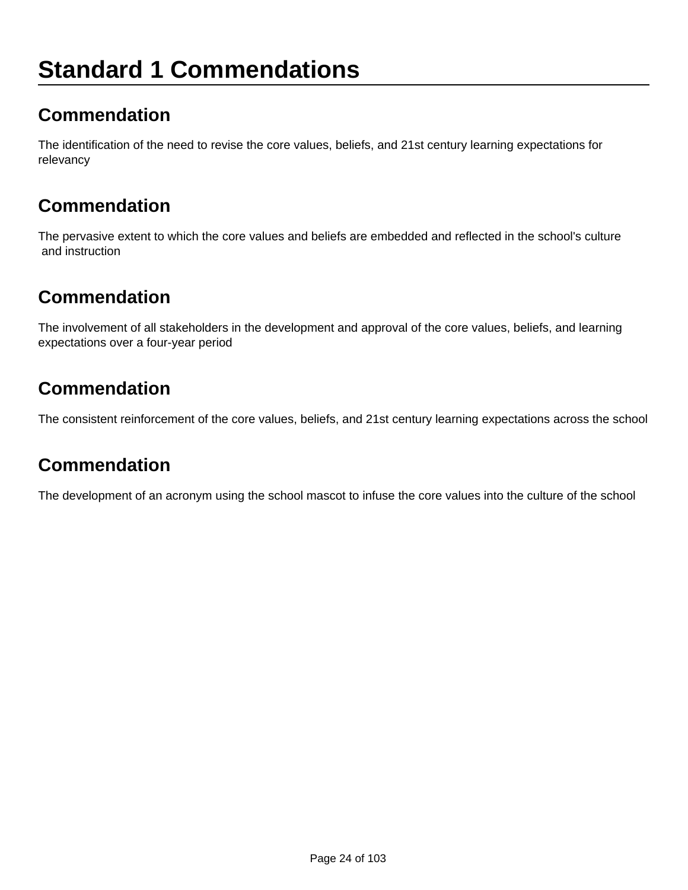# **Standard 1 Commendations**

### **Commendation**

The identification of the need to revise the core values, beliefs, and 21st century learning expectations for relevancy

### **Commendation**

The pervasive extent to which the core values and beliefs are embedded and reflected in the school's culture and instruction

### **Commendation**

The involvement of all stakeholders in the development and approval of the core values, beliefs, and learning expectations over a four-year period

### **Commendation**

The consistent reinforcement of the core values, beliefs, and 21st century learning expectations across the school

### **Commendation**

The development of an acronym using the school mascot to infuse the core values into the culture of the school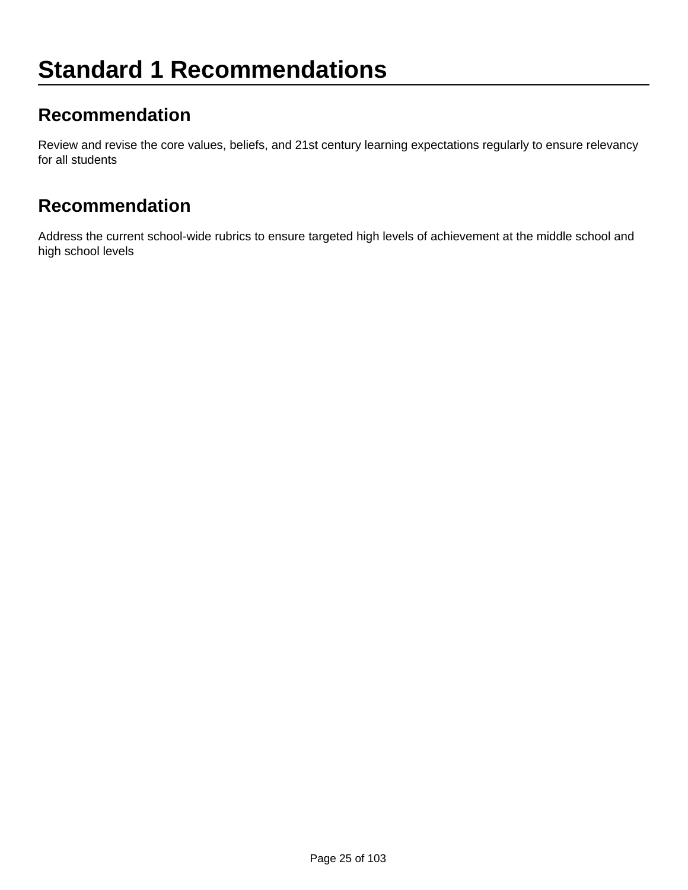### **Recommendation**

Review and revise the core values, beliefs, and 21st century learning expectations regularly to ensure relevancy for all students

#### **Recommendation**

Address the current school-wide rubrics to ensure targeted high levels of achievement at the middle school and high school levels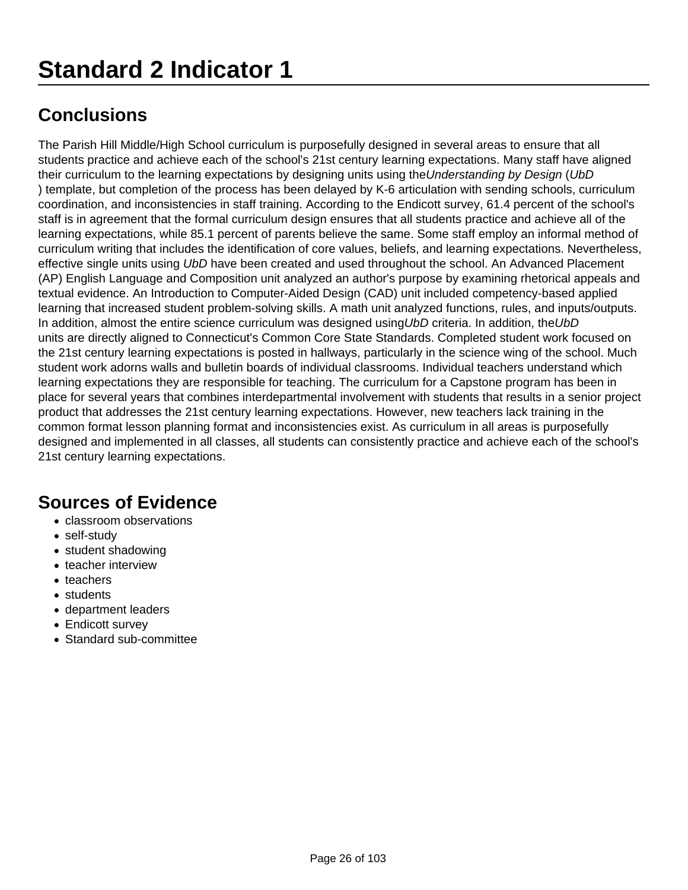The Parish Hill Middle/High School curriculum is purposefully designed in several areas to ensure that all students practice and achieve each of the school's 21st century learning expectations. Many staff have aligned their curriculum to the learning expectations by designing units using the Understanding by Design (UbD ) template, but completion of the process has been delayed by K-6 articulation with sending schools, curriculum coordination, and inconsistencies in staff training. According to the Endicott survey, 61.4 percent of the school's staff is in agreement that the formal curriculum design ensures that all students practice and achieve all of the learning expectations, while 85.1 percent of parents believe the same. Some staff employ an informal method of curriculum writing that includes the identification of core values, beliefs, and learning expectations. Nevertheless, effective single units using UbD have been created and used throughout the school. An Advanced Placement (AP) English Language and Composition unit analyzed an author's purpose by examining rhetorical appeals and textual evidence. An Introduction to Computer-Aided Design (CAD) unit included competency-based applied learning that increased student problem-solving skills. A math unit analyzed functions, rules, and inputs/outputs. In addition, almost the entire science curriculum was designed using UbD criteria. In addition, the UbD units are directly aligned to Connecticut's Common Core State Standards. Completed student work focused on the 21st century learning expectations is posted in hallways, particularly in the science wing of the school. Much student work adorns walls and bulletin boards of individual classrooms. Individual teachers understand which learning expectations they are responsible for teaching. The curriculum for a Capstone program has been in place for several years that combines interdepartmental involvement with students that results in a senior project product that addresses the 21st century learning expectations. However, new teachers lack training in the common format lesson planning format and inconsistencies exist. As curriculum in all areas is purposefully designed and implemented in all classes, all students can consistently practice and achieve each of the school's 21st century learning expectations.

- classroom observations
- self-study
- student shadowing
- teacher interview
- teachers
- students
- department leaders
- Endicott survey
- Standard sub-committee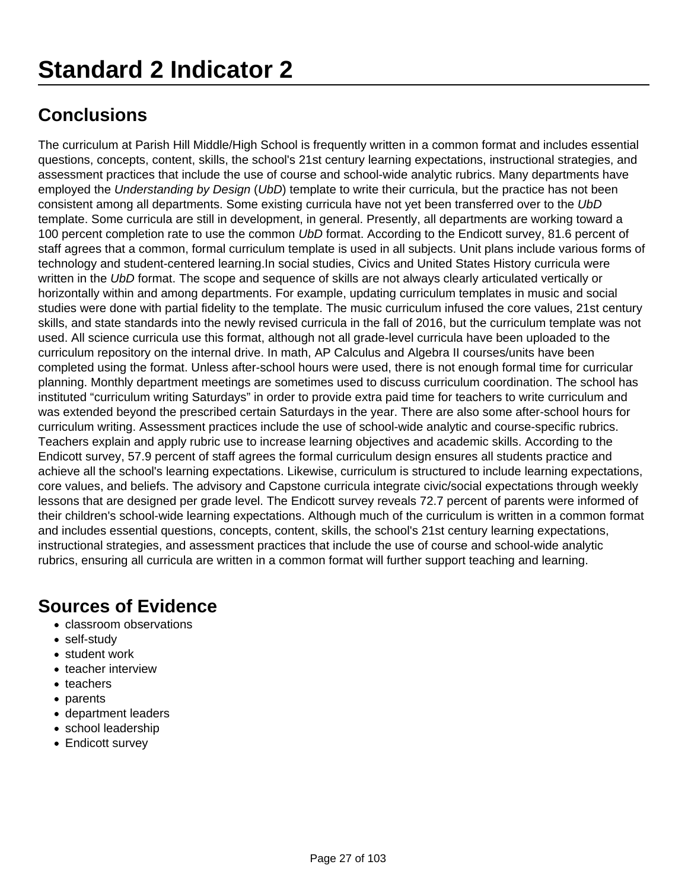The curriculum at Parish Hill Middle/High School is frequently written in a common format and includes essential questions, concepts, content, skills, the school's 21st century learning expectations, instructional strategies, and assessment practices that include the use of course and school-wide analytic rubrics. Many departments have employed the Understanding by Design (UbD) template to write their curricula, but the practice has not been consistent among all departments. Some existing curricula have not yet been transferred over to the UbD template. Some curricula are still in development, in general. Presently, all departments are working toward a 100 percent completion rate to use the common UbD format. According to the Endicott survey, 81.6 percent of staff agrees that a common, formal curriculum template is used in all subjects. Unit plans include various forms of technology and student-centered learning.In social studies, Civics and United States History curricula were written in the UbD format. The scope and sequence of skills are not always clearly articulated vertically or horizontally within and among departments. For example, updating curriculum templates in music and social studies were done with partial fidelity to the template. The music curriculum infused the core values, 21st century skills, and state standards into the newly revised curricula in the fall of 2016, but the curriculum template was not used. All science curricula use this format, although not all grade-level curricula have been uploaded to the curriculum repository on the internal drive. In math, AP Calculus and Algebra II courses/units have been completed using the format. Unless after-school hours were used, there is not enough formal time for curricular planning. Monthly department meetings are sometimes used to discuss curriculum coordination. The school has instituted "curriculum writing Saturdays" in order to provide extra paid time for teachers to write curriculum and was extended beyond the prescribed certain Saturdays in the year. There are also some after-school hours for curriculum writing. Assessment practices include the use of school-wide analytic and course-specific rubrics. Teachers explain and apply rubric use to increase learning objectives and academic skills. According to the Endicott survey, 57.9 percent of staff agrees the formal curriculum design ensures all students practice and achieve all the school's learning expectations. Likewise, curriculum is structured to include learning expectations, core values, and beliefs. The advisory and Capstone curricula integrate civic/social expectations through weekly lessons that are designed per grade level. The Endicott survey reveals 72.7 percent of parents were informed of their children's school-wide learning expectations. Although much of the curriculum is written in a common format and includes essential questions, concepts, content, skills, the school's 21st century learning expectations, instructional strategies, and assessment practices that include the use of course and school-wide analytic rubrics, ensuring all curricula are written in a common format will further support teaching and learning.

- classroom observations
- self-study
- student work
- teacher interview
- teachers
- parents
- department leaders
- school leadership
- Endicott survey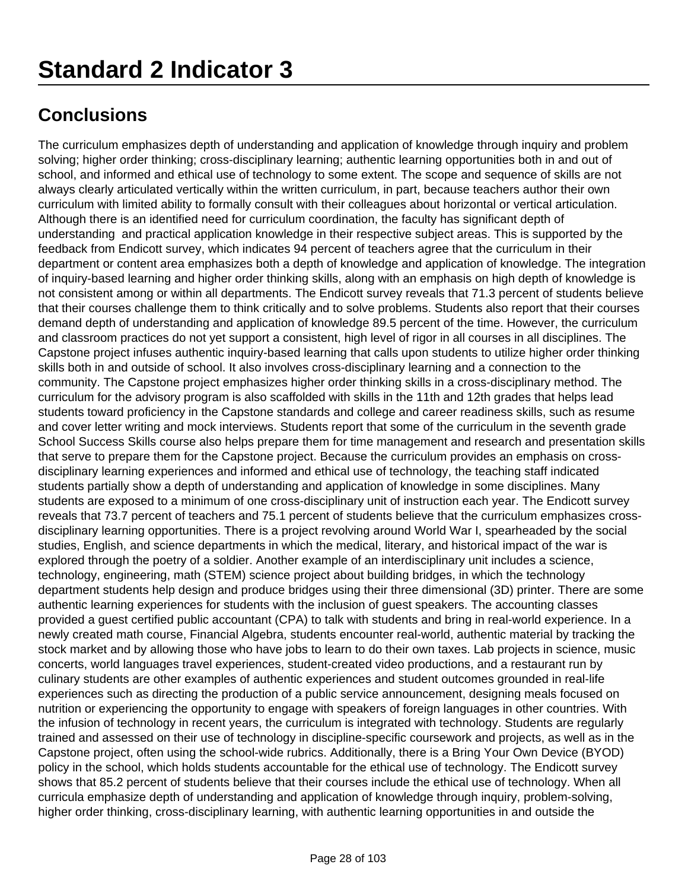The curriculum emphasizes depth of understanding and application of knowledge through inquiry and problem solving; higher order thinking; cross-disciplinary learning; authentic learning opportunities both in and out of school, and informed and ethical use of technology to some extent. The scope and sequence of skills are not always clearly articulated vertically within the written curriculum, in part, because teachers author their own curriculum with limited ability to formally consult with their colleagues about horizontal or vertical articulation. Although there is an identified need for curriculum coordination, the faculty has significant depth of understanding and practical application knowledge in their respective subject areas. This is supported by the feedback from Endicott survey, which indicates 94 percent of teachers agree that the curriculum in their department or content area emphasizes both a depth of knowledge and application of knowledge. The integration of inquiry-based learning and higher order thinking skills, along with an emphasis on high depth of knowledge is not consistent among or within all departments. The Endicott survey reveals that 71.3 percent of students believe that their courses challenge them to think critically and to solve problems. Students also report that their courses demand depth of understanding and application of knowledge 89.5 percent of the time. However, the curriculum and classroom practices do not yet support a consistent, high level of rigor in all courses in all disciplines. The Capstone project infuses authentic inquiry-based learning that calls upon students to utilize higher order thinking skills both in and outside of school. It also involves cross-disciplinary learning and a connection to the community. The Capstone project emphasizes higher order thinking skills in a cross-disciplinary method. The curriculum for the advisory program is also scaffolded with skills in the 11th and 12th grades that helps lead students toward proficiency in the Capstone standards and college and career readiness skills, such as resume and cover letter writing and mock interviews. Students report that some of the curriculum in the seventh grade School Success Skills course also helps prepare them for time management and research and presentation skills that serve to prepare them for the Capstone project. Because the curriculum provides an emphasis on crossdisciplinary learning experiences and informed and ethical use of technology, the teaching staff indicated students partially show a depth of understanding and application of knowledge in some disciplines. Many students are exposed to a minimum of one cross-disciplinary unit of instruction each year. The Endicott survey reveals that 73.7 percent of teachers and 75.1 percent of students believe that the curriculum emphasizes crossdisciplinary learning opportunities. There is a project revolving around World War I, spearheaded by the social studies, English, and science departments in which the medical, literary, and historical impact of the war is explored through the poetry of a soldier. Another example of an interdisciplinary unit includes a science, technology, engineering, math (STEM) science project about building bridges, in which the technology department students help design and produce bridges using their three dimensional (3D) printer. There are some authentic learning experiences for students with the inclusion of guest speakers. The accounting classes provided a guest certified public accountant (CPA) to talk with students and bring in real-world experience. In a newly created math course, Financial Algebra, students encounter real-world, authentic material by tracking the stock market and by allowing those who have jobs to learn to do their own taxes. Lab projects in science, music concerts, world languages travel experiences, student-created video productions, and a restaurant run by culinary students are other examples of authentic experiences and student outcomes grounded in real-life experiences such as directing the production of a public service announcement, designing meals focused on nutrition or experiencing the opportunity to engage with speakers of foreign languages in other countries. With the infusion of technology in recent years, the curriculum is integrated with technology. Students are regularly trained and assessed on their use of technology in discipline-specific coursework and projects, as well as in the Capstone project, often using the school-wide rubrics. Additionally, there is a Bring Your Own Device (BYOD) policy in the school, which holds students accountable for the ethical use of technology. The Endicott survey shows that 85.2 percent of students believe that their courses include the ethical use of technology. When all curricula emphasize depth of understanding and application of knowledge through inquiry, problem-solving, higher order thinking, cross-disciplinary learning, with authentic learning opportunities in and outside the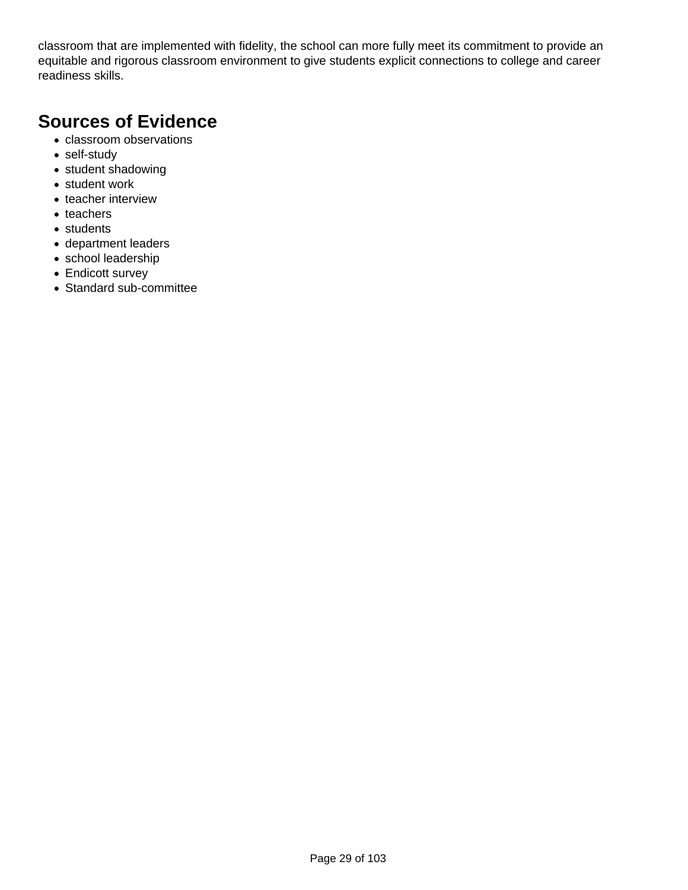classroom that are implemented with fidelity, the school can more fully meet its commitment to provide an equitable and rigorous classroom environment to give students explicit connections to college and career readiness skills.

- classroom observations
- self-study
- student shadowing
- student work
- teacher interview
- teachers
- students
- department leaders
- school leadership
- Endicott survey
- Standard sub-committee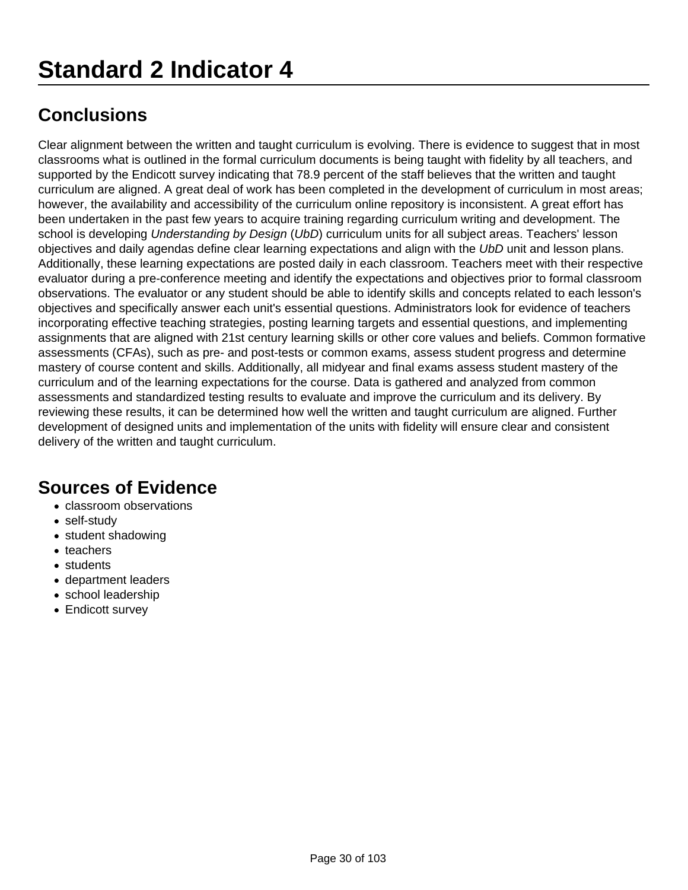Clear alignment between the written and taught curriculum is evolving. There is evidence to suggest that in most classrooms what is outlined in the formal curriculum documents is being taught with fidelity by all teachers, and supported by the Endicott survey indicating that 78.9 percent of the staff believes that the written and taught curriculum are aligned. A great deal of work has been completed in the development of curriculum in most areas; however, the availability and accessibility of the curriculum online repository is inconsistent. A great effort has been undertaken in the past few years to acquire training regarding curriculum writing and development. The school is developing Understanding by Design (UbD) curriculum units for all subject areas. Teachers' lesson objectives and daily agendas define clear learning expectations and align with the UbD unit and lesson plans. Additionally, these learning expectations are posted daily in each classroom. Teachers meet with their respective evaluator during a pre-conference meeting and identify the expectations and objectives prior to formal classroom observations. The evaluator or any student should be able to identify skills and concepts related to each lesson's objectives and specifically answer each unit's essential questions. Administrators look for evidence of teachers incorporating effective teaching strategies, posting learning targets and essential questions, and implementing assignments that are aligned with 21st century learning skills or other core values and beliefs. Common formative assessments (CFAs), such as pre- and post-tests or common exams, assess student progress and determine mastery of course content and skills. Additionally, all midyear and final exams assess student mastery of the curriculum and of the learning expectations for the course. Data is gathered and analyzed from common assessments and standardized testing results to evaluate and improve the curriculum and its delivery. By reviewing these results, it can be determined how well the written and taught curriculum are aligned. Further development of designed units and implementation of the units with fidelity will ensure clear and consistent delivery of the written and taught curriculum.

- classroom observations
- self-study
- student shadowing
- teachers
- students
- department leaders
- school leadership
- Endicott survey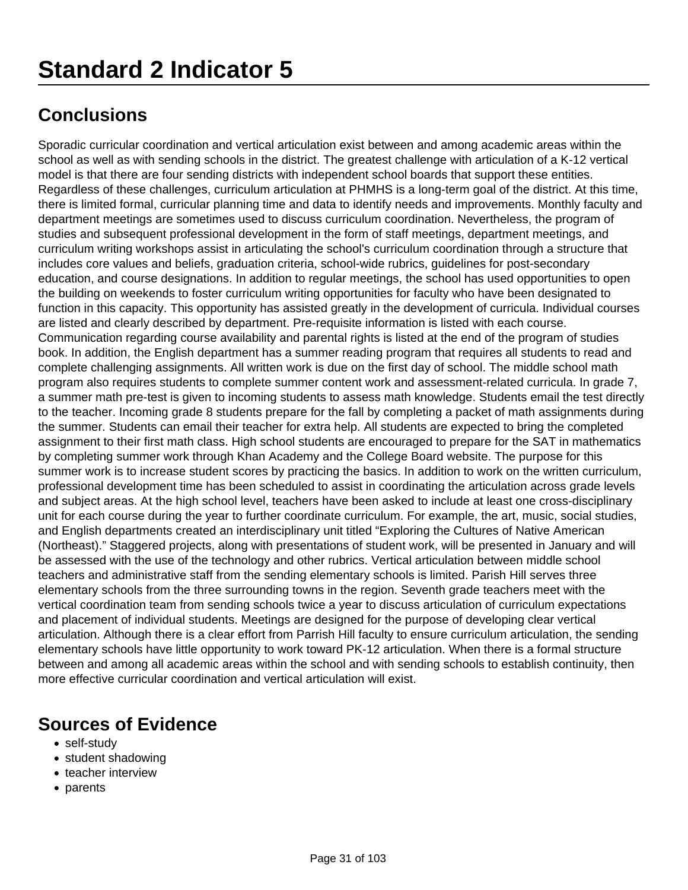Sporadic curricular coordination and vertical articulation exist between and among academic areas within the school as well as with sending schools in the district. The greatest challenge with articulation of a K-12 vertical model is that there are four sending districts with independent school boards that support these entities. Regardless of these challenges, curriculum articulation at PHMHS is a long-term goal of the district. At this time, there is limited formal, curricular planning time and data to identify needs and improvements. Monthly faculty and department meetings are sometimes used to discuss curriculum coordination. Nevertheless, the program of studies and subsequent professional development in the form of staff meetings, department meetings, and curriculum writing workshops assist in articulating the school's curriculum coordination through a structure that includes core values and beliefs, graduation criteria, school-wide rubrics, guidelines for post-secondary education, and course designations. In addition to regular meetings, the school has used opportunities to open the building on weekends to foster curriculum writing opportunities for faculty who have been designated to function in this capacity. This opportunity has assisted greatly in the development of curricula. Individual courses are listed and clearly described by department. Pre-requisite information is listed with each course. Communication regarding course availability and parental rights is listed at the end of the program of studies book. In addition, the English department has a summer reading program that requires all students to read and complete challenging assignments. All written work is due on the first day of school. The middle school math program also requires students to complete summer content work and assessment-related curricula. In grade 7, a summer math pre-test is given to incoming students to assess math knowledge. Students email the test directly to the teacher. Incoming grade 8 students prepare for the fall by completing a packet of math assignments during the summer. Students can email their teacher for extra help. All students are expected to bring the completed assignment to their first math class. High school students are encouraged to prepare for the SAT in mathematics by completing summer work through Khan Academy and the College Board website. The purpose for this summer work is to increase student scores by practicing the basics. In addition to work on the written curriculum, professional development time has been scheduled to assist in coordinating the articulation across grade levels and subject areas. At the high school level, teachers have been asked to include at least one cross-disciplinary unit for each course during the year to further coordinate curriculum. For example, the art, music, social studies, and English departments created an interdisciplinary unit titled "Exploring the Cultures of Native American (Northeast)." Staggered projects, along with presentations of student work, will be presented in January and will be assessed with the use of the technology and other rubrics. Vertical articulation between middle school teachers and administrative staff from the sending elementary schools is limited. Parish Hill serves three elementary schools from the three surrounding towns in the region. Seventh grade teachers meet with the vertical coordination team from sending schools twice a year to discuss articulation of curriculum expectations and placement of individual students. Meetings are designed for the purpose of developing clear vertical articulation. Although there is a clear effort from Parrish Hill faculty to ensure curriculum articulation, the sending elementary schools have little opportunity to work toward PK-12 articulation. When there is a formal structure between and among all academic areas within the school and with sending schools to establish continuity, then more effective curricular coordination and vertical articulation will exist.

- self-study
- student shadowing
- teacher interview
- parents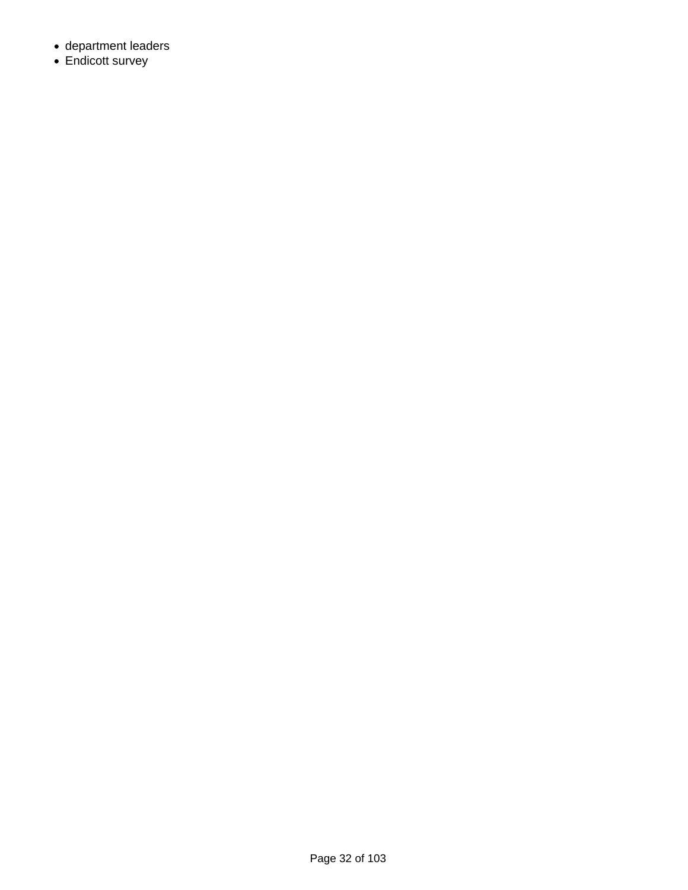- department leaders
- Endicott survey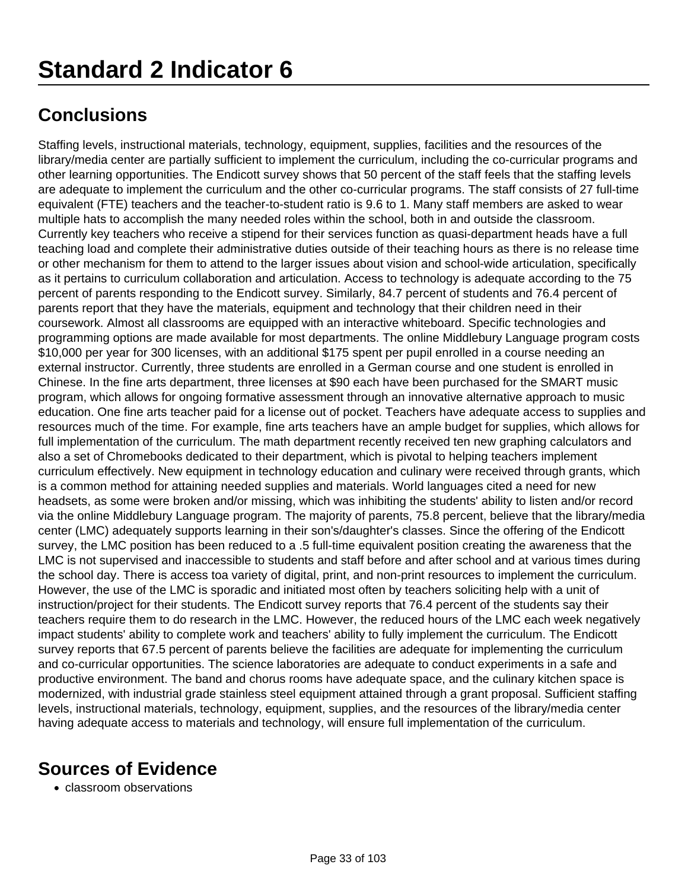Staffing levels, instructional materials, technology, equipment, supplies, facilities and the resources of the library/media center are partially sufficient to implement the curriculum, including the co-curricular programs and other learning opportunities. The Endicott survey shows that 50 percent of the staff feels that the staffing levels are adequate to implement the curriculum and the other co-curricular programs. The staff consists of 27 full-time equivalent (FTE) teachers and the teacher-to-student ratio is 9.6 to 1. Many staff members are asked to wear multiple hats to accomplish the many needed roles within the school, both in and outside the classroom. Currently key teachers who receive a stipend for their services function as quasi-department heads have a full teaching load and complete their administrative duties outside of their teaching hours as there is no release time or other mechanism for them to attend to the larger issues about vision and school-wide articulation, specifically as it pertains to curriculum collaboration and articulation. Access to technology is adequate according to the 75 percent of parents responding to the Endicott survey. Similarly, 84.7 percent of students and 76.4 percent of parents report that they have the materials, equipment and technology that their children need in their coursework. Almost all classrooms are equipped with an interactive whiteboard. Specific technologies and programming options are made available for most departments. The online Middlebury Language program costs \$10,000 per year for 300 licenses, with an additional \$175 spent per pupil enrolled in a course needing an external instructor. Currently, three students are enrolled in a German course and one student is enrolled in Chinese. In the fine arts department, three licenses at \$90 each have been purchased for the SMART music program, which allows for ongoing formative assessment through an innovative alternative approach to music education. One fine arts teacher paid for a license out of pocket. Teachers have adequate access to supplies and resources much of the time. For example, fine arts teachers have an ample budget for supplies, which allows for full implementation of the curriculum. The math department recently received ten new graphing calculators and also a set of Chromebooks dedicated to their department, which is pivotal to helping teachers implement curriculum effectively. New equipment in technology education and culinary were received through grants, which is a common method for attaining needed supplies and materials. World languages cited a need for new headsets, as some were broken and/or missing, which was inhibiting the students' ability to listen and/or record via the online Middlebury Language program. The majority of parents, 75.8 percent, believe that the library/media center (LMC) adequately supports learning in their son's/daughter's classes. Since the offering of the Endicott survey, the LMC position has been reduced to a .5 full-time equivalent position creating the awareness that the LMC is not supervised and inaccessible to students and staff before and after school and at various times during the school day. There is access toa variety of digital, print, and non-print resources to implement the curriculum. However, the use of the LMC is sporadic and initiated most often by teachers soliciting help with a unit of instruction/project for their students. The Endicott survey reports that 76.4 percent of the students say their teachers require them to do research in the LMC. However, the reduced hours of the LMC each week negatively impact students' ability to complete work and teachers' ability to fully implement the curriculum. The Endicott survey reports that 67.5 percent of parents believe the facilities are adequate for implementing the curriculum and co-curricular opportunities. The science laboratories are adequate to conduct experiments in a safe and productive environment. The band and chorus rooms have adequate space, and the culinary kitchen space is modernized, with industrial grade stainless steel equipment attained through a grant proposal. Sufficient staffing levels, instructional materials, technology, equipment, supplies, and the resources of the library/media center having adequate access to materials and technology, will ensure full implementation of the curriculum.

### **Sources of Evidence**

classroom observations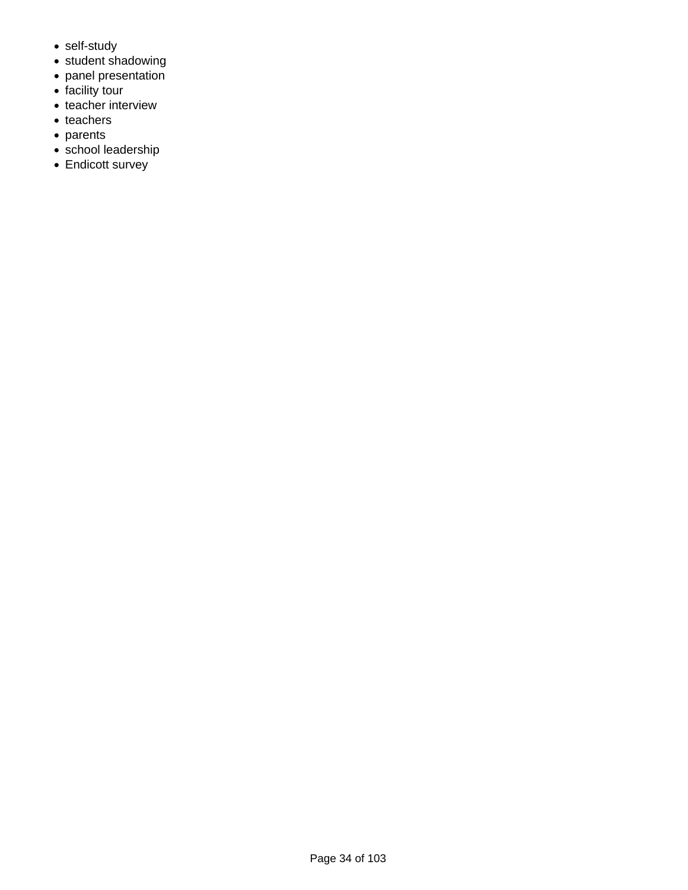- self-study
- student shadowing
- panel presentation
- facility tour
- teacher interview
- teachers
- parents
- school leadership
- Endicott survey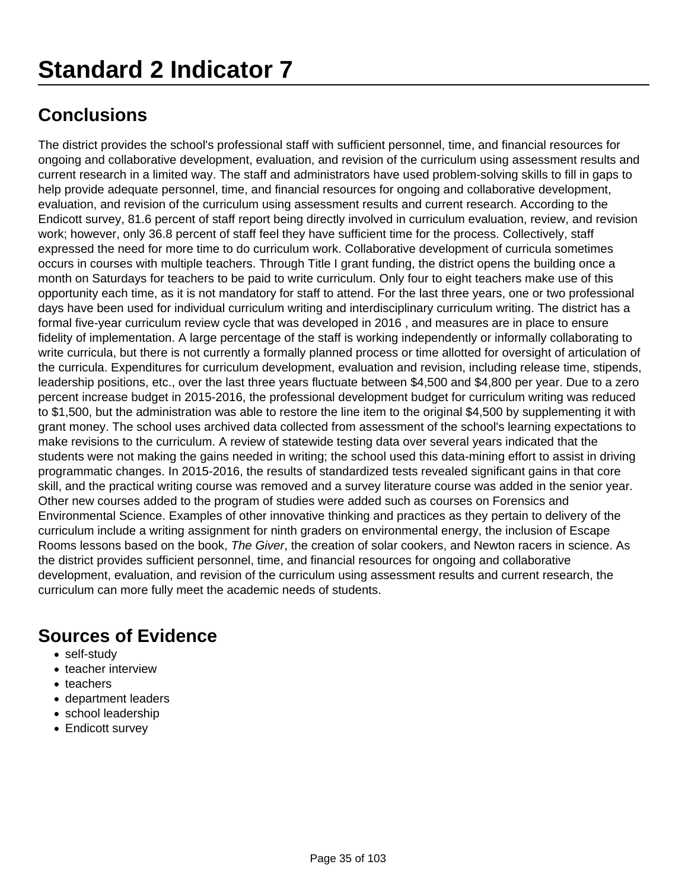# **Standard 2 Indicator 7**

### **Conclusions**

The district provides the school's professional staff with sufficient personnel, time, and financial resources for ongoing and collaborative development, evaluation, and revision of the curriculum using assessment results and current research in a limited way. The staff and administrators have used problem-solving skills to fill in gaps to help provide adequate personnel, time, and financial resources for ongoing and collaborative development, evaluation, and revision of the curriculum using assessment results and current research. According to the Endicott survey, 81.6 percent of staff report being directly involved in curriculum evaluation, review, and revision work; however, only 36.8 percent of staff feel they have sufficient time for the process. Collectively, staff expressed the need for more time to do curriculum work. Collaborative development of curricula sometimes occurs in courses with multiple teachers. Through Title I grant funding, the district opens the building once a month on Saturdays for teachers to be paid to write curriculum. Only four to eight teachers make use of this opportunity each time, as it is not mandatory for staff to attend. For the last three years, one or two professional days have been used for individual curriculum writing and interdisciplinary curriculum writing. The district has a formal five-year curriculum review cycle that was developed in 2016 , and measures are in place to ensure fidelity of implementation. A large percentage of the staff is working independently or informally collaborating to write curricula, but there is not currently a formally planned process or time allotted for oversight of articulation of the curricula. Expenditures for curriculum development, evaluation and revision, including release time, stipends, leadership positions, etc., over the last three years fluctuate between \$4,500 and \$4,800 per year. Due to a zero percent increase budget in 2015-2016, the professional development budget for curriculum writing was reduced to \$1,500, but the administration was able to restore the line item to the original \$4,500 by supplementing it with grant money. The school uses archived data collected from assessment of the school's learning expectations to make revisions to the curriculum. A review of statewide testing data over several years indicated that the students were not making the gains needed in writing; the school used this data-mining effort to assist in driving programmatic changes. In 2015-2016, the results of standardized tests revealed significant gains in that core skill, and the practical writing course was removed and a survey literature course was added in the senior year. Other new courses added to the program of studies were added such as courses on Forensics and Environmental Science. Examples of other innovative thinking and practices as they pertain to delivery of the curriculum include a writing assignment for ninth graders on environmental energy, the inclusion of Escape Rooms lessons based on the book, The Giver, the creation of solar cookers, and Newton racers in science. As the district provides sufficient personnel, time, and financial resources for ongoing and collaborative development, evaluation, and revision of the curriculum using assessment results and current research, the curriculum can more fully meet the academic needs of students.

- self-study
- teacher interview
- teachers
- department leaders
- school leadership
- Endicott survey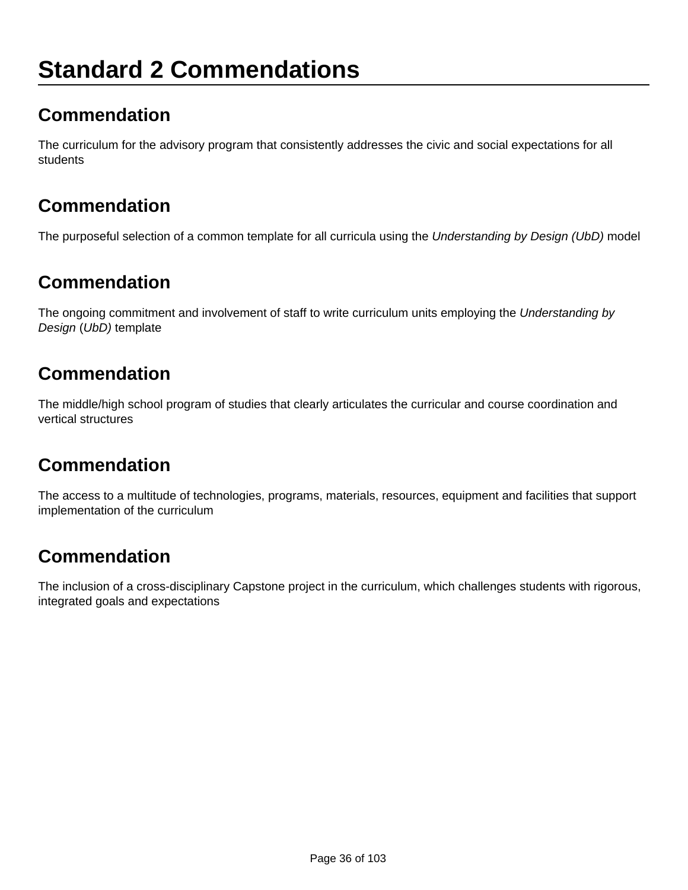# **Standard 2 Commendations**

### **Commendation**

The curriculum for the advisory program that consistently addresses the civic and social expectations for all students

### **Commendation**

The purposeful selection of a common template for all curricula using the Understanding by Design (UbD) model

### **Commendation**

The ongoing commitment and involvement of staff to write curriculum units employing the Understanding by Design (UbD) template

### **Commendation**

The middle/high school program of studies that clearly articulates the curricular and course coordination and vertical structures

### **Commendation**

The access to a multitude of technologies, programs, materials, resources, equipment and facilities that support implementation of the curriculum

### **Commendation**

The inclusion of a cross-disciplinary Capstone project in the curriculum, which challenges students with rigorous, integrated goals and expectations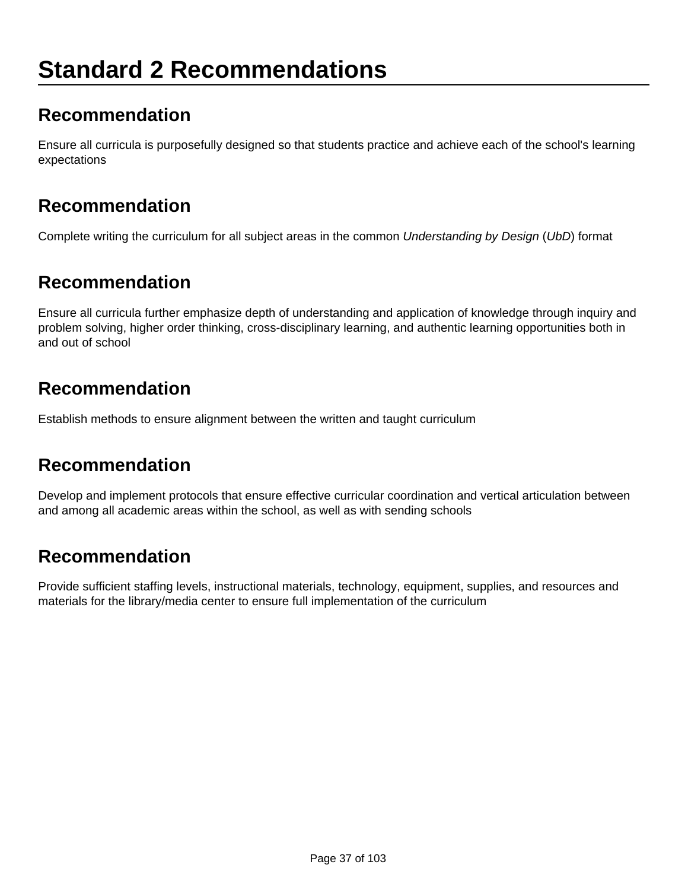# **Standard 2 Recommendations**

#### **Recommendation**

Ensure all curricula is purposefully designed so that students practice and achieve each of the school's learning expectations

#### **Recommendation**

Complete writing the curriculum for all subject areas in the common Understanding by Design (UbD) format

#### **Recommendation**

Ensure all curricula further emphasize depth of understanding and application of knowledge through inquiry and problem solving, higher order thinking, cross-disciplinary learning, and authentic learning opportunities both in and out of school

#### **Recommendation**

Establish methods to ensure alignment between the written and taught curriculum

#### **Recommendation**

Develop and implement protocols that ensure effective curricular coordination and vertical articulation between and among all academic areas within the school, as well as with sending schools

### **Recommendation**

Provide sufficient staffing levels, instructional materials, technology, equipment, supplies, and resources and materials for the library/media center to ensure full implementation of the curriculum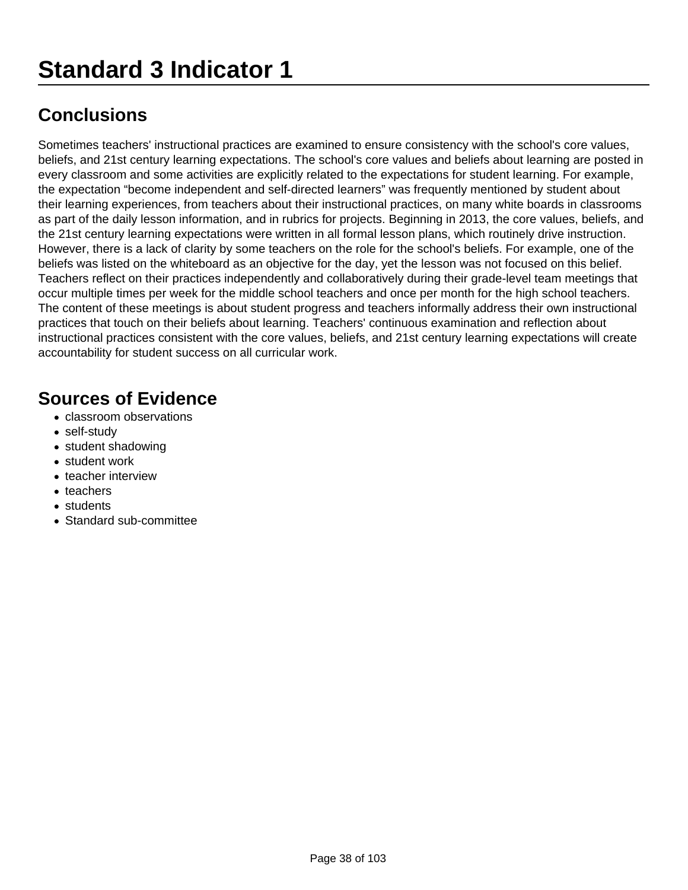Sometimes teachers' instructional practices are examined to ensure consistency with the school's core values, beliefs, and 21st century learning expectations. The school's core values and beliefs about learning are posted in every classroom and some activities are explicitly related to the expectations for student learning. For example, the expectation "become independent and self-directed learners" was frequently mentioned by student about their learning experiences, from teachers about their instructional practices, on many white boards in classrooms as part of the daily lesson information, and in rubrics for projects. Beginning in 2013, the core values, beliefs, and the 21st century learning expectations were written in all formal lesson plans, which routinely drive instruction. However, there is a lack of clarity by some teachers on the role for the school's beliefs. For example, one of the beliefs was listed on the whiteboard as an objective for the day, yet the lesson was not focused on this belief. Teachers reflect on their practices independently and collaboratively during their grade-level team meetings that occur multiple times per week for the middle school teachers and once per month for the high school teachers. The content of these meetings is about student progress and teachers informally address their own instructional practices that touch on their beliefs about learning. Teachers' continuous examination and reflection about instructional practices consistent with the core values, beliefs, and 21st century learning expectations will create accountability for student success on all curricular work.

- classroom observations
- self-study
- student shadowing
- student work
- teacher interview
- teachers
- students
- Standard sub-committee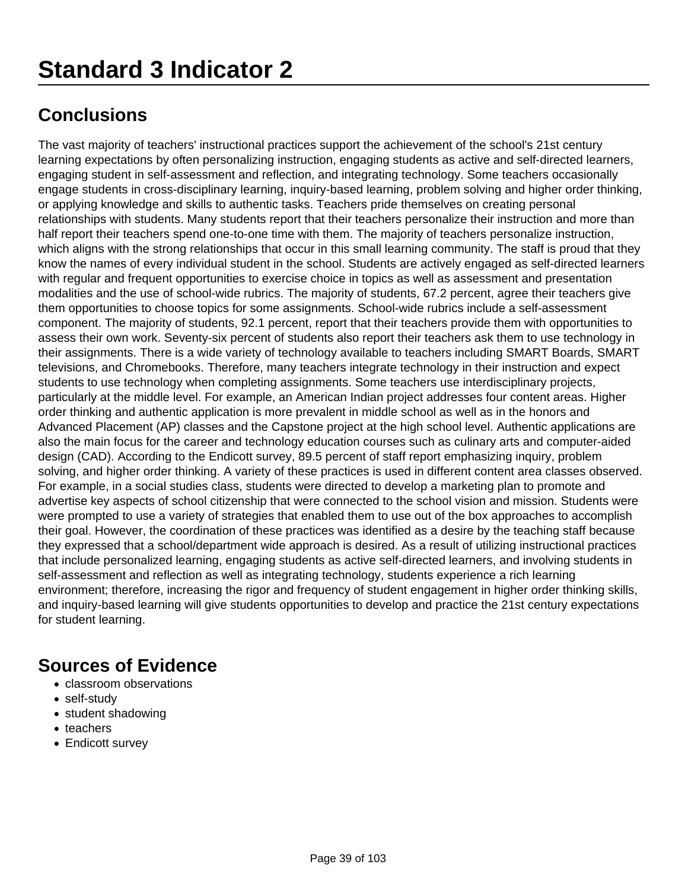The vast majority of teachers' instructional practices support the achievement of the school's 21st century learning expectations by often personalizing instruction, engaging students as active and self-directed learners, engaging student in self-assessment and reflection, and integrating technology. Some teachers occasionally engage students in cross-disciplinary learning, inquiry-based learning, problem solving and higher order thinking, or applying knowledge and skills to authentic tasks. Teachers pride themselves on creating personal relationships with students. Many students report that their teachers personalize their instruction and more than half report their teachers spend one-to-one time with them. The majority of teachers personalize instruction, which aligns with the strong relationships that occur in this small learning community. The staff is proud that they know the names of every individual student in the school. Students are actively engaged as self-directed learners with regular and frequent opportunities to exercise choice in topics as well as assessment and presentation modalities and the use of school-wide rubrics. The majority of students, 67.2 percent, agree their teachers give them opportunities to choose topics for some assignments. School-wide rubrics include a self-assessment component. The majority of students, 92.1 percent, report that their teachers provide them with opportunities to assess their own work. Seventy-six percent of students also report their teachers ask them to use technology in their assignments. There is a wide variety of technology available to teachers including SMART Boards, SMART televisions, and Chromebooks. Therefore, many teachers integrate technology in their instruction and expect students to use technology when completing assignments. Some teachers use interdisciplinary projects, particularly at the middle level. For example, an American Indian project addresses four content areas. Higher order thinking and authentic application is more prevalent in middle school as well as in the honors and Advanced Placement (AP) classes and the Capstone project at the high school level. Authentic applications are also the main focus for the career and technology education courses such as culinary arts and computer-aided design (CAD). According to the Endicott survey, 89.5 percent of staff report emphasizing inquiry, problem solving, and higher order thinking. A variety of these practices is used in different content area classes observed. For example, in a social studies class, students were directed to develop a marketing plan to promote and advertise key aspects of school citizenship that were connected to the school vision and mission. Students were were prompted to use a variety of strategies that enabled them to use out of the box approaches to accomplish their goal. However, the coordination of these practices was identified as a desire by the teaching staff because they expressed that a school/department wide approach is desired. As a result of utilizing instructional practices that include personalized learning, engaging students as active self-directed learners, and involving students in self-assessment and reflection as well as integrating technology, students experience a rich learning environment; therefore, increasing the rigor and frequency of student engagement in higher order thinking skills, and inquiry-based learning will give students opportunities to develop and practice the 21st century expectations for student learning.

- classroom observations
- self-study
- student shadowing
- teachers
- Endicott survey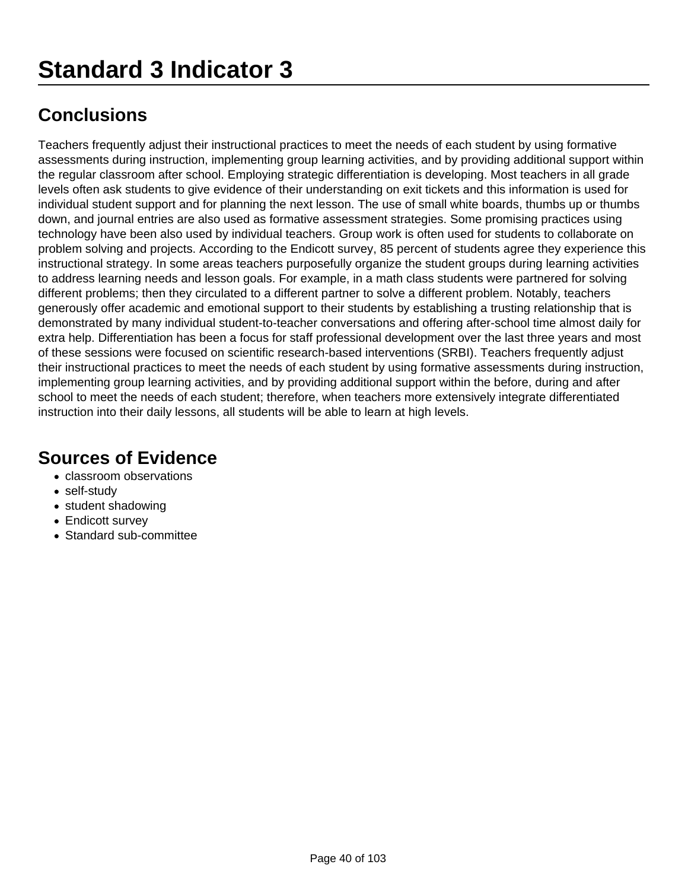Teachers frequently adjust their instructional practices to meet the needs of each student by using formative assessments during instruction, implementing group learning activities, and by providing additional support within the regular classroom after school. Employing strategic differentiation is developing. Most teachers in all grade levels often ask students to give evidence of their understanding on exit tickets and this information is used for individual student support and for planning the next lesson. The use of small white boards, thumbs up or thumbs down, and journal entries are also used as formative assessment strategies. Some promising practices using technology have been also used by individual teachers. Group work is often used for students to collaborate on problem solving and projects. According to the Endicott survey, 85 percent of students agree they experience this instructional strategy. In some areas teachers purposefully organize the student groups during learning activities to address learning needs and lesson goals. For example, in a math class students were partnered for solving different problems; then they circulated to a different partner to solve a different problem. Notably, teachers generously offer academic and emotional support to their students by establishing a trusting relationship that is demonstrated by many individual student-to-teacher conversations and offering after-school time almost daily for extra help. Differentiation has been a focus for staff professional development over the last three years and most of these sessions were focused on scientific research-based interventions (SRBI). Teachers frequently adjust their instructional practices to meet the needs of each student by using formative assessments during instruction, implementing group learning activities, and by providing additional support within the before, during and after school to meet the needs of each student; therefore, when teachers more extensively integrate differentiated instruction into their daily lessons, all students will be able to learn at high levels.

- classroom observations
- self-study
- student shadowing
- Endicott survey
- Standard sub-committee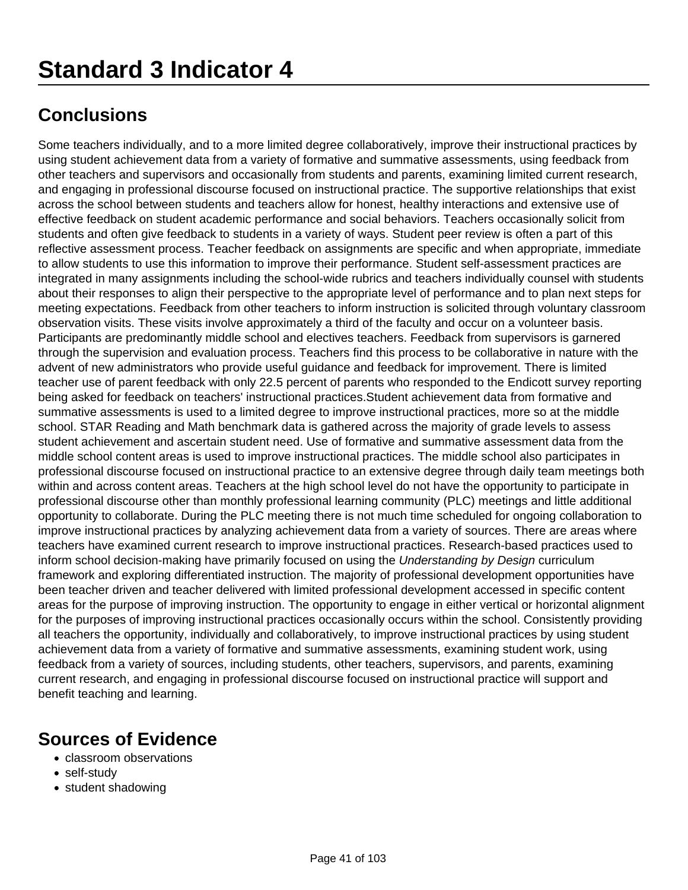Some teachers individually, and to a more limited degree collaboratively, improve their instructional practices by using student achievement data from a variety of formative and summative assessments, using feedback from other teachers and supervisors and occasionally from students and parents, examining limited current research, and engaging in professional discourse focused on instructional practice. The supportive relationships that exist across the school between students and teachers allow for honest, healthy interactions and extensive use of effective feedback on student academic performance and social behaviors. Teachers occasionally solicit from students and often give feedback to students in a variety of ways. Student peer review is often a part of this reflective assessment process. Teacher feedback on assignments are specific and when appropriate, immediate to allow students to use this information to improve their performance. Student self-assessment practices are integrated in many assignments including the school-wide rubrics and teachers individually counsel with students about their responses to align their perspective to the appropriate level of performance and to plan next steps for meeting expectations. Feedback from other teachers to inform instruction is solicited through voluntary classroom observation visits. These visits involve approximately a third of the faculty and occur on a volunteer basis. Participants are predominantly middle school and electives teachers. Feedback from supervisors is garnered through the supervision and evaluation process. Teachers find this process to be collaborative in nature with the advent of new administrators who provide useful guidance and feedback for improvement. There is limited teacher use of parent feedback with only 22.5 percent of parents who responded to the Endicott survey reporting being asked for feedback on teachers' instructional practices.Student achievement data from formative and summative assessments is used to a limited degree to improve instructional practices, more so at the middle school. STAR Reading and Math benchmark data is gathered across the majority of grade levels to assess student achievement and ascertain student need. Use of formative and summative assessment data from the middle school content areas is used to improve instructional practices. The middle school also participates in professional discourse focused on instructional practice to an extensive degree through daily team meetings both within and across content areas. Teachers at the high school level do not have the opportunity to participate in professional discourse other than monthly professional learning community (PLC) meetings and little additional opportunity to collaborate. During the PLC meeting there is not much time scheduled for ongoing collaboration to improve instructional practices by analyzing achievement data from a variety of sources. There are areas where teachers have examined current research to improve instructional practices. Research-based practices used to inform school decision-making have primarily focused on using the Understanding by Design curriculum framework and exploring differentiated instruction. The majority of professional development opportunities have been teacher driven and teacher delivered with limited professional development accessed in specific content areas for the purpose of improving instruction. The opportunity to engage in either vertical or horizontal alignment for the purposes of improving instructional practices occasionally occurs within the school. Consistently providing all teachers the opportunity, individually and collaboratively, to improve instructional practices by using student achievement data from a variety of formative and summative assessments, examining student work, using feedback from a variety of sources, including students, other teachers, supervisors, and parents, examining current research, and engaging in professional discourse focused on instructional practice will support and benefit teaching and learning.

- classroom observations
- self-study
- student shadowing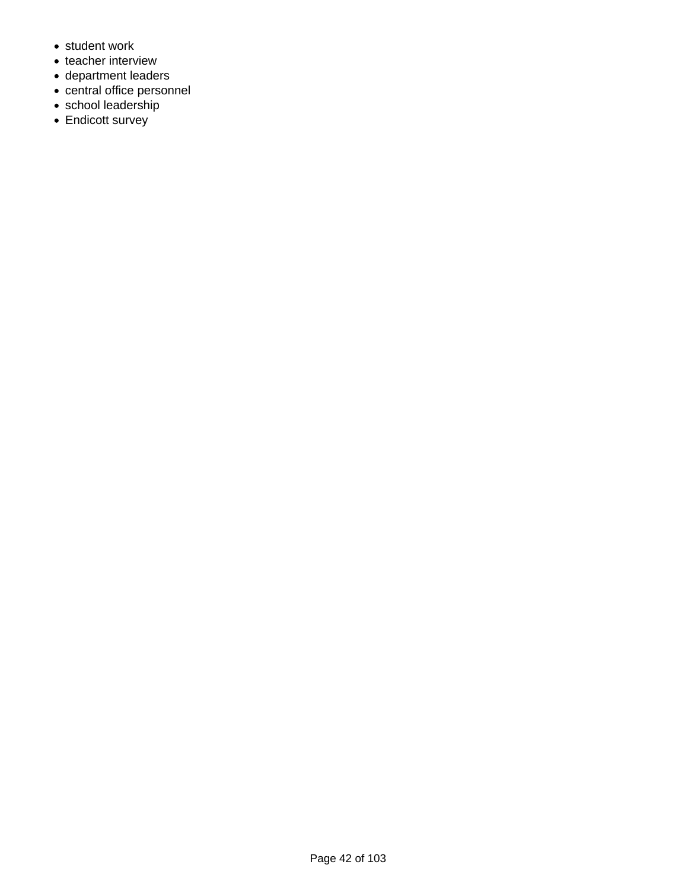- student work
- teacher interview
- department leaders
- central office personnel
- school leadership
- Endicott survey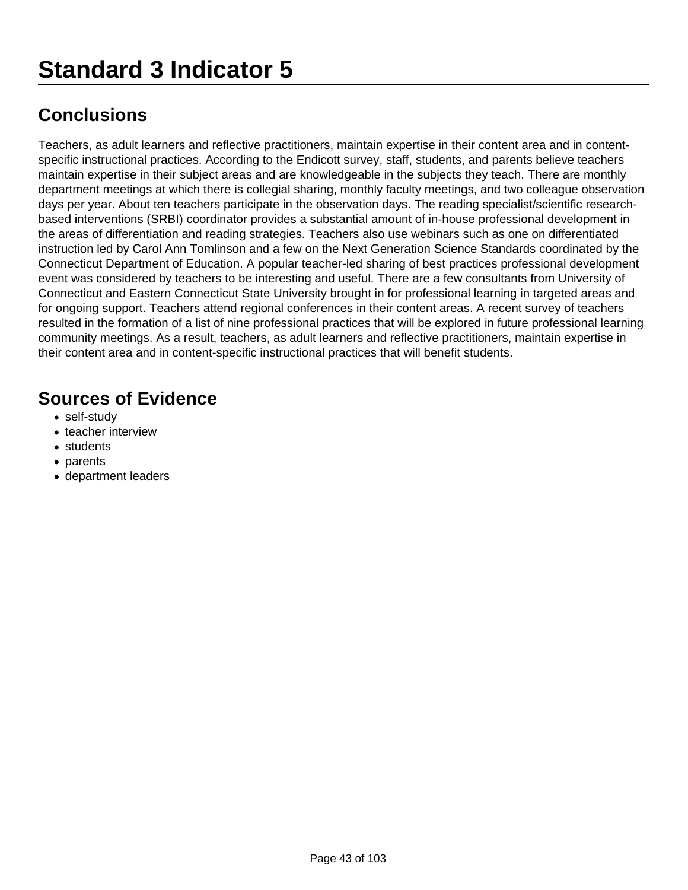Teachers, as adult learners and reflective practitioners, maintain expertise in their content area and in contentspecific instructional practices. According to the Endicott survey, staff, students, and parents believe teachers maintain expertise in their subject areas and are knowledgeable in the subjects they teach. There are monthly department meetings at which there is collegial sharing, monthly faculty meetings, and two colleague observation days per year. About ten teachers participate in the observation days. The reading specialist/scientific researchbased interventions (SRBI) coordinator provides a substantial amount of in-house professional development in the areas of differentiation and reading strategies. Teachers also use webinars such as one on differentiated instruction led by Carol Ann Tomlinson and a few on the Next Generation Science Standards coordinated by the Connecticut Department of Education. A popular teacher-led sharing of best practices professional development event was considered by teachers to be interesting and useful. There are a few consultants from University of Connecticut and Eastern Connecticut State University brought in for professional learning in targeted areas and for ongoing support. Teachers attend regional conferences in their content areas. A recent survey of teachers resulted in the formation of a list of nine professional practices that will be explored in future professional learning community meetings. As a result, teachers, as adult learners and reflective practitioners, maintain expertise in their content area and in content-specific instructional practices that will benefit students.

- self-study
- teacher interview
- students
- parents
- department leaders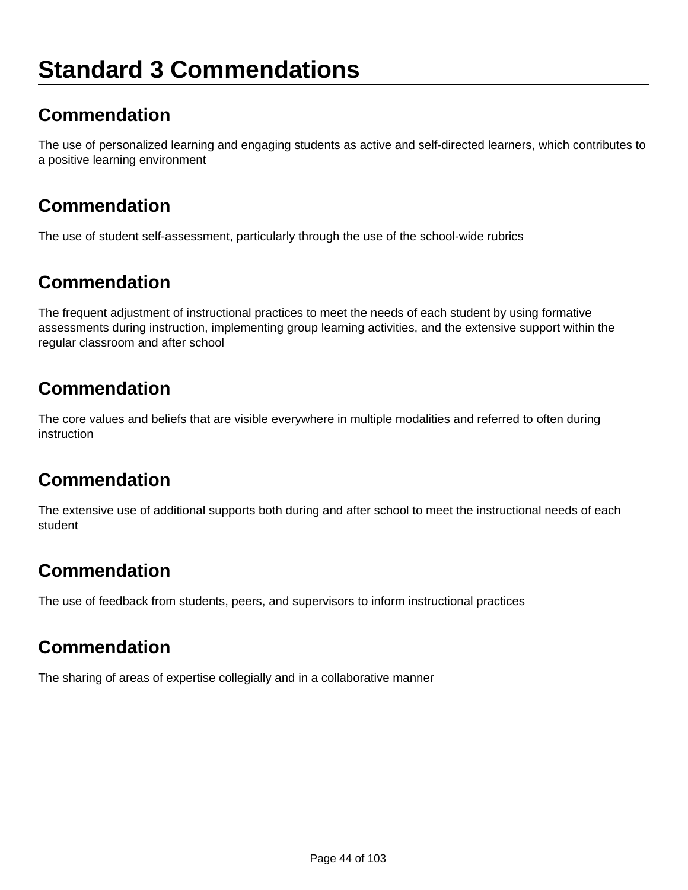# **Standard 3 Commendations**

### **Commendation**

The use of personalized learning and engaging students as active and self-directed learners, which contributes to a positive learning environment

### **Commendation**

The use of student self-assessment, particularly through the use of the school-wide rubrics

#### **Commendation**

The frequent adjustment of instructional practices to meet the needs of each student by using formative assessments during instruction, implementing group learning activities, and the extensive support within the regular classroom and after school

#### **Commendation**

The core values and beliefs that are visible everywhere in multiple modalities and referred to often during instruction

#### **Commendation**

The extensive use of additional supports both during and after school to meet the instructional needs of each student

### **Commendation**

The use of feedback from students, peers, and supervisors to inform instructional practices

#### **Commendation**

The sharing of areas of expertise collegially and in a collaborative manner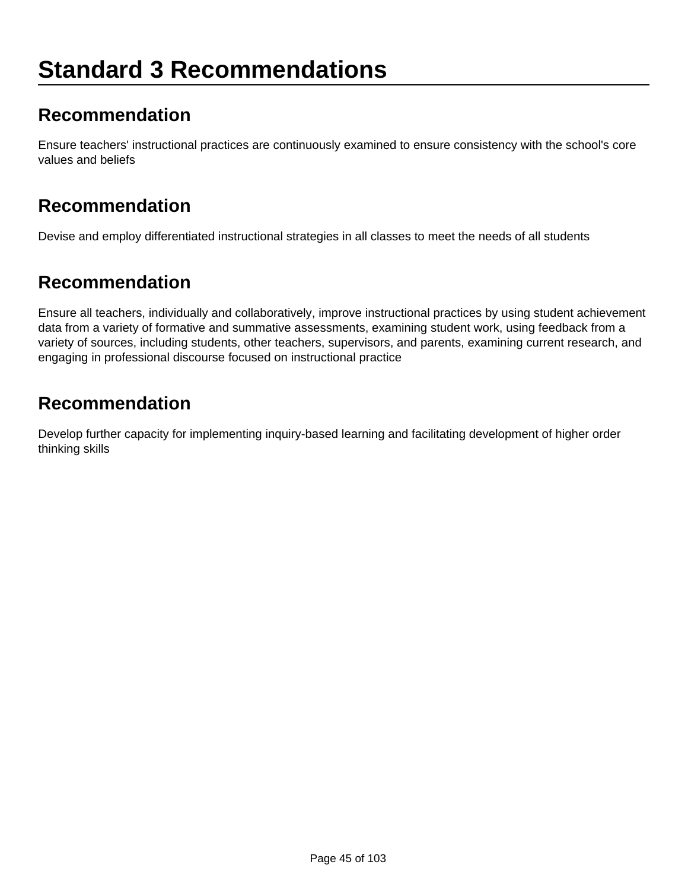# **Standard 3 Recommendations**

#### **Recommendation**

Ensure teachers' instructional practices are continuously examined to ensure consistency with the school's core values and beliefs

#### **Recommendation**

Devise and employ differentiated instructional strategies in all classes to meet the needs of all students

#### **Recommendation**

Ensure all teachers, individually and collaboratively, improve instructional practices by using student achievement data from a variety of formative and summative assessments, examining student work, using feedback from a variety of sources, including students, other teachers, supervisors, and parents, examining current research, and engaging in professional discourse focused on instructional practice

#### **Recommendation**

Develop further capacity for implementing inquiry-based learning and facilitating development of higher order thinking skills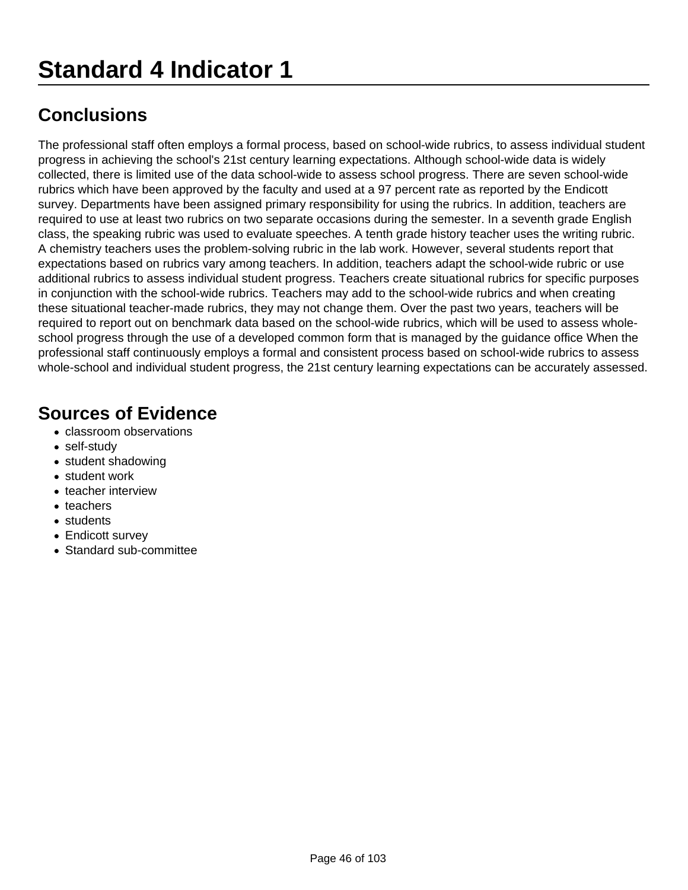The professional staff often employs a formal process, based on school-wide rubrics, to assess individual student progress in achieving the school's 21st century learning expectations. Although school-wide data is widely collected, there is limited use of the data school-wide to assess school progress. There are seven school-wide rubrics which have been approved by the faculty and used at a 97 percent rate as reported by the Endicott survey. Departments have been assigned primary responsibility for using the rubrics. In addition, teachers are required to use at least two rubrics on two separate occasions during the semester. In a seventh grade English class, the speaking rubric was used to evaluate speeches. A tenth grade history teacher uses the writing rubric. A chemistry teachers uses the problem-solving rubric in the lab work. However, several students report that expectations based on rubrics vary among teachers. In addition, teachers adapt the school-wide rubric or use additional rubrics to assess individual student progress. Teachers create situational rubrics for specific purposes in conjunction with the school-wide rubrics. Teachers may add to the school-wide rubrics and when creating these situational teacher-made rubrics, they may not change them. Over the past two years, teachers will be required to report out on benchmark data based on the school-wide rubrics, which will be used to assess wholeschool progress through the use of a developed common form that is managed by the guidance office When the professional staff continuously employs a formal and consistent process based on school-wide rubrics to assess whole-school and individual student progress, the 21st century learning expectations can be accurately assessed.

- classroom observations
- self-study
- student shadowing
- student work
- teacher interview
- teachers
- students
- Endicott survey
- Standard sub-committee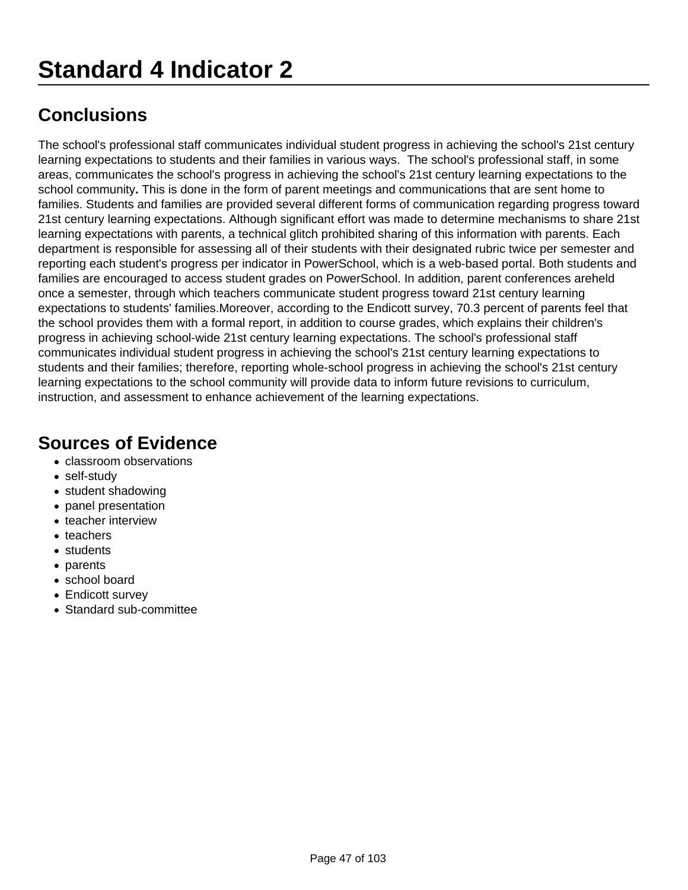The school's professional staff communicates individual student progress in achieving the school's 21st century learning expectations to students and their families in various ways. The school's professional staff, in some areas, communicates the school's progress in achieving the school's 21st century learning expectations to the school community**.** This is done in the form of parent meetings and communications that are sent home to families. Students and families are provided several different forms of communication regarding progress toward 21st century learning expectations. Although significant effort was made to determine mechanisms to share 21st learning expectations with parents, a technical glitch prohibited sharing of this information with parents. Each department is responsible for assessing all of their students with their designated rubric twice per semester and reporting each student's progress per indicator in PowerSchool, which is a web-based portal. Both students and families are encouraged to access student grades on PowerSchool. In addition, parent conferences areheld once a semester, through which teachers communicate student progress toward 21st century learning expectations to students' families.Moreover, according to the Endicott survey, 70.3 percent of parents feel that the school provides them with a formal report, in addition to course grades, which explains their children's progress in achieving school-wide 21st century learning expectations. The school's professional staff communicates individual student progress in achieving the school's 21st century learning expectations to students and their families; therefore, reporting whole-school progress in achieving the school's 21st century learning expectations to the school community will provide data to inform future revisions to curriculum, instruction, and assessment to enhance achievement of the learning expectations.

- classroom observations
- self-study
- student shadowing
- panel presentation
- teacher interview
- teachers
- students
- parents
- school board
- Endicott survev
- Standard sub-committee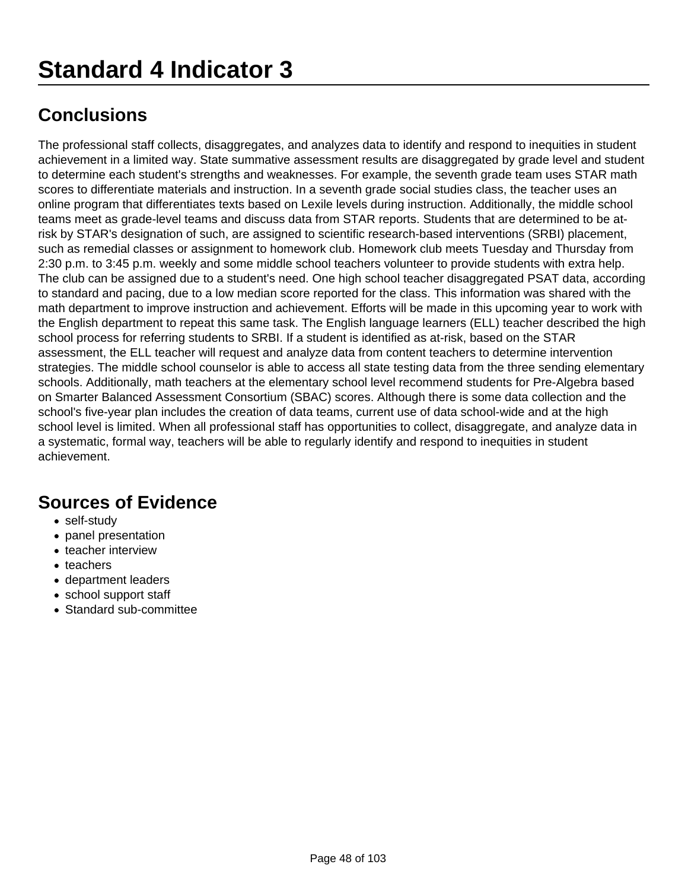The professional staff collects, disaggregates, and analyzes data to identify and respond to inequities in student achievement in a limited way. State summative assessment results are disaggregated by grade level and student to determine each student's strengths and weaknesses. For example, the seventh grade team uses STAR math scores to differentiate materials and instruction. In a seventh grade social studies class, the teacher uses an online program that differentiates texts based on Lexile levels during instruction. Additionally, the middle school teams meet as grade-level teams and discuss data from STAR reports. Students that are determined to be atrisk by STAR's designation of such, are assigned to scientific research-based interventions (SRBI) placement, such as remedial classes or assignment to homework club. Homework club meets Tuesday and Thursday from 2:30 p.m. to 3:45 p.m. weekly and some middle school teachers volunteer to provide students with extra help. The club can be assigned due to a student's need. One high school teacher disaggregated PSAT data, according to standard and pacing, due to a low median score reported for the class. This information was shared with the math department to improve instruction and achievement. Efforts will be made in this upcoming year to work with the English department to repeat this same task. The English language learners (ELL) teacher described the high school process for referring students to SRBI. If a student is identified as at-risk, based on the STAR assessment, the ELL teacher will request and analyze data from content teachers to determine intervention strategies. The middle school counselor is able to access all state testing data from the three sending elementary schools. Additionally, math teachers at the elementary school level recommend students for Pre-Algebra based on Smarter Balanced Assessment Consortium (SBAC) scores. Although there is some data collection and the school's five-year plan includes the creation of data teams, current use of data school-wide and at the high school level is limited. When all professional staff has opportunities to collect, disaggregate, and analyze data in a systematic, formal way, teachers will be able to regularly identify and respond to inequities in student achievement.

- self-study
- panel presentation
- teacher interview
- teachers
- department leaders
- school support staff
- Standard sub-committee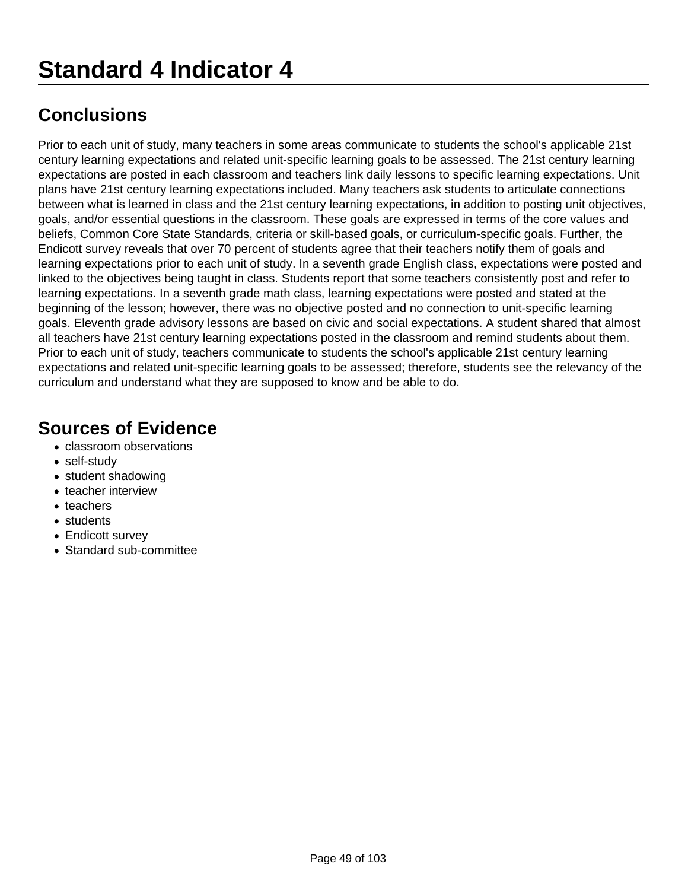Prior to each unit of study, many teachers in some areas communicate to students the school's applicable 21st century learning expectations and related unit-specific learning goals to be assessed. The 21st century learning expectations are posted in each classroom and teachers link daily lessons to specific learning expectations. Unit plans have 21st century learning expectations included. Many teachers ask students to articulate connections between what is learned in class and the 21st century learning expectations, in addition to posting unit objectives, goals, and/or essential questions in the classroom. These goals are expressed in terms of the core values and beliefs, Common Core State Standards, criteria or skill-based goals, or curriculum-specific goals. Further, the Endicott survey reveals that over 70 percent of students agree that their teachers notify them of goals and learning expectations prior to each unit of study. In a seventh grade English class, expectations were posted and linked to the objectives being taught in class. Students report that some teachers consistently post and refer to learning expectations. In a seventh grade math class, learning expectations were posted and stated at the beginning of the lesson; however, there was no objective posted and no connection to unit-specific learning goals. Eleventh grade advisory lessons are based on civic and social expectations. A student shared that almost all teachers have 21st century learning expectations posted in the classroom and remind students about them. Prior to each unit of study, teachers communicate to students the school's applicable 21st century learning expectations and related unit-specific learning goals to be assessed; therefore, students see the relevancy of the curriculum and understand what they are supposed to know and be able to do.

- classroom observations
- self-study
- student shadowing
- teacher interview
- teachers
- students
- Endicott survey
- Standard sub-committee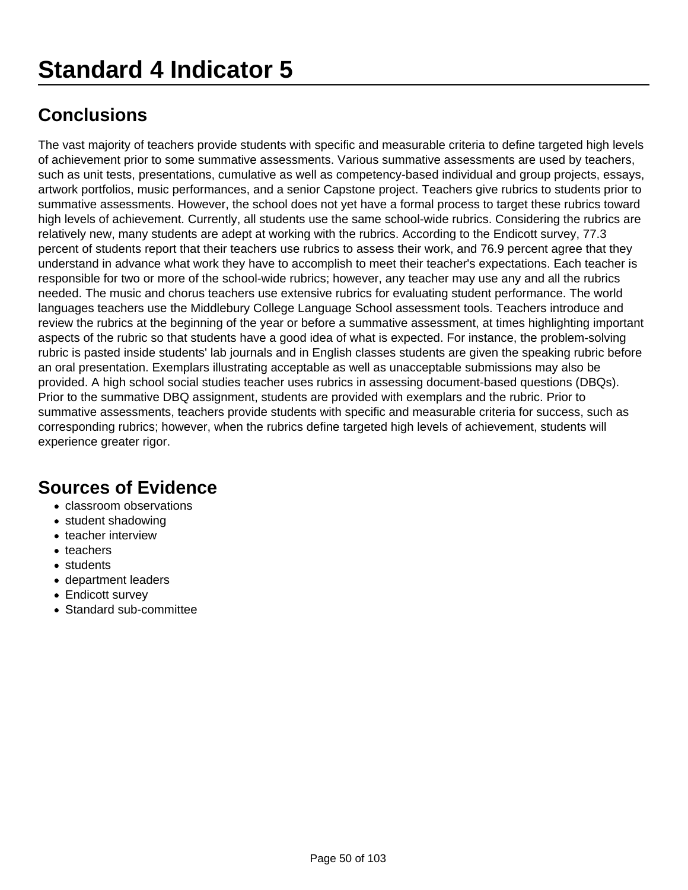The vast majority of teachers provide students with specific and measurable criteria to define targeted high levels of achievement prior to some summative assessments. Various summative assessments are used by teachers, such as unit tests, presentations, cumulative as well as competency-based individual and group projects, essays, artwork portfolios, music performances, and a senior Capstone project. Teachers give rubrics to students prior to summative assessments. However, the school does not yet have a formal process to target these rubrics toward high levels of achievement. Currently, all students use the same school-wide rubrics. Considering the rubrics are relatively new, many students are adept at working with the rubrics. According to the Endicott survey, 77.3 percent of students report that their teachers use rubrics to assess their work, and 76.9 percent agree that they understand in advance what work they have to accomplish to meet their teacher's expectations. Each teacher is responsible for two or more of the school-wide rubrics; however, any teacher may use any and all the rubrics needed. The music and chorus teachers use extensive rubrics for evaluating student performance. The world languages teachers use the Middlebury College Language School assessment tools. Teachers introduce and review the rubrics at the beginning of the year or before a summative assessment, at times highlighting important aspects of the rubric so that students have a good idea of what is expected. For instance, the problem-solving rubric is pasted inside students' lab journals and in English classes students are given the speaking rubric before an oral presentation. Exemplars illustrating acceptable as well as unacceptable submissions may also be provided. A high school social studies teacher uses rubrics in assessing document-based questions (DBQs). Prior to the summative DBQ assignment, students are provided with exemplars and the rubric. Prior to summative assessments, teachers provide students with specific and measurable criteria for success, such as corresponding rubrics; however, when the rubrics define targeted high levels of achievement, students will experience greater rigor.

- classroom observations
- student shadowing
- teacher interview
- teachers
- students
- department leaders
- Endicott survev
- Standard sub-committee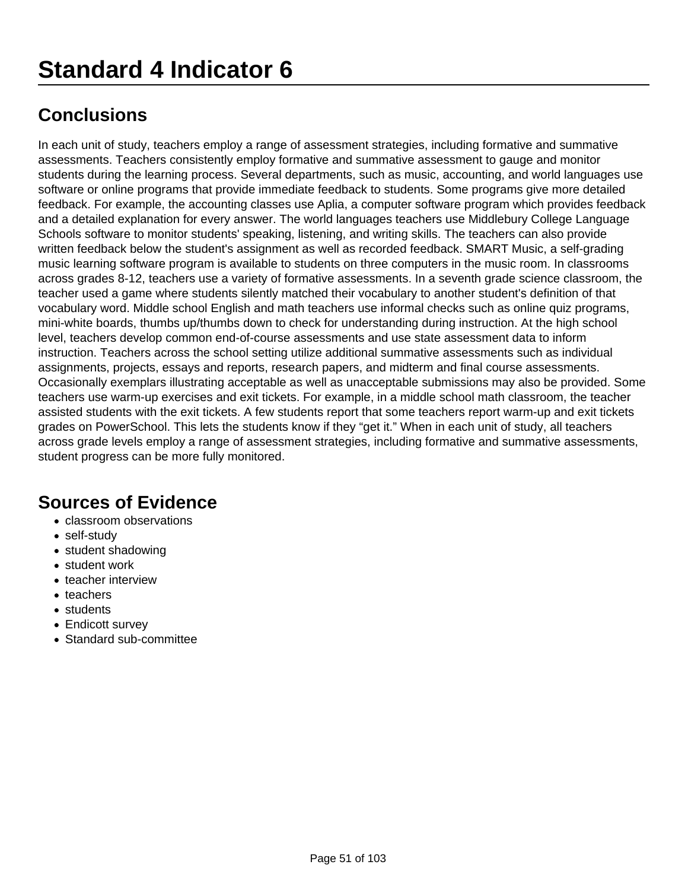In each unit of study, teachers employ a range of assessment strategies, including formative and summative assessments. Teachers consistently employ formative and summative assessment to gauge and monitor students during the learning process. Several departments, such as music, accounting, and world languages use software or online programs that provide immediate feedback to students. Some programs give more detailed feedback. For example, the accounting classes use Aplia, a computer software program which provides feedback and a detailed explanation for every answer. The world languages teachers use Middlebury College Language Schools software to monitor students' speaking, listening, and writing skills. The teachers can also provide written feedback below the student's assignment as well as recorded feedback. SMART Music, a self-grading music learning software program is available to students on three computers in the music room. In classrooms across grades 8-12, teachers use a variety of formative assessments. In a seventh grade science classroom, the teacher used a game where students silently matched their vocabulary to another student's definition of that vocabulary word. Middle school English and math teachers use informal checks such as online quiz programs, mini-white boards, thumbs up/thumbs down to check for understanding during instruction. At the high school level, teachers develop common end-of-course assessments and use state assessment data to inform instruction. Teachers across the school setting utilize additional summative assessments such as individual assignments, projects, essays and reports, research papers, and midterm and final course assessments. Occasionally exemplars illustrating acceptable as well as unacceptable submissions may also be provided. Some teachers use warm-up exercises and exit tickets. For example, in a middle school math classroom, the teacher assisted students with the exit tickets. A few students report that some teachers report warm-up and exit tickets grades on PowerSchool. This lets the students know if they "get it." When in each unit of study, all teachers across grade levels employ a range of assessment strategies, including formative and summative assessments, student progress can be more fully monitored.

- classroom observations
- self-study
- student shadowing
- student work
- teacher interview
- teachers
- students
- Endicott survey
- Standard sub-committee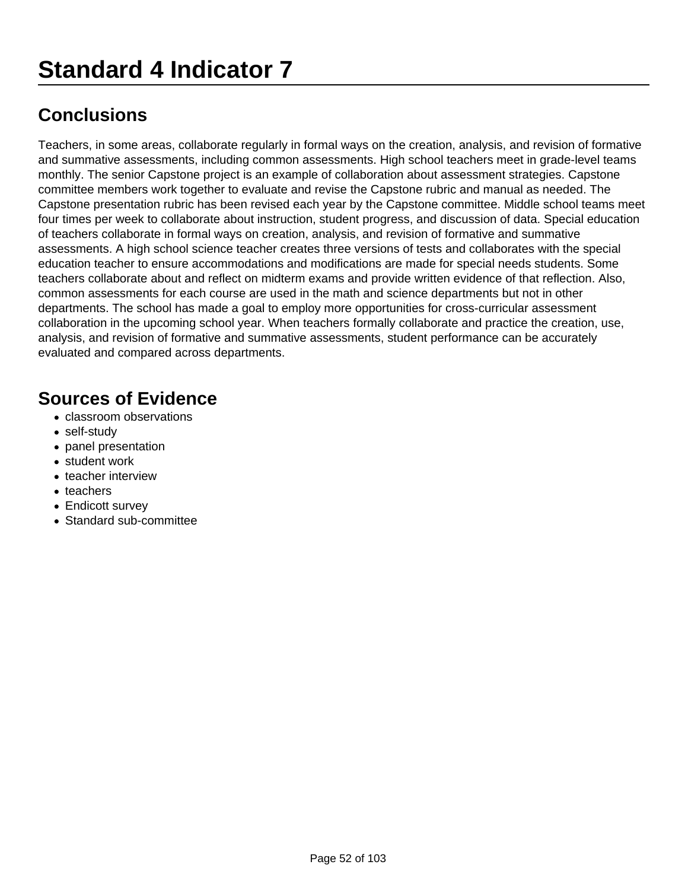Teachers, in some areas, collaborate regularly in formal ways on the creation, analysis, and revision of formative and summative assessments, including common assessments. High school teachers meet in grade-level teams monthly. The senior Capstone project is an example of collaboration about assessment strategies. Capstone committee members work together to evaluate and revise the Capstone rubric and manual as needed. The Capstone presentation rubric has been revised each year by the Capstone committee. Middle school teams meet four times per week to collaborate about instruction, student progress, and discussion of data. Special education of teachers collaborate in formal ways on creation, analysis, and revision of formative and summative assessments. A high school science teacher creates three versions of tests and collaborates with the special education teacher to ensure accommodations and modifications are made for special needs students. Some teachers collaborate about and reflect on midterm exams and provide written evidence of that reflection. Also, common assessments for each course are used in the math and science departments but not in other departments. The school has made a goal to employ more opportunities for cross-curricular assessment collaboration in the upcoming school year. When teachers formally collaborate and practice the creation, use, analysis, and revision of formative and summative assessments, student performance can be accurately evaluated and compared across departments.

- classroom observations
- self-study
- panel presentation
- student work
- teacher interview
- teachers
- Endicott survey
- Standard sub-committee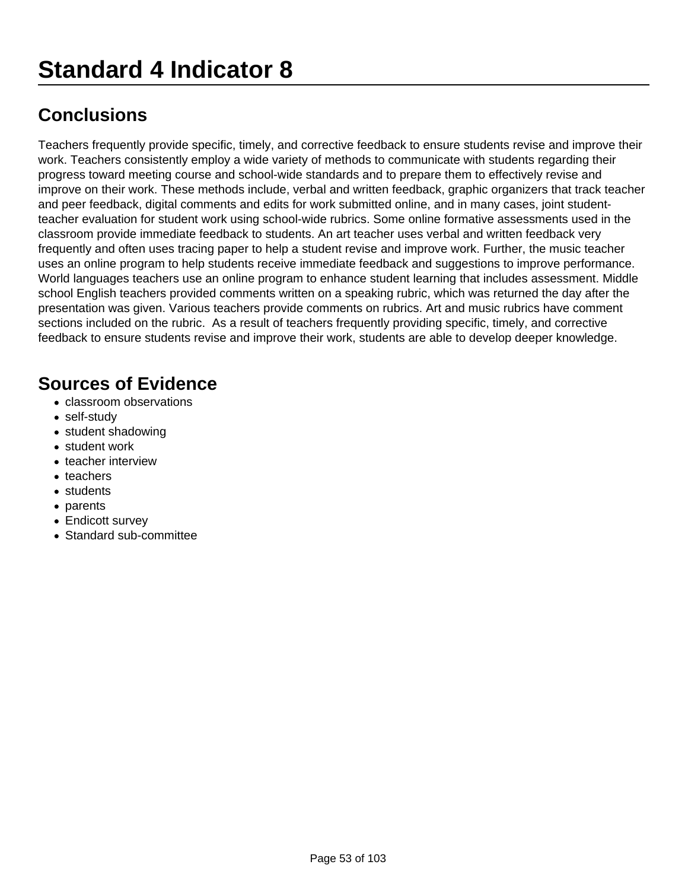Teachers frequently provide specific, timely, and corrective feedback to ensure students revise and improve their work. Teachers consistently employ a wide variety of methods to communicate with students regarding their progress toward meeting course and school-wide standards and to prepare them to effectively revise and improve on their work. These methods include, verbal and written feedback, graphic organizers that track teacher and peer feedback, digital comments and edits for work submitted online, and in many cases, joint studentteacher evaluation for student work using school-wide rubrics. Some online formative assessments used in the classroom provide immediate feedback to students. An art teacher uses verbal and written feedback very frequently and often uses tracing paper to help a student revise and improve work. Further, the music teacher uses an online program to help students receive immediate feedback and suggestions to improve performance. World languages teachers use an online program to enhance student learning that includes assessment. Middle school English teachers provided comments written on a speaking rubric, which was returned the day after the presentation was given. Various teachers provide comments on rubrics. Art and music rubrics have comment sections included on the rubric. As a result of teachers frequently providing specific, timely, and corrective feedback to ensure students revise and improve their work, students are able to develop deeper knowledge.

- classroom observations
- self-study
- student shadowing
- student work
- teacher interview
- teachers
- students
- parents
- Endicott survey
- Standard sub-committee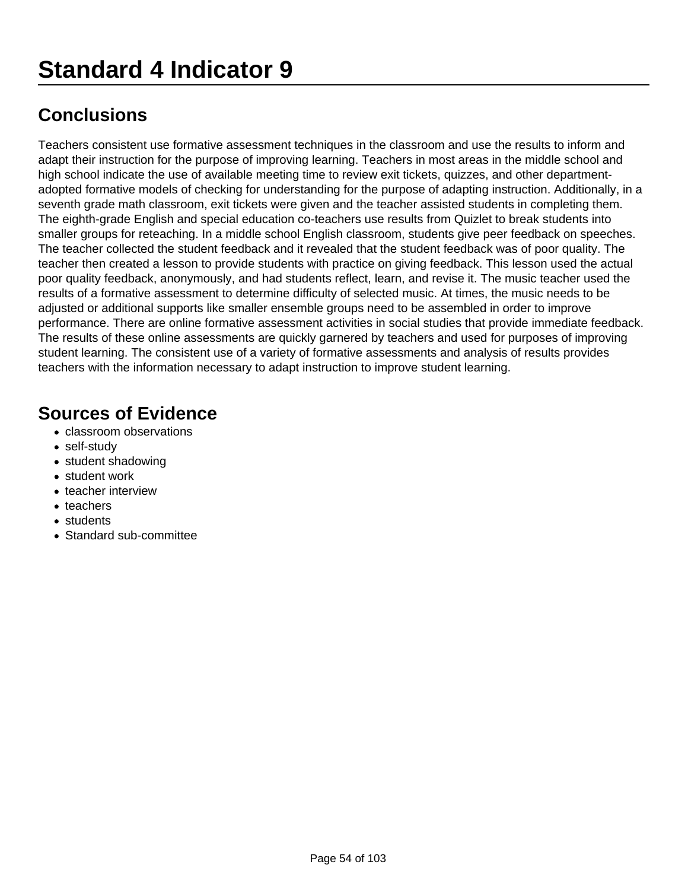Teachers consistent use formative assessment techniques in the classroom and use the results to inform and adapt their instruction for the purpose of improving learning. Teachers in most areas in the middle school and high school indicate the use of available meeting time to review exit tickets, quizzes, and other departmentadopted formative models of checking for understanding for the purpose of adapting instruction. Additionally, in a seventh grade math classroom, exit tickets were given and the teacher assisted students in completing them. The eighth-grade English and special education co-teachers use results from Quizlet to break students into smaller groups for reteaching. In a middle school English classroom, students give peer feedback on speeches. The teacher collected the student feedback and it revealed that the student feedback was of poor quality. The teacher then created a lesson to provide students with practice on giving feedback. This lesson used the actual poor quality feedback, anonymously, and had students reflect, learn, and revise it. The music teacher used the results of a formative assessment to determine difficulty of selected music. At times, the music needs to be adjusted or additional supports like smaller ensemble groups need to be assembled in order to improve performance. There are online formative assessment activities in social studies that provide immediate feedback. The results of these online assessments are quickly garnered by teachers and used for purposes of improving student learning. The consistent use of a variety of formative assessments and analysis of results provides teachers with the information necessary to adapt instruction to improve student learning.

- classroom observations
- self-study
- student shadowing
- student work
- teacher interview
- teachers
- students
- Standard sub-committee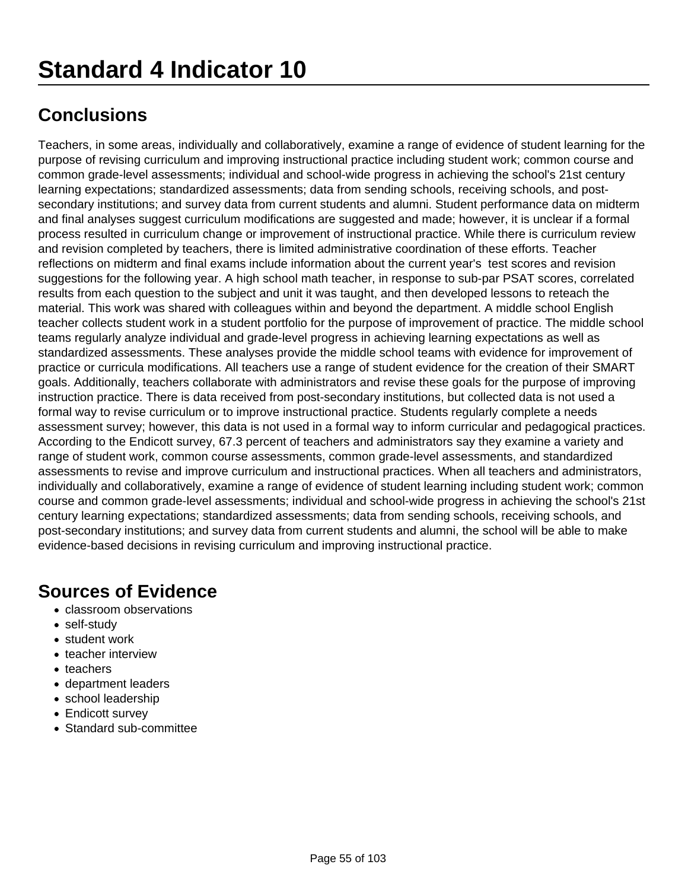Teachers, in some areas, individually and collaboratively, examine a range of evidence of student learning for the purpose of revising curriculum and improving instructional practice including student work; common course and common grade-level assessments; individual and school-wide progress in achieving the school's 21st century learning expectations; standardized assessments; data from sending schools, receiving schools, and postsecondary institutions; and survey data from current students and alumni. Student performance data on midterm and final analyses suggest curriculum modifications are suggested and made; however, it is unclear if a formal process resulted in curriculum change or improvement of instructional practice. While there is curriculum review and revision completed by teachers, there is limited administrative coordination of these efforts. Teacher reflections on midterm and final exams include information about the current year's test scores and revision suggestions for the following year. A high school math teacher, in response to sub-par PSAT scores, correlated results from each question to the subject and unit it was taught, and then developed lessons to reteach the material. This work was shared with colleagues within and beyond the department. A middle school English teacher collects student work in a student portfolio for the purpose of improvement of practice. The middle school teams regularly analyze individual and grade-level progress in achieving learning expectations as well as standardized assessments. These analyses provide the middle school teams with evidence for improvement of practice or curricula modifications. All teachers use a range of student evidence for the creation of their SMART goals. Additionally, teachers collaborate with administrators and revise these goals for the purpose of improving instruction practice. There is data received from post-secondary institutions, but collected data is not used a formal way to revise curriculum or to improve instructional practice. Students regularly complete a needs assessment survey; however, this data is not used in a formal way to inform curricular and pedagogical practices. According to the Endicott survey, 67.3 percent of teachers and administrators say they examine a variety and range of student work, common course assessments, common grade-level assessments, and standardized assessments to revise and improve curriculum and instructional practices. When all teachers and administrators, individually and collaboratively, examine a range of evidence of student learning including student work; common course and common grade-level assessments; individual and school-wide progress in achieving the school's 21st century learning expectations; standardized assessments; data from sending schools, receiving schools, and post-secondary institutions; and survey data from current students and alumni, the school will be able to make evidence-based decisions in revising curriculum and improving instructional practice.

- classroom observations
- self-study
- student work
- teacher interview
- teachers
- department leaders
- school leadership
- Endicott survey
- Standard sub-committee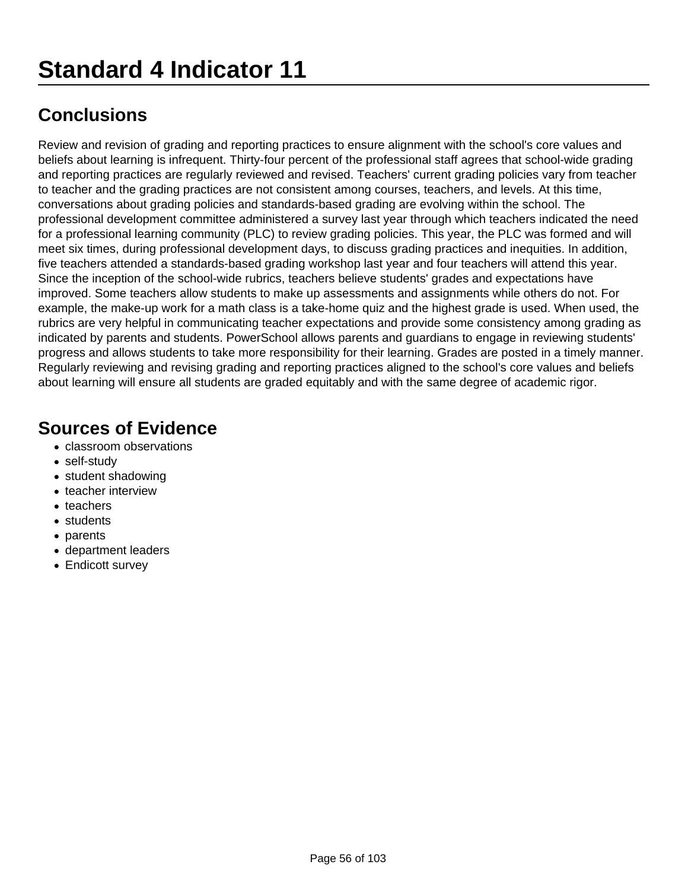Review and revision of grading and reporting practices to ensure alignment with the school's core values and beliefs about learning is infrequent. Thirty-four percent of the professional staff agrees that school-wide grading and reporting practices are regularly reviewed and revised. Teachers' current grading policies vary from teacher to teacher and the grading practices are not consistent among courses, teachers, and levels. At this time, conversations about grading policies and standards-based grading are evolving within the school. The professional development committee administered a survey last year through which teachers indicated the need for a professional learning community (PLC) to review grading policies. This year, the PLC was formed and will meet six times, during professional development days, to discuss grading practices and inequities. In addition, five teachers attended a standards-based grading workshop last year and four teachers will attend this year. Since the inception of the school-wide rubrics, teachers believe students' grades and expectations have improved. Some teachers allow students to make up assessments and assignments while others do not. For example, the make-up work for a math class is a take-home quiz and the highest grade is used. When used, the rubrics are very helpful in communicating teacher expectations and provide some consistency among grading as indicated by parents and students. PowerSchool allows parents and guardians to engage in reviewing students' progress and allows students to take more responsibility for their learning. Grades are posted in a timely manner. Regularly reviewing and revising grading and reporting practices aligned to the school's core values and beliefs about learning will ensure all students are graded equitably and with the same degree of academic rigor.

- classroom observations
- self-study
- student shadowing
- teacher interview
- teachers
- students
- parents
- department leaders
- Endicott survey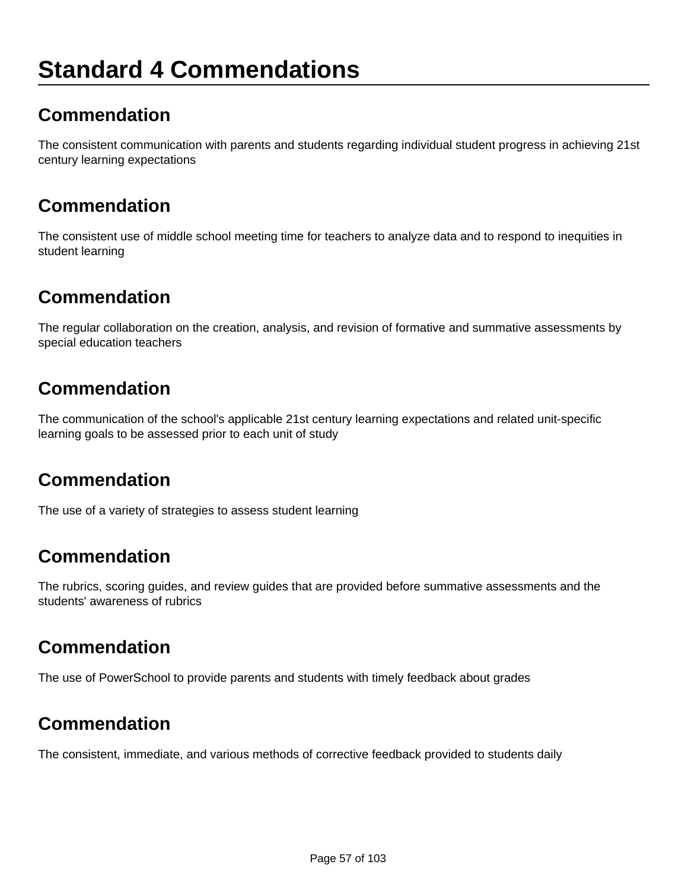# **Standard 4 Commendations**

## **Commendation**

The consistent communication with parents and students regarding individual student progress in achieving 21st century learning expectations

#### **Commendation**

The consistent use of middle school meeting time for teachers to analyze data and to respond to inequities in student learning

### **Commendation**

The regular collaboration on the creation, analysis, and revision of formative and summative assessments by special education teachers

## **Commendation**

The communication of the school's applicable 21st century learning expectations and related unit-specific learning goals to be assessed prior to each unit of study

### **Commendation**

The use of a variety of strategies to assess student learning

### **Commendation**

The rubrics, scoring guides, and review guides that are provided before summative assessments and the students' awareness of rubrics

### **Commendation**

The use of PowerSchool to provide parents and students with timely feedback about grades

### **Commendation**

The consistent, immediate, and various methods of corrective feedback provided to students daily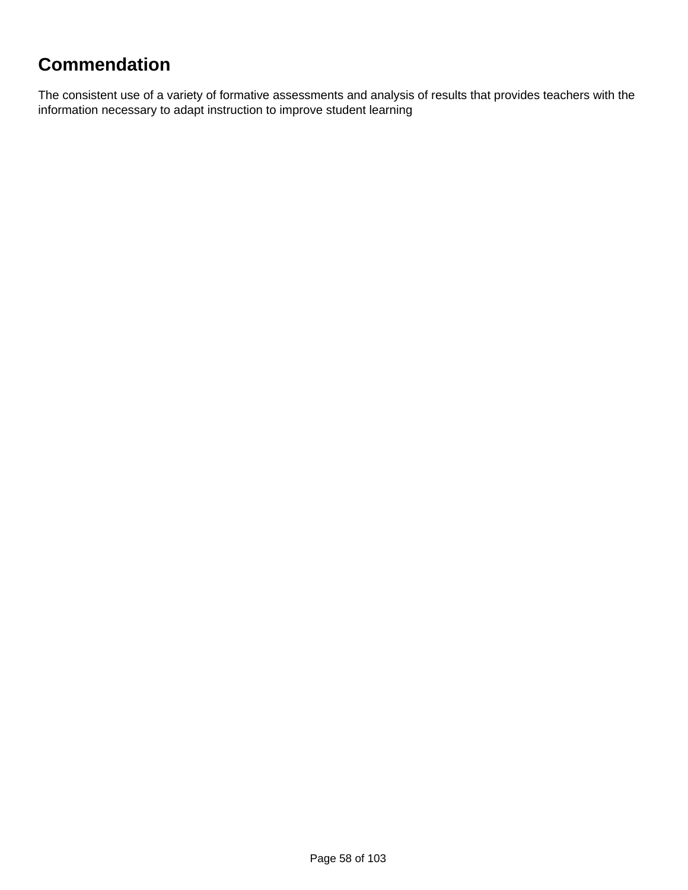# **Commendation**

The consistent use of a variety of formative assessments and analysis of results that provides teachers with the information necessary to adapt instruction to improve student learning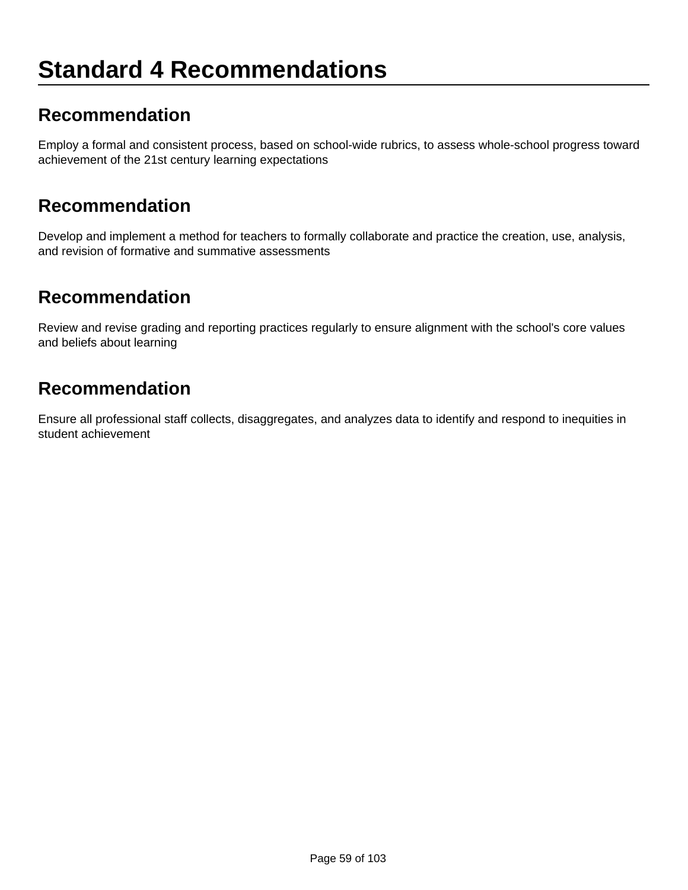# **Standard 4 Recommendations**

#### **Recommendation**

Employ a formal and consistent process, based on school-wide rubrics, to assess whole-school progress toward achievement of the 21st century learning expectations

#### **Recommendation**

Develop and implement a method for teachers to formally collaborate and practice the creation, use, analysis, and revision of formative and summative assessments

#### **Recommendation**

Review and revise grading and reporting practices regularly to ensure alignment with the school's core values and beliefs about learning

#### **Recommendation**

Ensure all professional staff collects, disaggregates, and analyzes data to identify and respond to inequities in student achievement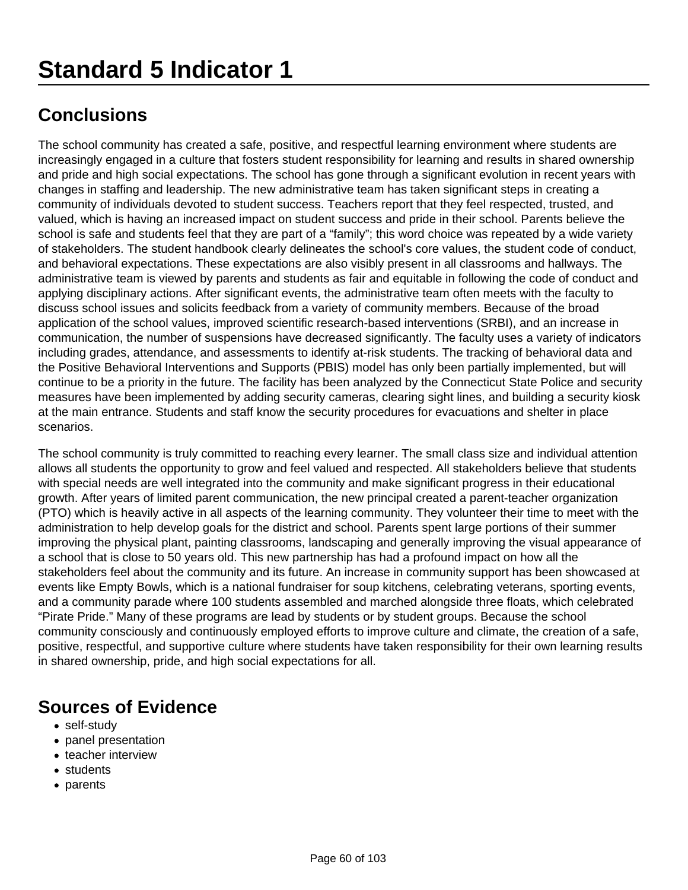The school community has created a safe, positive, and respectful learning environment where students are increasingly engaged in a culture that fosters student responsibility for learning and results in shared ownership and pride and high social expectations. The school has gone through a significant evolution in recent years with changes in staffing and leadership. The new administrative team has taken significant steps in creating a community of individuals devoted to student success. Teachers report that they feel respected, trusted, and valued, which is having an increased impact on student success and pride in their school. Parents believe the school is safe and students feel that they are part of a "family"; this word choice was repeated by a wide variety of stakeholders. The student handbook clearly delineates the school's core values, the student code of conduct, and behavioral expectations. These expectations are also visibly present in all classrooms and hallways. The administrative team is viewed by parents and students as fair and equitable in following the code of conduct and applying disciplinary actions. After significant events, the administrative team often meets with the faculty to discuss school issues and solicits feedback from a variety of community members. Because of the broad application of the school values, improved scientific research-based interventions (SRBI), and an increase in communication, the number of suspensions have decreased significantly. The faculty uses a variety of indicators including grades, attendance, and assessments to identify at-risk students. The tracking of behavioral data and the Positive Behavioral Interventions and Supports (PBIS) model has only been partially implemented, but will continue to be a priority in the future. The facility has been analyzed by the Connecticut State Police and security measures have been implemented by adding security cameras, clearing sight lines, and building a security kiosk at the main entrance. Students and staff know the security procedures for evacuations and shelter in place scenarios.

The school community is truly committed to reaching every learner. The small class size and individual attention allows all students the opportunity to grow and feel valued and respected. All stakeholders believe that students with special needs are well integrated into the community and make significant progress in their educational growth. After years of limited parent communication, the new principal created a parent-teacher organization (PTO) which is heavily active in all aspects of the learning community. They volunteer their time to meet with the administration to help develop goals for the district and school. Parents spent large portions of their summer improving the physical plant, painting classrooms, landscaping and generally improving the visual appearance of a school that is close to 50 years old. This new partnership has had a profound impact on how all the stakeholders feel about the community and its future. An increase in community support has been showcased at events like Empty Bowls, which is a national fundraiser for soup kitchens, celebrating veterans, sporting events, and a community parade where 100 students assembled and marched alongside three floats, which celebrated "Pirate Pride." Many of these programs are lead by students or by student groups. Because the school community consciously and continuously employed efforts to improve culture and climate, the creation of a safe, positive, respectful, and supportive culture where students have taken responsibility for their own learning results in shared ownership, pride, and high social expectations for all.

- self-study
- panel presentation
- teacher interview
- students
- parents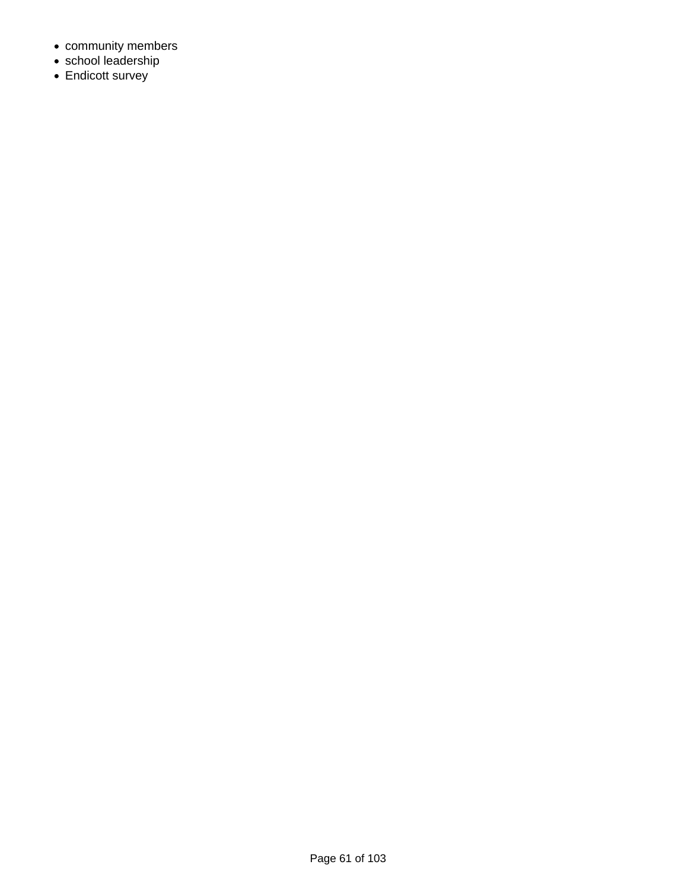- community members
- school leadership
- Endicott survey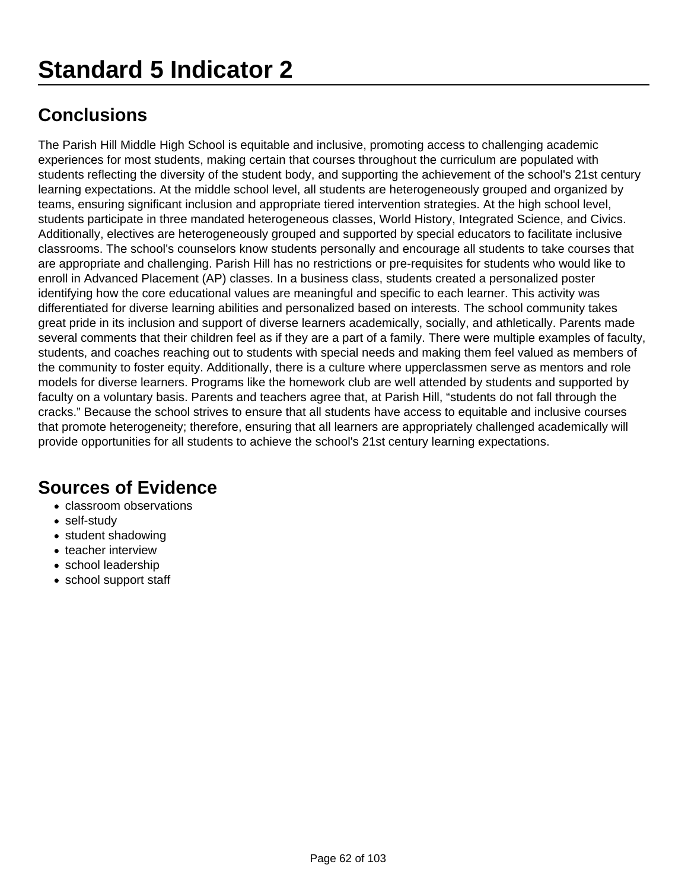# **Standard 5 Indicator 2**

# **Conclusions**

The Parish Hill Middle High School is equitable and inclusive, promoting access to challenging academic experiences for most students, making certain that courses throughout the curriculum are populated with students reflecting the diversity of the student body, and supporting the achievement of the school's 21st century learning expectations. At the middle school level, all students are heterogeneously grouped and organized by teams, ensuring significant inclusion and appropriate tiered intervention strategies. At the high school level, students participate in three mandated heterogeneous classes, World History, Integrated Science, and Civics. Additionally, electives are heterogeneously grouped and supported by special educators to facilitate inclusive classrooms. The school's counselors know students personally and encourage all students to take courses that are appropriate and challenging. Parish Hill has no restrictions or pre-requisites for students who would like to enroll in Advanced Placement (AP) classes. In a business class, students created a personalized poster identifying how the core educational values are meaningful and specific to each learner. This activity was differentiated for diverse learning abilities and personalized based on interests. The school community takes great pride in its inclusion and support of diverse learners academically, socially, and athletically. Parents made several comments that their children feel as if they are a part of a family. There were multiple examples of faculty, students, and coaches reaching out to students with special needs and making them feel valued as members of the community to foster equity. Additionally, there is a culture where upperclassmen serve as mentors and role models for diverse learners. Programs like the homework club are well attended by students and supported by faculty on a voluntary basis. Parents and teachers agree that, at Parish Hill, "students do not fall through the cracks." Because the school strives to ensure that all students have access to equitable and inclusive courses that promote heterogeneity; therefore, ensuring that all learners are appropriately challenged academically will provide opportunities for all students to achieve the school's 21st century learning expectations.

- classroom observations
- self-study
- student shadowing
- teacher interview
- school leadership
- school support staff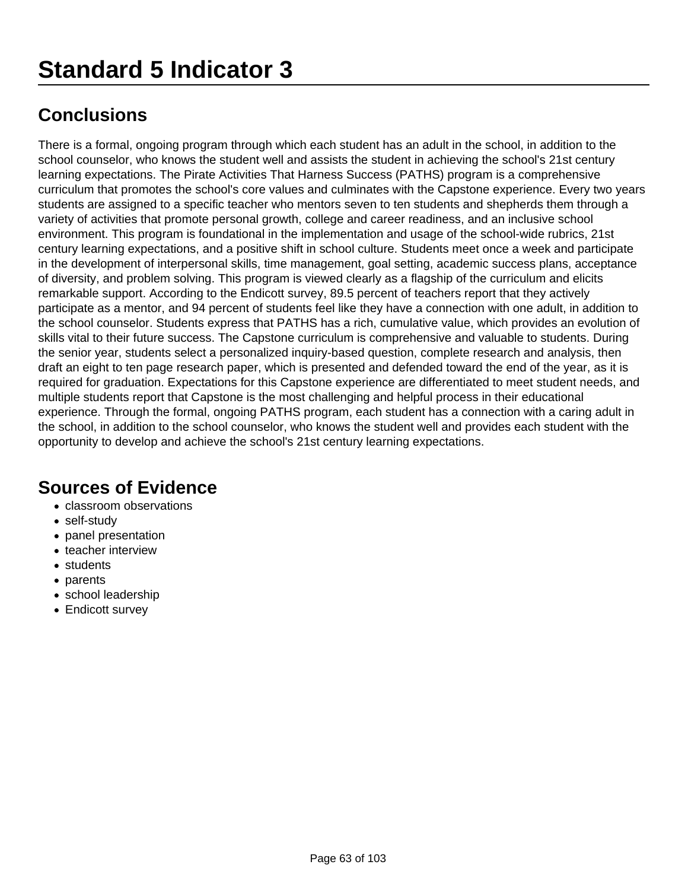# **Standard 5 Indicator 3**

# **Conclusions**

There is a formal, ongoing program through which each student has an adult in the school, in addition to the school counselor, who knows the student well and assists the student in achieving the school's 21st century learning expectations. The Pirate Activities That Harness Success (PATHS) program is a comprehensive curriculum that promotes the school's core values and culminates with the Capstone experience. Every two years students are assigned to a specific teacher who mentors seven to ten students and shepherds them through a variety of activities that promote personal growth, college and career readiness, and an inclusive school environment. This program is foundational in the implementation and usage of the school-wide rubrics, 21st century learning expectations, and a positive shift in school culture. Students meet once a week and participate in the development of interpersonal skills, time management, goal setting, academic success plans, acceptance of diversity, and problem solving. This program is viewed clearly as a flagship of the curriculum and elicits remarkable support. According to the Endicott survey, 89.5 percent of teachers report that they actively participate as a mentor, and 94 percent of students feel like they have a connection with one adult, in addition to the school counselor. Students express that PATHS has a rich, cumulative value, which provides an evolution of skills vital to their future success. The Capstone curriculum is comprehensive and valuable to students. During the senior year, students select a personalized inquiry-based question, complete research and analysis, then draft an eight to ten page research paper, which is presented and defended toward the end of the year, as it is required for graduation. Expectations for this Capstone experience are differentiated to meet student needs, and multiple students report that Capstone is the most challenging and helpful process in their educational experience. Through the formal, ongoing PATHS program, each student has a connection with a caring adult in the school, in addition to the school counselor, who knows the student well and provides each student with the opportunity to develop and achieve the school's 21st century learning expectations.

- classroom observations
- self-study
- panel presentation
- teacher interview
- students
- parents
- school leadership
- Endicott survey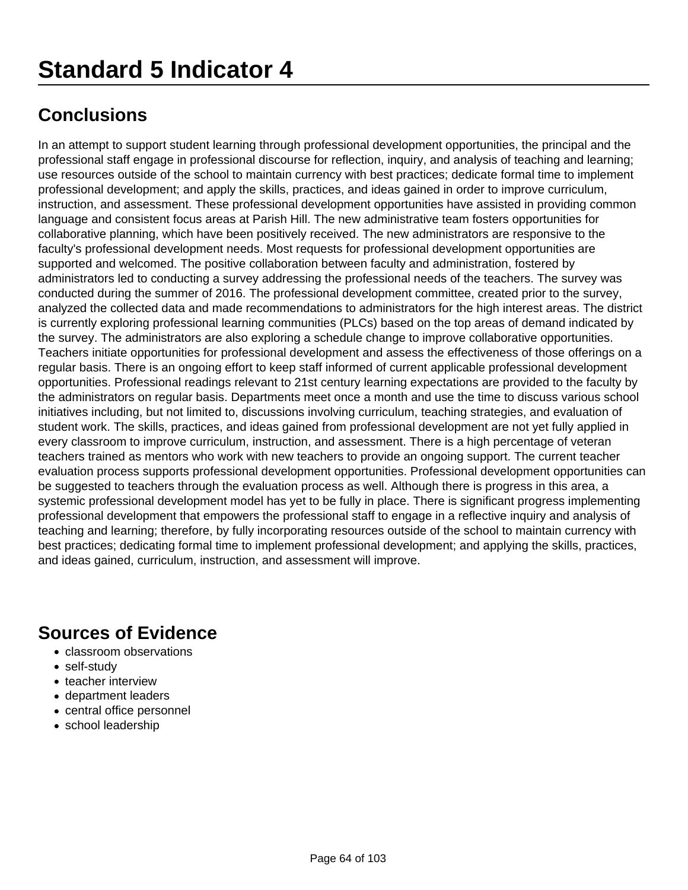In an attempt to support student learning through professional development opportunities, the principal and the professional staff engage in professional discourse for reflection, inquiry, and analysis of teaching and learning; use resources outside of the school to maintain currency with best practices; dedicate formal time to implement professional development; and apply the skills, practices, and ideas gained in order to improve curriculum, instruction, and assessment. These professional development opportunities have assisted in providing common language and consistent focus areas at Parish Hill. The new administrative team fosters opportunities for collaborative planning, which have been positively received. The new administrators are responsive to the faculty's professional development needs. Most requests for professional development opportunities are supported and welcomed. The positive collaboration between faculty and administration, fostered by administrators led to conducting a survey addressing the professional needs of the teachers. The survey was conducted during the summer of 2016. The professional development committee, created prior to the survey, analyzed the collected data and made recommendations to administrators for the high interest areas. The district is currently exploring professional learning communities (PLCs) based on the top areas of demand indicated by the survey. The administrators are also exploring a schedule change to improve collaborative opportunities. Teachers initiate opportunities for professional development and assess the effectiveness of those offerings on a regular basis. There is an ongoing effort to keep staff informed of current applicable professional development opportunities. Professional readings relevant to 21st century learning expectations are provided to the faculty by the administrators on regular basis. Departments meet once a month and use the time to discuss various school initiatives including, but not limited to, discussions involving curriculum, teaching strategies, and evaluation of student work. The skills, practices, and ideas gained from professional development are not yet fully applied in every classroom to improve curriculum, instruction, and assessment. There is a high percentage of veteran teachers trained as mentors who work with new teachers to provide an ongoing support. The current teacher evaluation process supports professional development opportunities. Professional development opportunities can be suggested to teachers through the evaluation process as well. Although there is progress in this area, a systemic professional development model has yet to be fully in place. There is significant progress implementing professional development that empowers the professional staff to engage in a reflective inquiry and analysis of teaching and learning; therefore, by fully incorporating resources outside of the school to maintain currency with best practices; dedicating formal time to implement professional development; and applying the skills, practices, and ideas gained, curriculum, instruction, and assessment will improve.

- classroom observations
- self-study
- teacher interview
- department leaders
- central office personnel
- school leadership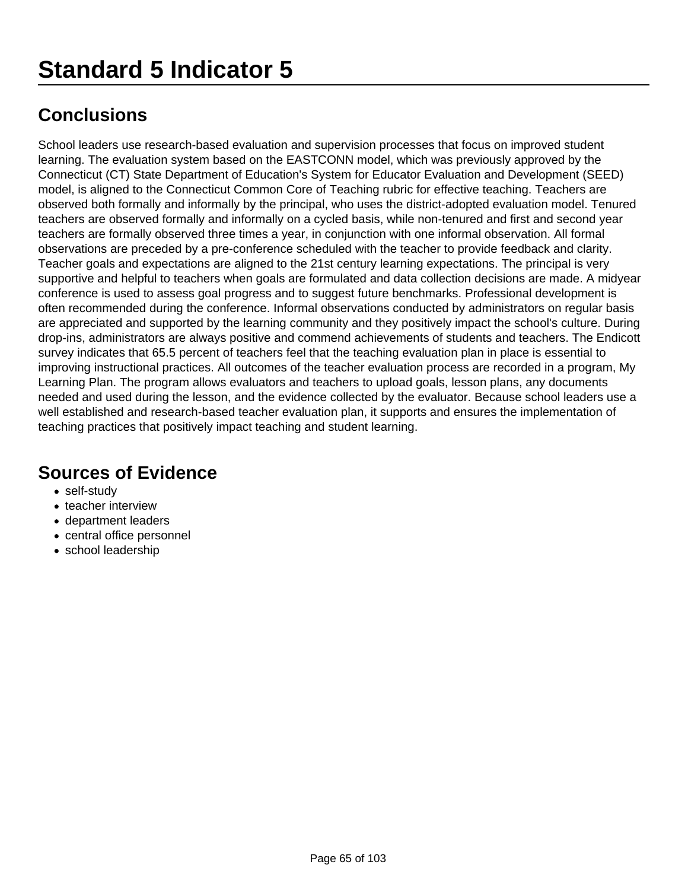School leaders use research-based evaluation and supervision processes that focus on improved student learning. The evaluation system based on the EASTCONN model, which was previously approved by the Connecticut (CT) State Department of Education's System for Educator Evaluation and Development (SEED) model, is aligned to the Connecticut Common Core of Teaching rubric for effective teaching. Teachers are observed both formally and informally by the principal, who uses the district-adopted evaluation model. Tenured teachers are observed formally and informally on a cycled basis, while non-tenured and first and second year teachers are formally observed three times a year, in conjunction with one informal observation. All formal observations are preceded by a pre-conference scheduled with the teacher to provide feedback and clarity. Teacher goals and expectations are aligned to the 21st century learning expectations. The principal is very supportive and helpful to teachers when goals are formulated and data collection decisions are made. A midyear conference is used to assess goal progress and to suggest future benchmarks. Professional development is often recommended during the conference. Informal observations conducted by administrators on regular basis are appreciated and supported by the learning community and they positively impact the school's culture. During drop-ins, administrators are always positive and commend achievements of students and teachers. The Endicott survey indicates that 65.5 percent of teachers feel that the teaching evaluation plan in place is essential to improving instructional practices. All outcomes of the teacher evaluation process are recorded in a program, My Learning Plan. The program allows evaluators and teachers to upload goals, lesson plans, any documents needed and used during the lesson, and the evidence collected by the evaluator. Because school leaders use a well established and research-based teacher evaluation plan, it supports and ensures the implementation of teaching practices that positively impact teaching and student learning.

- self-study
- teacher interview
- department leaders
- central office personnel
- school leadership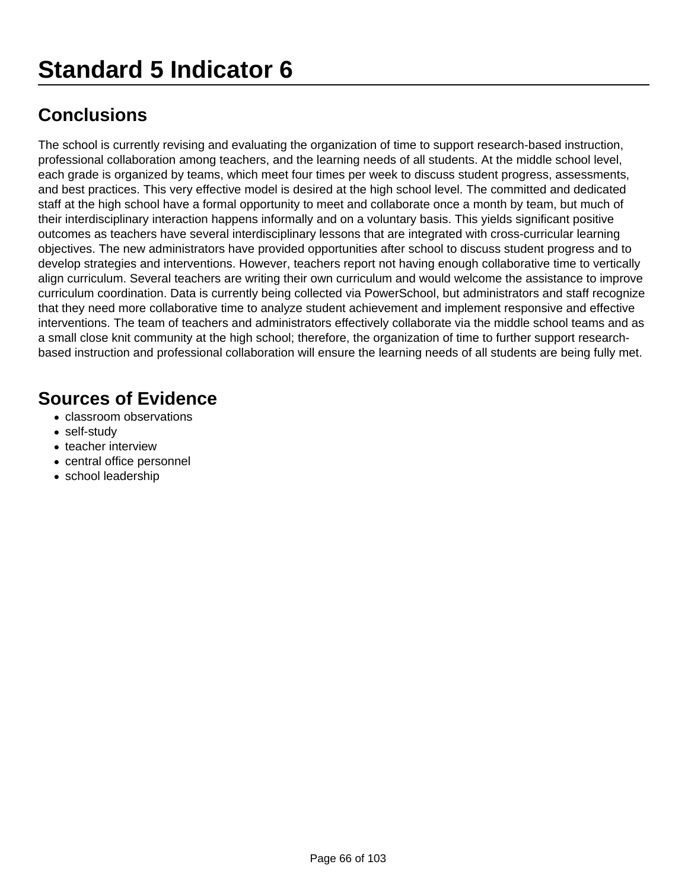The school is currently revising and evaluating the organization of time to support research-based instruction, professional collaboration among teachers, and the learning needs of all students. At the middle school level, each grade is organized by teams, which meet four times per week to discuss student progress, assessments, and best practices. This very effective model is desired at the high school level. The committed and dedicated staff at the high school have a formal opportunity to meet and collaborate once a month by team, but much of their interdisciplinary interaction happens informally and on a voluntary basis. This yields significant positive outcomes as teachers have several interdisciplinary lessons that are integrated with cross-curricular learning objectives. The new administrators have provided opportunities after school to discuss student progress and to develop strategies and interventions. However, teachers report not having enough collaborative time to vertically align curriculum. Several teachers are writing their own curriculum and would welcome the assistance to improve curriculum coordination. Data is currently being collected via PowerSchool, but administrators and staff recognize that they need more collaborative time to analyze student achievement and implement responsive and effective interventions. The team of teachers and administrators effectively collaborate via the middle school teams and as a small close knit community at the high school; therefore, the organization of time to further support researchbased instruction and professional collaboration will ensure the learning needs of all students are being fully met.

- classroom observations
- self-study
- teacher interview
- central office personnel
- school leadership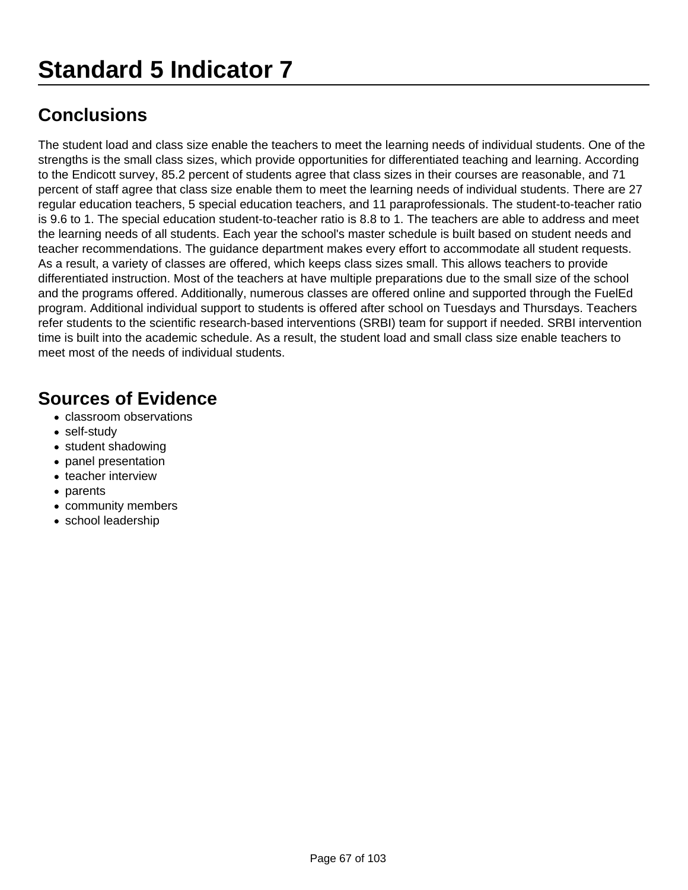The student load and class size enable the teachers to meet the learning needs of individual students. One of the strengths is the small class sizes, which provide opportunities for differentiated teaching and learning. According to the Endicott survey, 85.2 percent of students agree that class sizes in their courses are reasonable, and 71 percent of staff agree that class size enable them to meet the learning needs of individual students. There are 27 regular education teachers, 5 special education teachers, and 11 paraprofessionals. The student-to-teacher ratio is 9.6 to 1. The special education student-to-teacher ratio is 8.8 to 1. The teachers are able to address and meet the learning needs of all students. Each year the school's master schedule is built based on student needs and teacher recommendations. The guidance department makes every effort to accommodate all student requests. As a result, a variety of classes are offered, which keeps class sizes small. This allows teachers to provide differentiated instruction. Most of the teachers at have multiple preparations due to the small size of the school and the programs offered. Additionally, numerous classes are offered online and supported through the FuelEd program. Additional individual support to students is offered after school on Tuesdays and Thursdays. Teachers refer students to the scientific research-based interventions (SRBI) team for support if needed. SRBI intervention time is built into the academic schedule. As a result, the student load and small class size enable teachers to meet most of the needs of individual students.

- classroom observations
- self-study
- student shadowing
- panel presentation
- teacher interview
- parents
- community members
- school leadership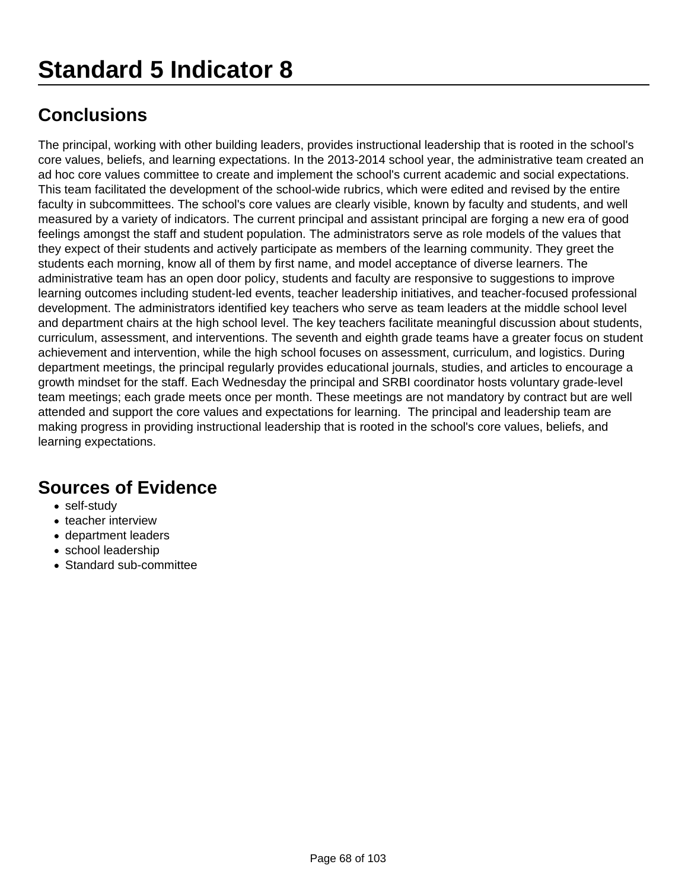# **Standard 5 Indicator 8**

# **Conclusions**

The principal, working with other building leaders, provides instructional leadership that is rooted in the school's core values, beliefs, and learning expectations. In the 2013-2014 school year, the administrative team created an ad hoc core values committee to create and implement the school's current academic and social expectations. This team facilitated the development of the school-wide rubrics, which were edited and revised by the entire faculty in subcommittees. The school's core values are clearly visible, known by faculty and students, and well measured by a variety of indicators. The current principal and assistant principal are forging a new era of good feelings amongst the staff and student population. The administrators serve as role models of the values that they expect of their students and actively participate as members of the learning community. They greet the students each morning, know all of them by first name, and model acceptance of diverse learners. The administrative team has an open door policy, students and faculty are responsive to suggestions to improve learning outcomes including student-led events, teacher leadership initiatives, and teacher-focused professional development. The administrators identified key teachers who serve as team leaders at the middle school level and department chairs at the high school level. The key teachers facilitate meaningful discussion about students, curriculum, assessment, and interventions. The seventh and eighth grade teams have a greater focus on student achievement and intervention, while the high school focuses on assessment, curriculum, and logistics. During department meetings, the principal regularly provides educational journals, studies, and articles to encourage a growth mindset for the staff. Each Wednesday the principal and SRBI coordinator hosts voluntary grade-level team meetings; each grade meets once per month. These meetings are not mandatory by contract but are well attended and support the core values and expectations for learning. The principal and leadership team are making progress in providing instructional leadership that is rooted in the school's core values, beliefs, and learning expectations.

- self-study
- teacher interview
- department leaders
- school leadership
- Standard sub-committee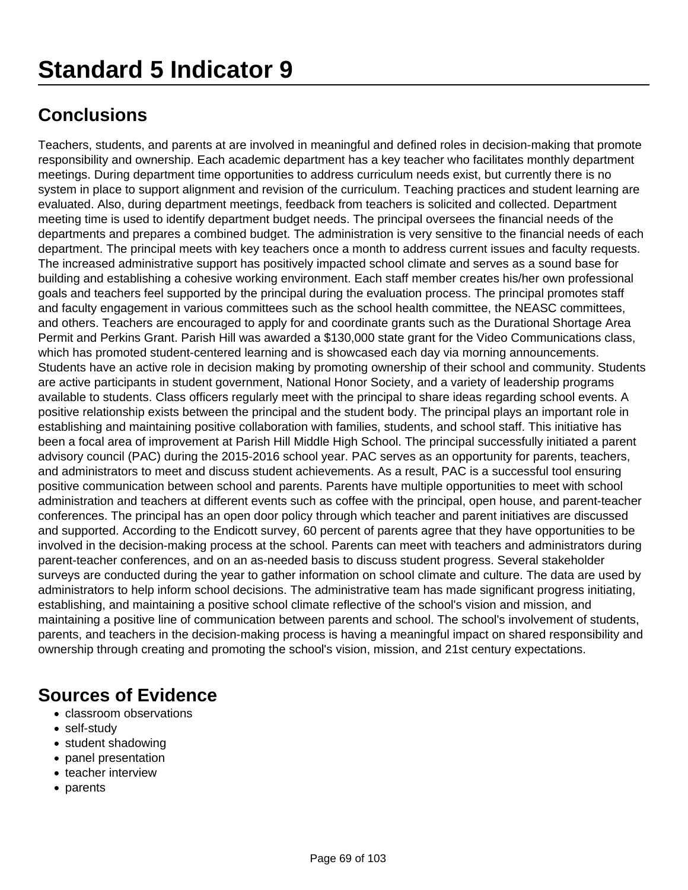Teachers, students, and parents at are involved in meaningful and defined roles in decision-making that promote responsibility and ownership. Each academic department has a key teacher who facilitates monthly department meetings. During department time opportunities to address curriculum needs exist, but currently there is no system in place to support alignment and revision of the curriculum. Teaching practices and student learning are evaluated. Also, during department meetings, feedback from teachers is solicited and collected. Department meeting time is used to identify department budget needs. The principal oversees the financial needs of the departments and prepares a combined budget. The administration is very sensitive to the financial needs of each department. The principal meets with key teachers once a month to address current issues and faculty requests. The increased administrative support has positively impacted school climate and serves as a sound base for building and establishing a cohesive working environment. Each staff member creates his/her own professional goals and teachers feel supported by the principal during the evaluation process. The principal promotes staff and faculty engagement in various committees such as the school health committee, the NEASC committees, and others. Teachers are encouraged to apply for and coordinate grants such as the Durational Shortage Area Permit and Perkins Grant. Parish Hill was awarded a \$130,000 state grant for the Video Communications class, which has promoted student-centered learning and is showcased each day via morning announcements. Students have an active role in decision making by promoting ownership of their school and community. Students are active participants in student government, National Honor Society, and a variety of leadership programs available to students. Class officers regularly meet with the principal to share ideas regarding school events. A positive relationship exists between the principal and the student body. The principal plays an important role in establishing and maintaining positive collaboration with families, students, and school staff. This initiative has been a focal area of improvement at Parish Hill Middle High School. The principal successfully initiated a parent advisory council (PAC) during the 2015-2016 school year. PAC serves as an opportunity for parents, teachers, and administrators to meet and discuss student achievements. As a result, PAC is a successful tool ensuring positive communication between school and parents. Parents have multiple opportunities to meet with school administration and teachers at different events such as coffee with the principal, open house, and parent-teacher conferences. The principal has an open door policy through which teacher and parent initiatives are discussed and supported. According to the Endicott survey, 60 percent of parents agree that they have opportunities to be involved in the decision-making process at the school. Parents can meet with teachers and administrators during parent-teacher conferences, and on an as-needed basis to discuss student progress. Several stakeholder surveys are conducted during the year to gather information on school climate and culture. The data are used by administrators to help inform school decisions. The administrative team has made significant progress initiating, establishing, and maintaining a positive school climate reflective of the school's vision and mission, and maintaining a positive line of communication between parents and school. The school's involvement of students, parents, and teachers in the decision-making process is having a meaningful impact on shared responsibility and ownership through creating and promoting the school's vision, mission, and 21st century expectations.

- classroom observations
- self-study
- student shadowing
- panel presentation
- teacher interview
- parents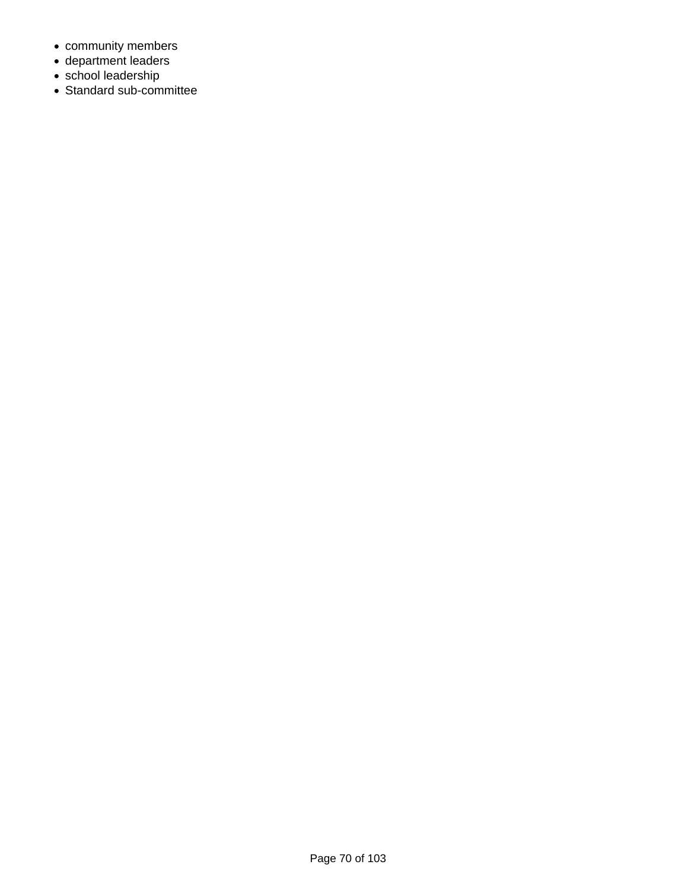- community members
- department leaders
- school leadership
- Standard sub-committee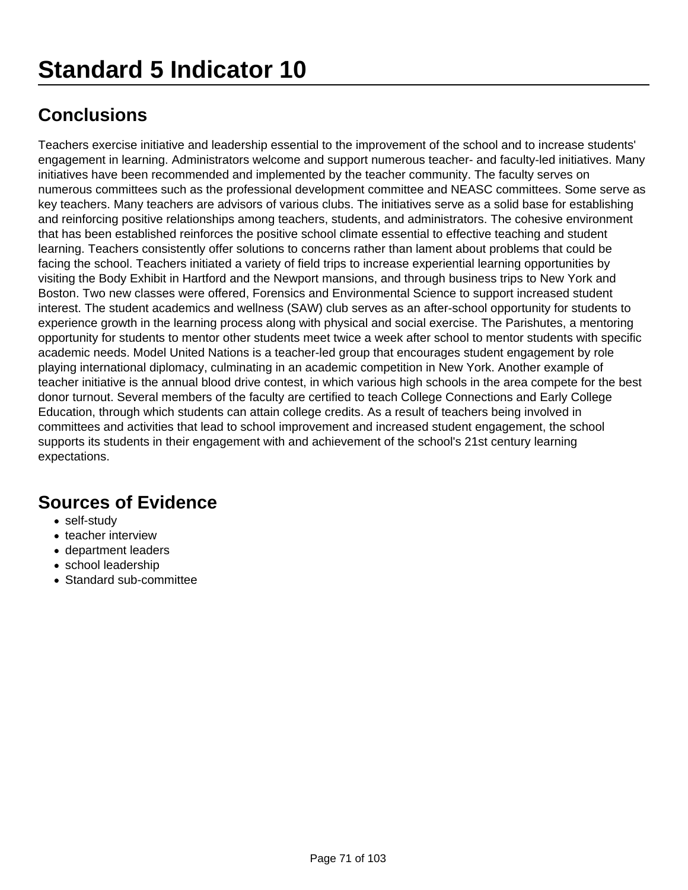Teachers exercise initiative and leadership essential to the improvement of the school and to increase students' engagement in learning. Administrators welcome and support numerous teacher- and faculty-led initiatives. Many initiatives have been recommended and implemented by the teacher community. The faculty serves on numerous committees such as the professional development committee and NEASC committees. Some serve as key teachers. Many teachers are advisors of various clubs. The initiatives serve as a solid base for establishing and reinforcing positive relationships among teachers, students, and administrators. The cohesive environment that has been established reinforces the positive school climate essential to effective teaching and student learning. Teachers consistently offer solutions to concerns rather than lament about problems that could be facing the school. Teachers initiated a variety of field trips to increase experiential learning opportunities by visiting the Body Exhibit in Hartford and the Newport mansions, and through business trips to New York and Boston. Two new classes were offered, Forensics and Environmental Science to support increased student interest. The student academics and wellness (SAW) club serves as an after-school opportunity for students to experience growth in the learning process along with physical and social exercise. The Parishutes, a mentoring opportunity for students to mentor other students meet twice a week after school to mentor students with specific academic needs. Model United Nations is a teacher-led group that encourages student engagement by role playing international diplomacy, culminating in an academic competition in New York. Another example of teacher initiative is the annual blood drive contest, in which various high schools in the area compete for the best donor turnout. Several members of the faculty are certified to teach College Connections and Early College Education, through which students can attain college credits. As a result of teachers being involved in committees and activities that lead to school improvement and increased student engagement, the school supports its students in their engagement with and achievement of the school's 21st century learning expectations.

- self-study
- teacher interview
- department leaders
- school leadership
- Standard sub-committee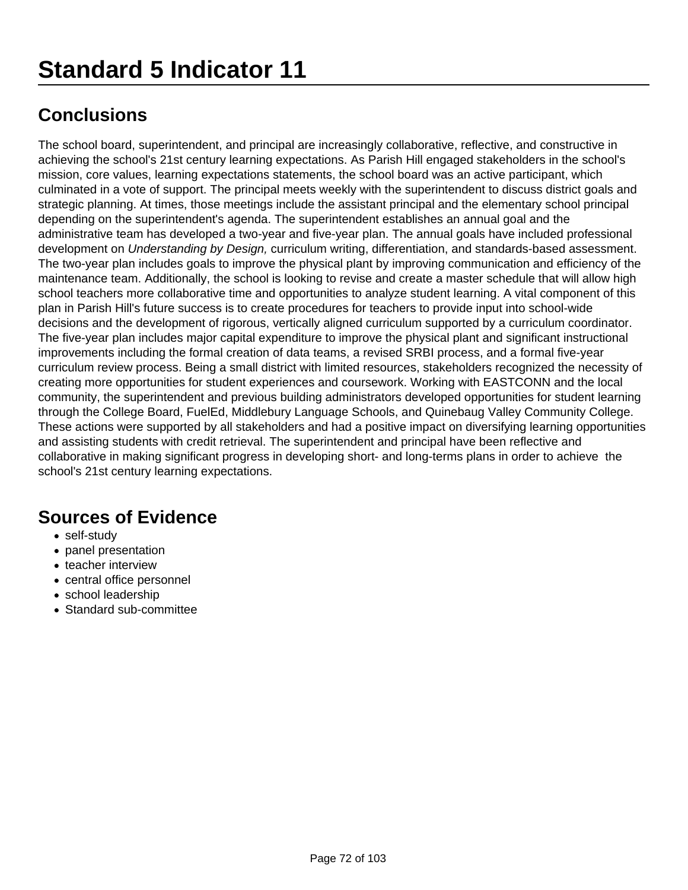The school board, superintendent, and principal are increasingly collaborative, reflective, and constructive in achieving the school's 21st century learning expectations. As Parish Hill engaged stakeholders in the school's mission, core values, learning expectations statements, the school board was an active participant, which culminated in a vote of support. The principal meets weekly with the superintendent to discuss district goals and strategic planning. At times, those meetings include the assistant principal and the elementary school principal depending on the superintendent's agenda. The superintendent establishes an annual goal and the administrative team has developed a two-year and five-year plan. The annual goals have included professional development on Understanding by Design, curriculum writing, differentiation, and standards-based assessment. The two-year plan includes goals to improve the physical plant by improving communication and efficiency of the maintenance team. Additionally, the school is looking to revise and create a master schedule that will allow high school teachers more collaborative time and opportunities to analyze student learning. A vital component of this plan in Parish Hill's future success is to create procedures for teachers to provide input into school-wide decisions and the development of rigorous, vertically aligned curriculum supported by a curriculum coordinator. The five-year plan includes major capital expenditure to improve the physical plant and significant instructional improvements including the formal creation of data teams, a revised SRBI process, and a formal five-year curriculum review process. Being a small district with limited resources, stakeholders recognized the necessity of creating more opportunities for student experiences and coursework. Working with EASTCONN and the local community, the superintendent and previous building administrators developed opportunities for student learning through the College Board, FuelEd, Middlebury Language Schools, and Quinebaug Valley Community College. These actions were supported by all stakeholders and had a positive impact on diversifying learning opportunities and assisting students with credit retrieval. The superintendent and principal have been reflective and collaborative in making significant progress in developing short- and long-terms plans in order to achieve the school's 21st century learning expectations.

- self-study
- panel presentation
- teacher interview
- central office personnel
- school leadership
- Standard sub-committee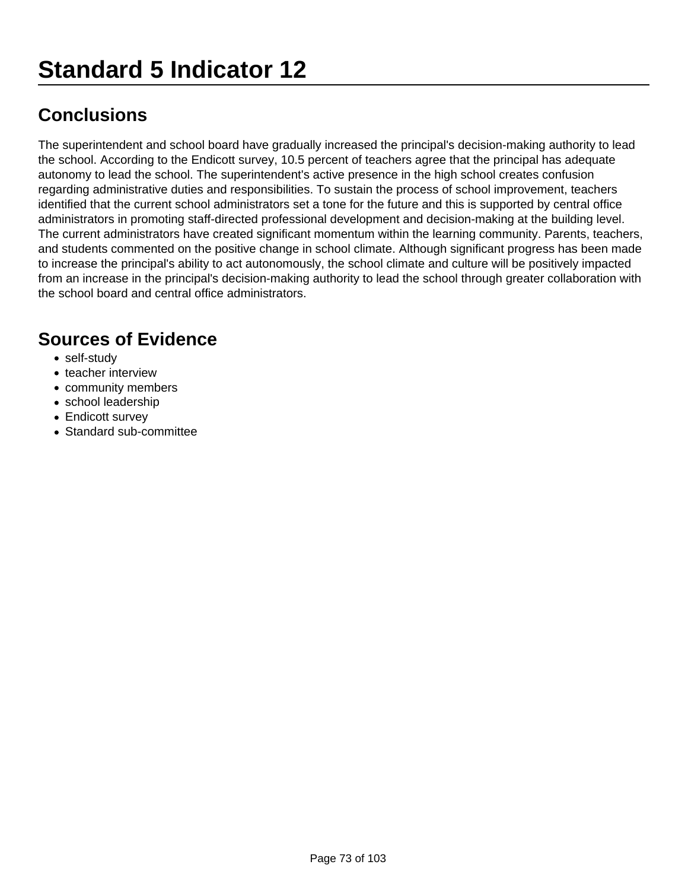The superintendent and school board have gradually increased the principal's decision-making authority to lead the school. According to the Endicott survey, 10.5 percent of teachers agree that the principal has adequate autonomy to lead the school. The superintendent's active presence in the high school creates confusion regarding administrative duties and responsibilities. To sustain the process of school improvement, teachers identified that the current school administrators set a tone for the future and this is supported by central office administrators in promoting staff-directed professional development and decision-making at the building level. The current administrators have created significant momentum within the learning community. Parents, teachers, and students commented on the positive change in school climate. Although significant progress has been made to increase the principal's ability to act autonomously, the school climate and culture will be positively impacted from an increase in the principal's decision-making authority to lead the school through greater collaboration with the school board and central office administrators.

- self-study
- teacher interview
- community members
- school leadership
- Endicott survey
- Standard sub-committee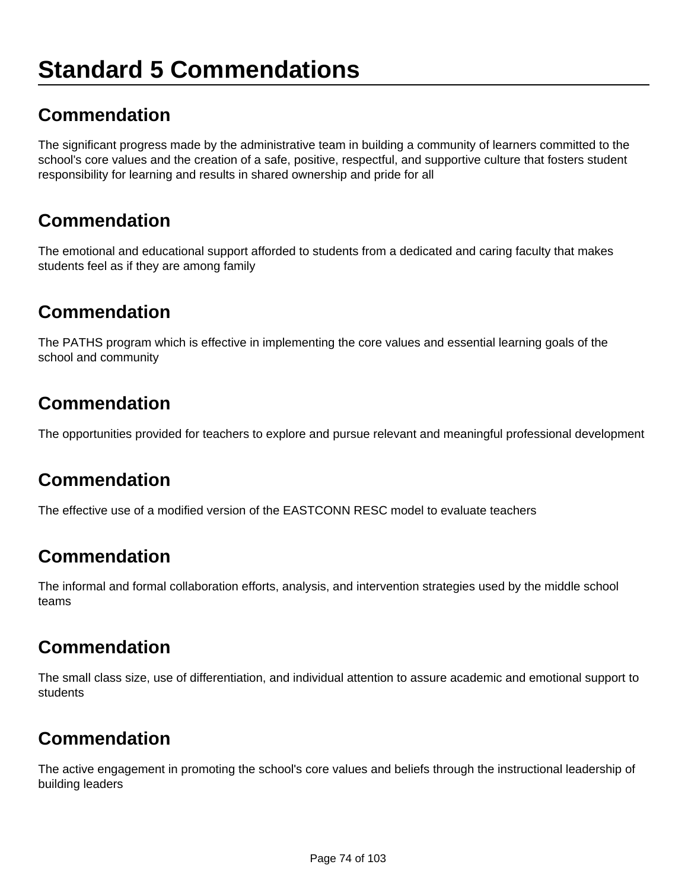## **Standard 5 Commendations**

## **Commendation**

The significant progress made by the administrative team in building a community of learners committed to the school's core values and the creation of a safe, positive, respectful, and supportive culture that fosters student responsibility for learning and results in shared ownership and pride for all

## **Commendation**

The emotional and educational support afforded to students from a dedicated and caring faculty that makes students feel as if they are among family

## **Commendation**

The PATHS program which is effective in implementing the core values and essential learning goals of the school and community

## **Commendation**

The opportunities provided for teachers to explore and pursue relevant and meaningful professional development

## **Commendation**

The effective use of a modified version of the EASTCONN RESC model to evaluate teachers

## **Commendation**

The informal and formal collaboration efforts, analysis, and intervention strategies used by the middle school teams

## **Commendation**

The small class size, use of differentiation, and individual attention to assure academic and emotional support to students

## **Commendation**

The active engagement in promoting the school's core values and beliefs through the instructional leadership of building leaders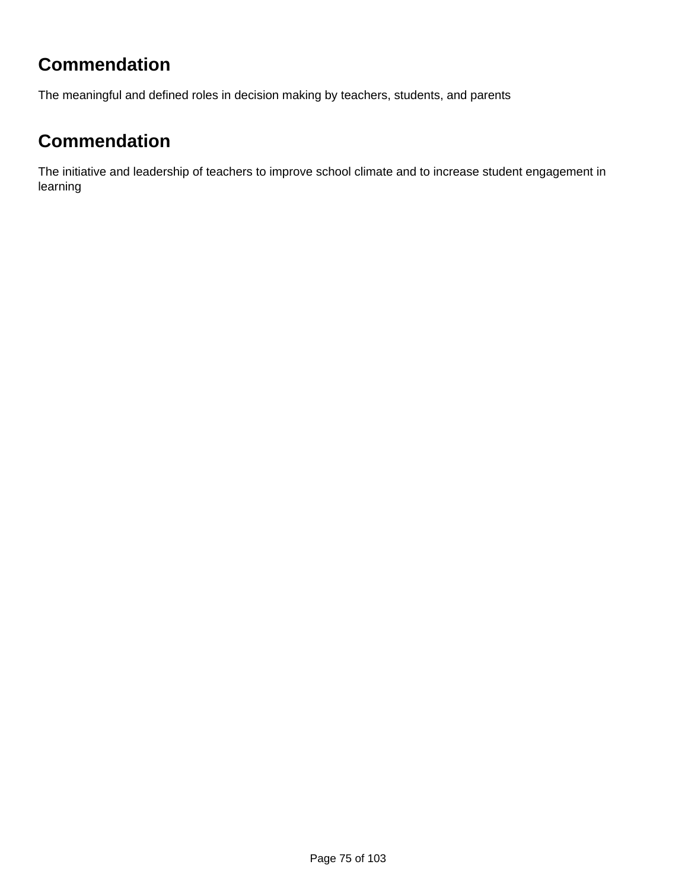## **Commendation**

The meaningful and defined roles in decision making by teachers, students, and parents

## **Commendation**

The initiative and leadership of teachers to improve school climate and to increase student engagement in learning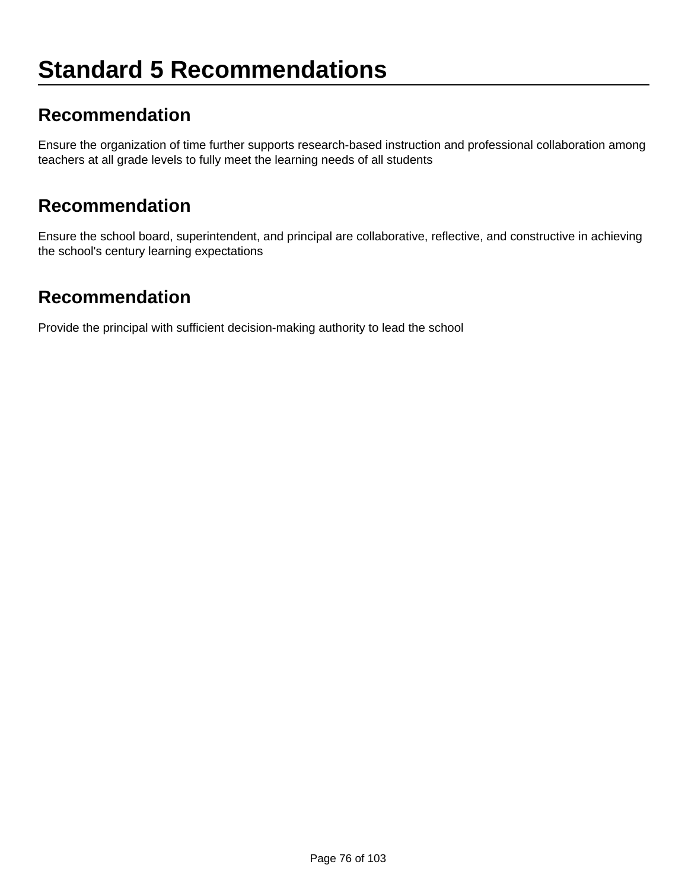## **Standard 5 Recommendations**

#### **Recommendation**

Ensure the organization of time further supports research-based instruction and professional collaboration among teachers at all grade levels to fully meet the learning needs of all students

#### **Recommendation**

Ensure the school board, superintendent, and principal are collaborative, reflective, and constructive in achieving the school's century learning expectations

#### **Recommendation**

Provide the principal with sufficient decision-making authority to lead the school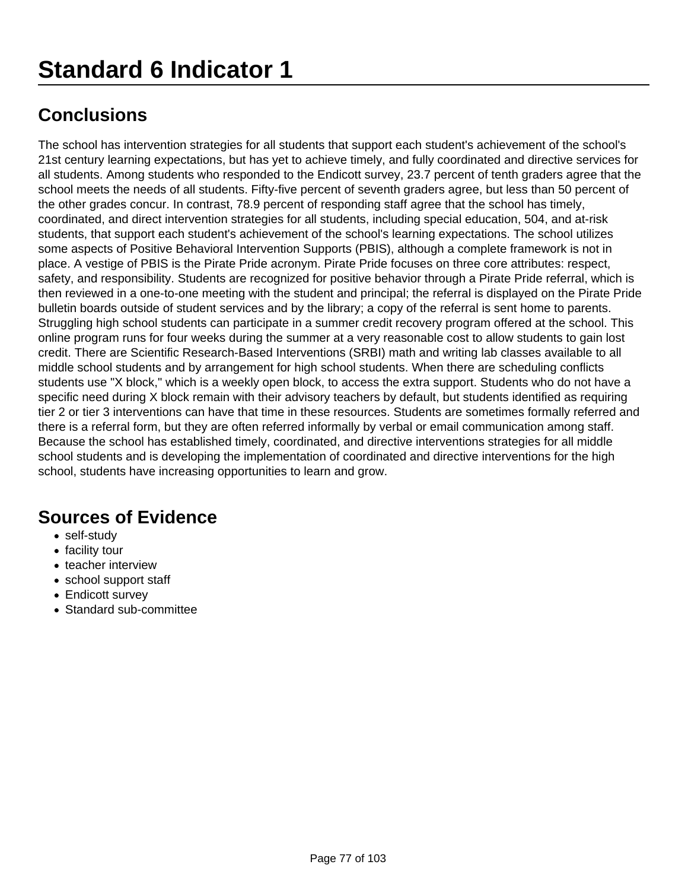The school has intervention strategies for all students that support each student's achievement of the school's 21st century learning expectations, but has yet to achieve timely, and fully coordinated and directive services for all students. Among students who responded to the Endicott survey, 23.7 percent of tenth graders agree that the school meets the needs of all students. Fifty-five percent of seventh graders agree, but less than 50 percent of the other grades concur. In contrast, 78.9 percent of responding staff agree that the school has timely, coordinated, and direct intervention strategies for all students, including special education, 504, and at-risk students, that support each student's achievement of the school's learning expectations. The school utilizes some aspects of Positive Behavioral Intervention Supports (PBIS), although a complete framework is not in place. A vestige of PBIS is the Pirate Pride acronym. Pirate Pride focuses on three core attributes: respect, safety, and responsibility. Students are recognized for positive behavior through a Pirate Pride referral, which is then reviewed in a one-to-one meeting with the student and principal; the referral is displayed on the Pirate Pride bulletin boards outside of student services and by the library; a copy of the referral is sent home to parents. Struggling high school students can participate in a summer credit recovery program offered at the school. This online program runs for four weeks during the summer at a very reasonable cost to allow students to gain lost credit. There are Scientific Research-Based Interventions (SRBI) math and writing lab classes available to all middle school students and by arrangement for high school students. When there are scheduling conflicts students use "X block," which is a weekly open block, to access the extra support. Students who do not have a specific need during X block remain with their advisory teachers by default, but students identified as requiring tier 2 or tier 3 interventions can have that time in these resources. Students are sometimes formally referred and there is a referral form, but they are often referred informally by verbal or email communication among staff. Because the school has established timely, coordinated, and directive interventions strategies for all middle school students and is developing the implementation of coordinated and directive interventions for the high school, students have increasing opportunities to learn and grow.

- self-study
- facility tour
- teacher interview
- school support staff
- Endicott survey
- Standard sub-committee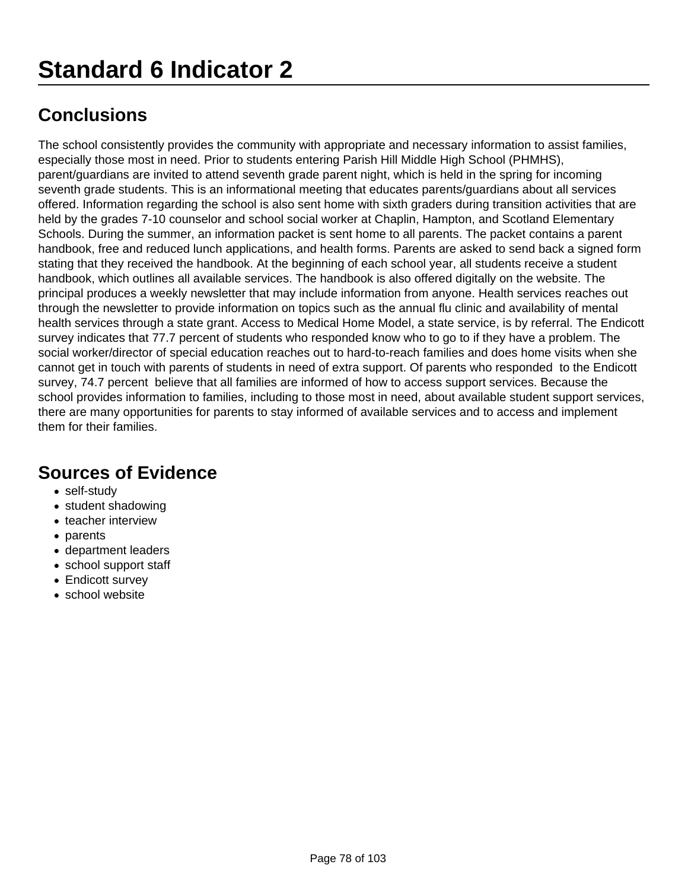The school consistently provides the community with appropriate and necessary information to assist families, especially those most in need. Prior to students entering Parish Hill Middle High School (PHMHS), parent/guardians are invited to attend seventh grade parent night, which is held in the spring for incoming seventh grade students. This is an informational meeting that educates parents/guardians about all services offered. Information regarding the school is also sent home with sixth graders during transition activities that are held by the grades 7-10 counselor and school social worker at Chaplin, Hampton, and Scotland Elementary Schools. During the summer, an information packet is sent home to all parents. The packet contains a parent handbook, free and reduced lunch applications, and health forms. Parents are asked to send back a signed form stating that they received the handbook. At the beginning of each school year, all students receive a student handbook, which outlines all available services. The handbook is also offered digitally on the website. The principal produces a weekly newsletter that may include information from anyone. Health services reaches out through the newsletter to provide information on topics such as the annual flu clinic and availability of mental health services through a state grant. Access to Medical Home Model, a state service, is by referral. The Endicott survey indicates that 77.7 percent of students who responded know who to go to if they have a problem. The social worker/director of special education reaches out to hard-to-reach families and does home visits when she cannot get in touch with parents of students in need of extra support. Of parents who responded to the Endicott survey, 74.7 percent believe that all families are informed of how to access support services. Because the school provides information to families, including to those most in need, about available student support services, there are many opportunities for parents to stay informed of available services and to access and implement them for their families.

- self-study
- student shadowing
- teacher interview
- parents
- department leaders
- school support staff
- Endicott survey
- school website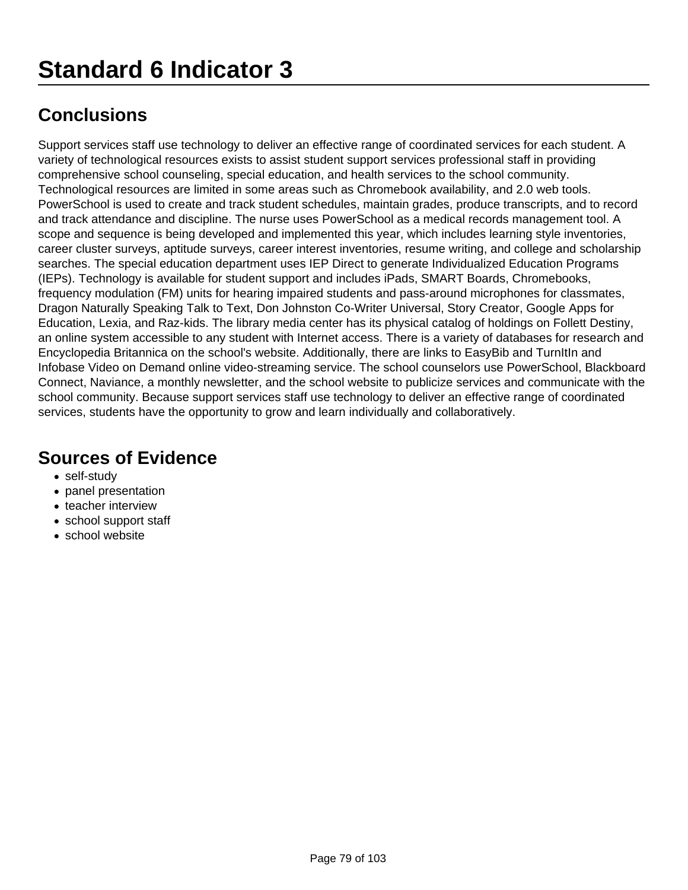Support services staff use technology to deliver an effective range of coordinated services for each student. A variety of technological resources exists to assist student support services professional staff in providing comprehensive school counseling, special education, and health services to the school community. Technological resources are limited in some areas such as Chromebook availability, and 2.0 web tools. PowerSchool is used to create and track student schedules, maintain grades, produce transcripts, and to record and track attendance and discipline. The nurse uses PowerSchool as a medical records management tool. A scope and sequence is being developed and implemented this year, which includes learning style inventories, career cluster surveys, aptitude surveys, career interest inventories, resume writing, and college and scholarship searches. The special education department uses IEP Direct to generate Individualized Education Programs (IEPs). Technology is available for student support and includes iPads, SMART Boards, Chromebooks, frequency modulation (FM) units for hearing impaired students and pass-around microphones for classmates, Dragon Naturally Speaking Talk to Text, Don Johnston Co-Writer Universal, Story Creator, Google Apps for Education, Lexia, and Raz-kids. The library media center has its physical catalog of holdings on Follett Destiny, an online system accessible to any student with Internet access. There is a variety of databases for research and Encyclopedia Britannica on the school's website. Additionally, there are links to EasyBib and TurnItIn and Infobase Video on Demand online video-streaming service. The school counselors use PowerSchool, Blackboard Connect, Naviance, a monthly newsletter, and the school website to publicize services and communicate with the school community. Because support services staff use technology to deliver an effective range of coordinated services, students have the opportunity to grow and learn individually and collaboratively.

- self-study
- panel presentation
- teacher interview
- school support staff
- school website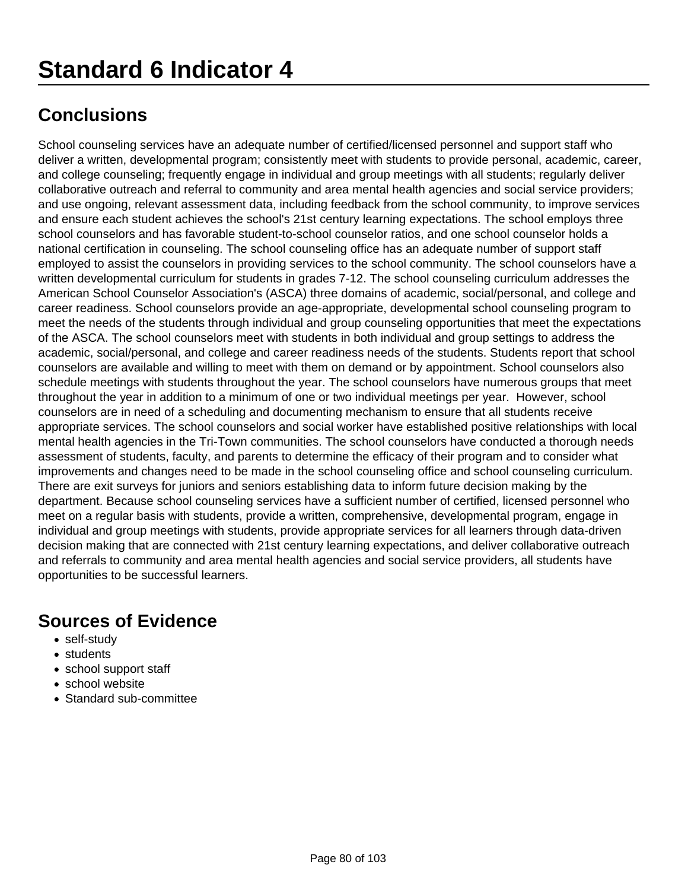School counseling services have an adequate number of certified/licensed personnel and support staff who deliver a written, developmental program; consistently meet with students to provide personal, academic, career, and college counseling; frequently engage in individual and group meetings with all students; regularly deliver collaborative outreach and referral to community and area mental health agencies and social service providers; and use ongoing, relevant assessment data, including feedback from the school community, to improve services and ensure each student achieves the school's 21st century learning expectations. The school employs three school counselors and has favorable student-to-school counselor ratios, and one school counselor holds a national certification in counseling. The school counseling office has an adequate number of support staff employed to assist the counselors in providing services to the school community. The school counselors have a written developmental curriculum for students in grades 7-12. The school counseling curriculum addresses the American School Counselor Association's (ASCA) three domains of academic, social/personal, and college and career readiness. School counselors provide an age-appropriate, developmental school counseling program to meet the needs of the students through individual and group counseling opportunities that meet the expectations of the ASCA. The school counselors meet with students in both individual and group settings to address the academic, social/personal, and college and career readiness needs of the students. Students report that school counselors are available and willing to meet with them on demand or by appointment. School counselors also schedule meetings with students throughout the year. The school counselors have numerous groups that meet throughout the year in addition to a minimum of one or two individual meetings per year. However, school counselors are in need of a scheduling and documenting mechanism to ensure that all students receive appropriate services. The school counselors and social worker have established positive relationships with local mental health agencies in the Tri-Town communities. The school counselors have conducted a thorough needs assessment of students, faculty, and parents to determine the efficacy of their program and to consider what improvements and changes need to be made in the school counseling office and school counseling curriculum. There are exit surveys for juniors and seniors establishing data to inform future decision making by the department. Because school counseling services have a sufficient number of certified, licensed personnel who meet on a regular basis with students, provide a written, comprehensive, developmental program, engage in individual and group meetings with students, provide appropriate services for all learners through data-driven decision making that are connected with 21st century learning expectations, and deliver collaborative outreach and referrals to community and area mental health agencies and social service providers, all students have opportunities to be successful learners.

- self-study
- students
- school support staff
- school website
- Standard sub-committee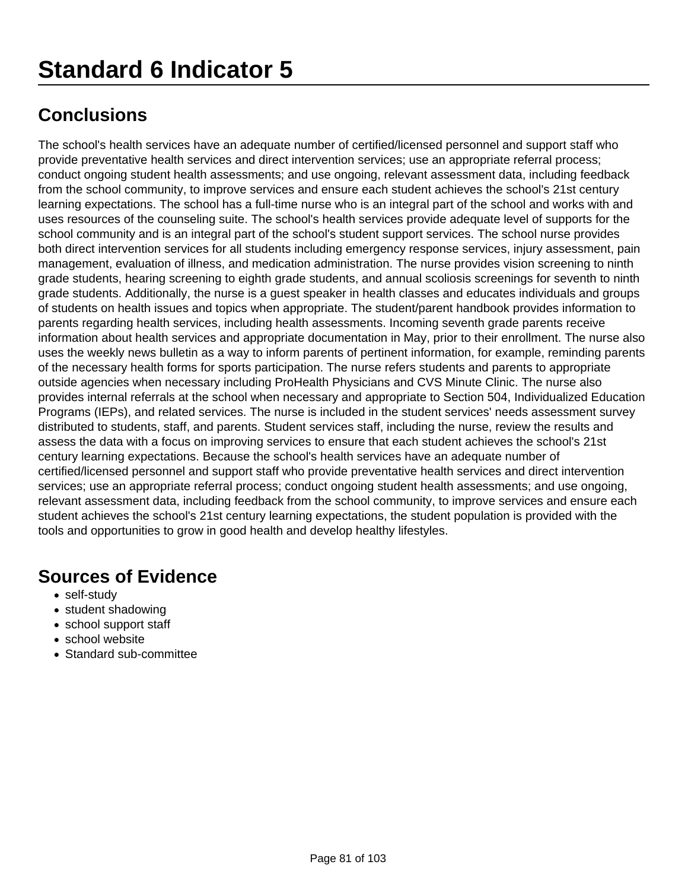## **Standard 6 Indicator 5**

## **Conclusions**

The school's health services have an adequate number of certified/licensed personnel and support staff who provide preventative health services and direct intervention services; use an appropriate referral process; conduct ongoing student health assessments; and use ongoing, relevant assessment data, including feedback from the school community, to improve services and ensure each student achieves the school's 21st century learning expectations. The school has a full-time nurse who is an integral part of the school and works with and uses resources of the counseling suite. The school's health services provide adequate level of supports for the school community and is an integral part of the school's student support services. The school nurse provides both direct intervention services for all students including emergency response services, injury assessment, pain management, evaluation of illness, and medication administration. The nurse provides vision screening to ninth grade students, hearing screening to eighth grade students, and annual scoliosis screenings for seventh to ninth grade students. Additionally, the nurse is a guest speaker in health classes and educates individuals and groups of students on health issues and topics when appropriate. The student/parent handbook provides information to parents regarding health services, including health assessments. Incoming seventh grade parents receive information about health services and appropriate documentation in May, prior to their enrollment. The nurse also uses the weekly news bulletin as a way to inform parents of pertinent information, for example, reminding parents of the necessary health forms for sports participation. The nurse refers students and parents to appropriate outside agencies when necessary including ProHealth Physicians and CVS Minute Clinic. The nurse also provides internal referrals at the school when necessary and appropriate to Section 504, Individualized Education Programs (IEPs), and related services. The nurse is included in the student services' needs assessment survey distributed to students, staff, and parents. Student services staff, including the nurse, review the results and assess the data with a focus on improving services to ensure that each student achieves the school's 21st century learning expectations. Because the school's health services have an adequate number of certified/licensed personnel and support staff who provide preventative health services and direct intervention services; use an appropriate referral process; conduct ongoing student health assessments; and use ongoing, relevant assessment data, including feedback from the school community, to improve services and ensure each student achieves the school's 21st century learning expectations, the student population is provided with the tools and opportunities to grow in good health and develop healthy lifestyles.

- self-study
- student shadowing
- school support staff
- school website
- Standard sub-committee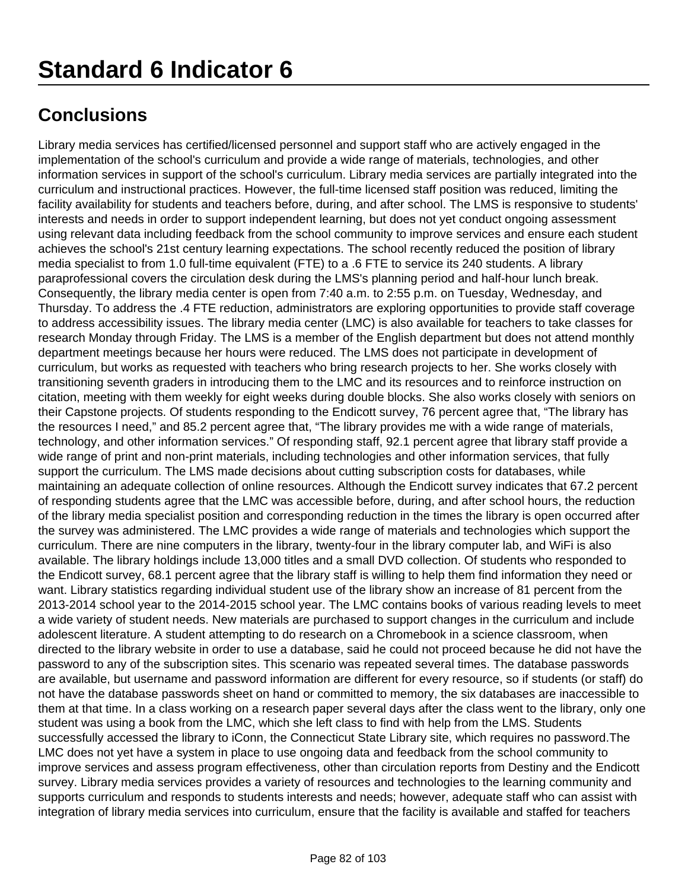Library media services has certified/licensed personnel and support staff who are actively engaged in the implementation of the school's curriculum and provide a wide range of materials, technologies, and other information services in support of the school's curriculum. Library media services are partially integrated into the curriculum and instructional practices. However, the full-time licensed staff position was reduced, limiting the facility availability for students and teachers before, during, and after school. The LMS is responsive to students' interests and needs in order to support independent learning, but does not yet conduct ongoing assessment using relevant data including feedback from the school community to improve services and ensure each student achieves the school's 21st century learning expectations. The school recently reduced the position of library media specialist to from 1.0 full-time equivalent (FTE) to a .6 FTE to service its 240 students. A library paraprofessional covers the circulation desk during the LMS's planning period and half-hour lunch break. Consequently, the library media center is open from 7:40 a.m. to 2:55 p.m. on Tuesday, Wednesday, and Thursday. To address the .4 FTE reduction, administrators are exploring opportunities to provide staff coverage to address accessibility issues. The library media center (LMC) is also available for teachers to take classes for research Monday through Friday. The LMS is a member of the English department but does not attend monthly department meetings because her hours were reduced. The LMS does not participate in development of curriculum, but works as requested with teachers who bring research projects to her. She works closely with transitioning seventh graders in introducing them to the LMC and its resources and to reinforce instruction on citation, meeting with them weekly for eight weeks during double blocks. She also works closely with seniors on their Capstone projects. Of students responding to the Endicott survey, 76 percent agree that, "The library has the resources I need," and 85.2 percent agree that, "The library provides me with a wide range of materials, technology, and other information services." Of responding staff, 92.1 percent agree that library staff provide a wide range of print and non-print materials, including technologies and other information services, that fully support the curriculum. The LMS made decisions about cutting subscription costs for databases, while maintaining an adequate collection of online resources. Although the Endicott survey indicates that 67.2 percent of responding students agree that the LMC was accessible before, during, and after school hours, the reduction of the library media specialist position and corresponding reduction in the times the library is open occurred after the survey was administered. The LMC provides a wide range of materials and technologies which support the curriculum. There are nine computers in the library, twenty-four in the library computer lab, and WiFi is also available. The library holdings include 13,000 titles and a small DVD collection. Of students who responded to the Endicott survey, 68.1 percent agree that the library staff is willing to help them find information they need or want. Library statistics regarding individual student use of the library show an increase of 81 percent from the 2013-2014 school year to the 2014-2015 school year. The LMC contains books of various reading levels to meet a wide variety of student needs. New materials are purchased to support changes in the curriculum and include adolescent literature. A student attempting to do research on a Chromebook in a science classroom, when directed to the library website in order to use a database, said he could not proceed because he did not have the password to any of the subscription sites. This scenario was repeated several times. The database passwords are available, but username and password information are different for every resource, so if students (or staff) do not have the database passwords sheet on hand or committed to memory, the six databases are inaccessible to them at that time. In a class working on a research paper several days after the class went to the library, only one student was using a book from the LMC, which she left class to find with help from the LMS. Students successfully accessed the library to iConn, the Connecticut State Library site, which requires no password.The LMC does not yet have a system in place to use ongoing data and feedback from the school community to improve services and assess program effectiveness, other than circulation reports from Destiny and the Endicott survey. Library media services provides a variety of resources and technologies to the learning community and supports curriculum and responds to students interests and needs; however, adequate staff who can assist with integration of library media services into curriculum, ensure that the facility is available and staffed for teachers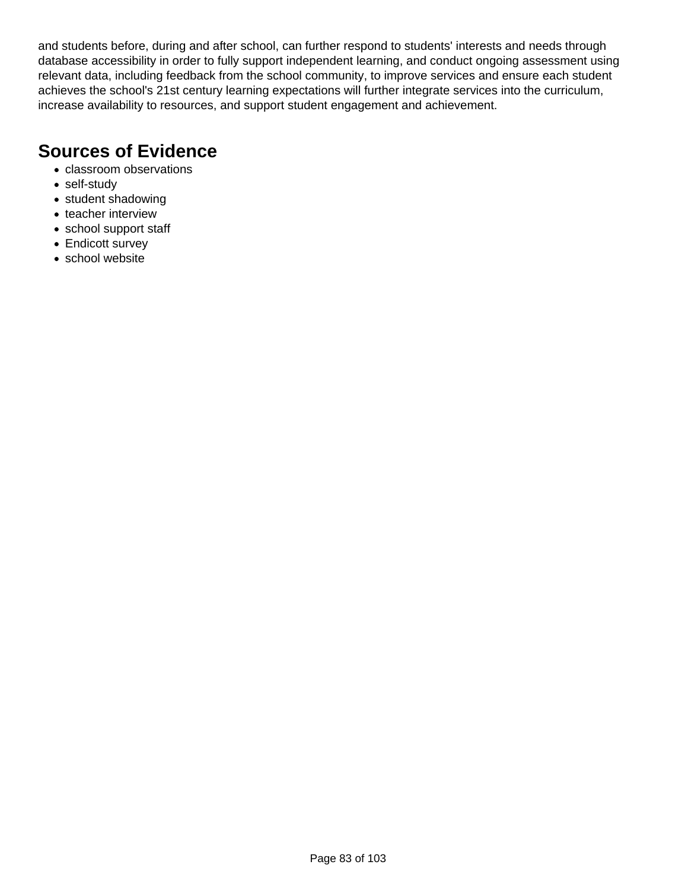and students before, during and after school, can further respond to students' interests and needs through database accessibility in order to fully support independent learning, and conduct ongoing assessment using relevant data, including feedback from the school community, to improve services and ensure each student achieves the school's 21st century learning expectations will further integrate services into the curriculum, increase availability to resources, and support student engagement and achievement.

- classroom observations
- self-study
- student shadowing
- teacher interview
- school support staff
- Endicott survey
- school website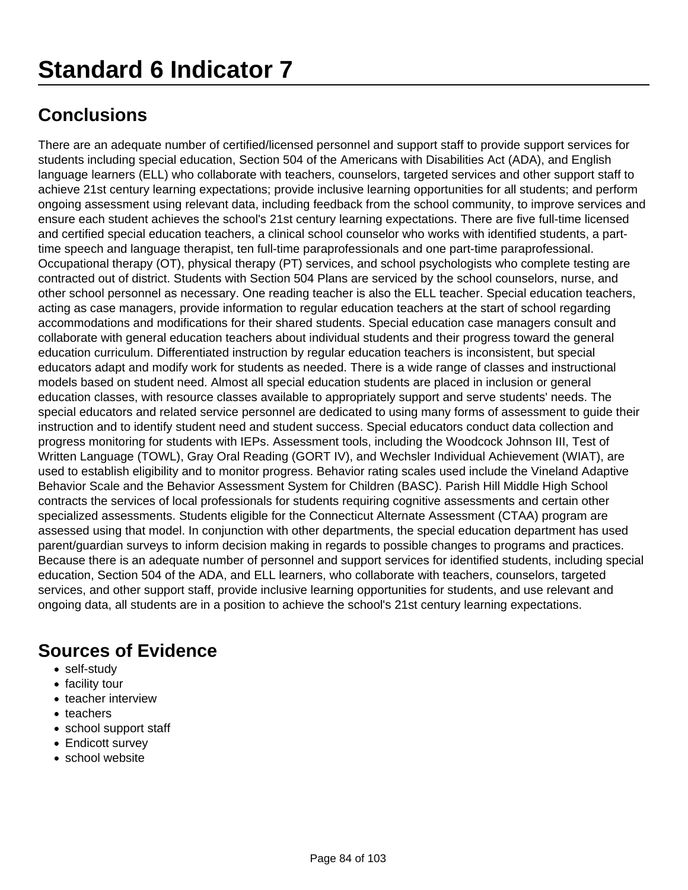There are an adequate number of certified/licensed personnel and support staff to provide support services for students including special education, Section 504 of the Americans with Disabilities Act (ADA), and English language learners (ELL) who collaborate with teachers, counselors, targeted services and other support staff to achieve 21st century learning expectations; provide inclusive learning opportunities for all students; and perform ongoing assessment using relevant data, including feedback from the school community, to improve services and ensure each student achieves the school's 21st century learning expectations. There are five full-time licensed and certified special education teachers, a clinical school counselor who works with identified students, a parttime speech and language therapist, ten full-time paraprofessionals and one part-time paraprofessional. Occupational therapy (OT), physical therapy (PT) services, and school psychologists who complete testing are contracted out of district. Students with Section 504 Plans are serviced by the school counselors, nurse, and other school personnel as necessary. One reading teacher is also the ELL teacher. Special education teachers, acting as case managers, provide information to regular education teachers at the start of school regarding accommodations and modifications for their shared students. Special education case managers consult and collaborate with general education teachers about individual students and their progress toward the general education curriculum. Differentiated instruction by regular education teachers is inconsistent, but special educators adapt and modify work for students as needed. There is a wide range of classes and instructional models based on student need. Almost all special education students are placed in inclusion or general education classes, with resource classes available to appropriately support and serve students' needs. The special educators and related service personnel are dedicated to using many forms of assessment to guide their instruction and to identify student need and student success. Special educators conduct data collection and progress monitoring for students with IEPs. Assessment tools, including the Woodcock Johnson III, Test of Written Language (TOWL), Gray Oral Reading (GORT IV), and Wechsler Individual Achievement (WIAT), are used to establish eligibility and to monitor progress. Behavior rating scales used include the Vineland Adaptive Behavior Scale and the Behavior Assessment System for Children (BASC). Parish Hill Middle High School contracts the services of local professionals for students requiring cognitive assessments and certain other specialized assessments. Students eligible for the Connecticut Alternate Assessment (CTAA) program are assessed using that model. In conjunction with other departments, the special education department has used parent/guardian surveys to inform decision making in regards to possible changes to programs and practices. Because there is an adequate number of personnel and support services for identified students, including special education, Section 504 of the ADA, and ELL learners, who collaborate with teachers, counselors, targeted services, and other support staff, provide inclusive learning opportunities for students, and use relevant and ongoing data, all students are in a position to achieve the school's 21st century learning expectations.

- self-study
- facility tour
- teacher interview
- teachers
- school support staff
- Endicott survey
- school website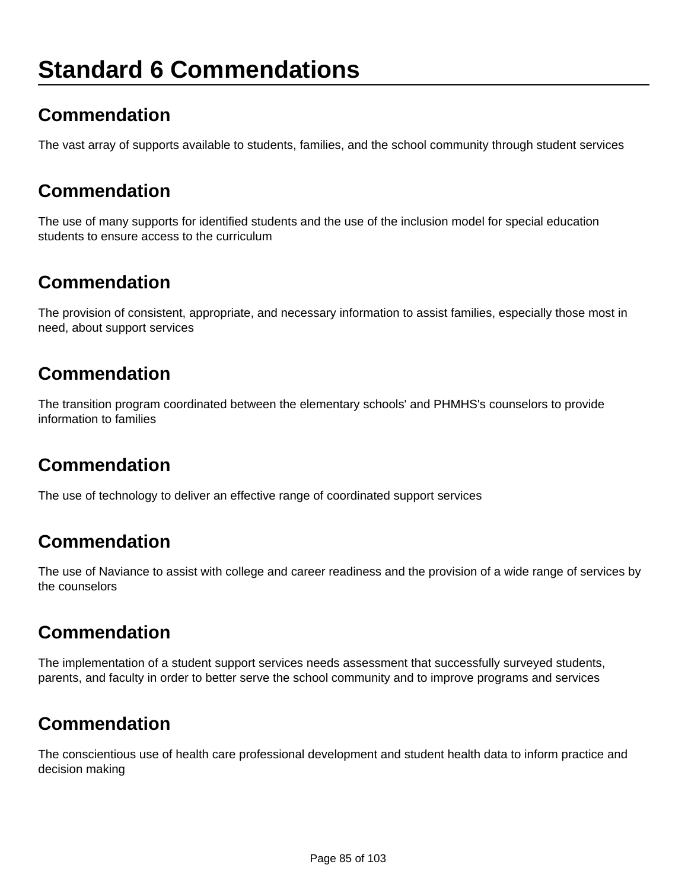## **Standard 6 Commendations**

## **Commendation**

The vast array of supports available to students, families, and the school community through student services

#### **Commendation**

The use of many supports for identified students and the use of the inclusion model for special education students to ensure access to the curriculum

### **Commendation**

The provision of consistent, appropriate, and necessary information to assist families, especially those most in need, about support services

### **Commendation**

The transition program coordinated between the elementary schools' and PHMHS's counselors to provide information to families

## **Commendation**

The use of technology to deliver an effective range of coordinated support services

## **Commendation**

The use of Naviance to assist with college and career readiness and the provision of a wide range of services by the counselors

#### **Commendation**

The implementation of a student support services needs assessment that successfully surveyed students, parents, and faculty in order to better serve the school community and to improve programs and services

## **Commendation**

The conscientious use of health care professional development and student health data to inform practice and decision making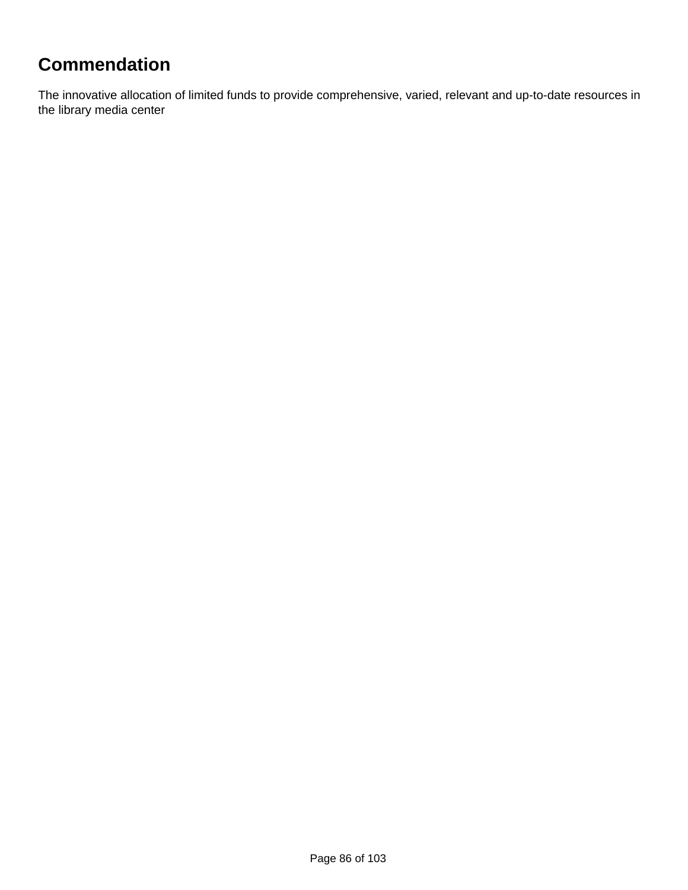## **Commendation**

The innovative allocation of limited funds to provide comprehensive, varied, relevant and up-to-date resources in the library media center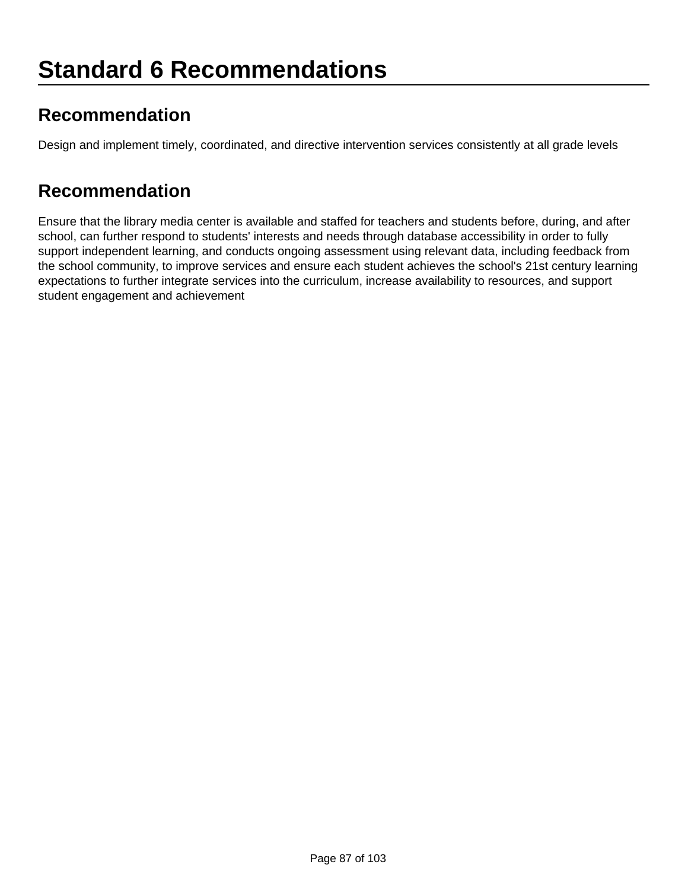## **Recommendation**

Design and implement timely, coordinated, and directive intervention services consistently at all grade levels

#### **Recommendation**

Ensure that the library media center is available and staffed for teachers and students before, during, and after school, can further respond to students' interests and needs through database accessibility in order to fully support independent learning, and conducts ongoing assessment using relevant data, including feedback from the school community, to improve services and ensure each student achieves the school's 21st century learning expectations to further integrate services into the curriculum, increase availability to resources, and support student engagement and achievement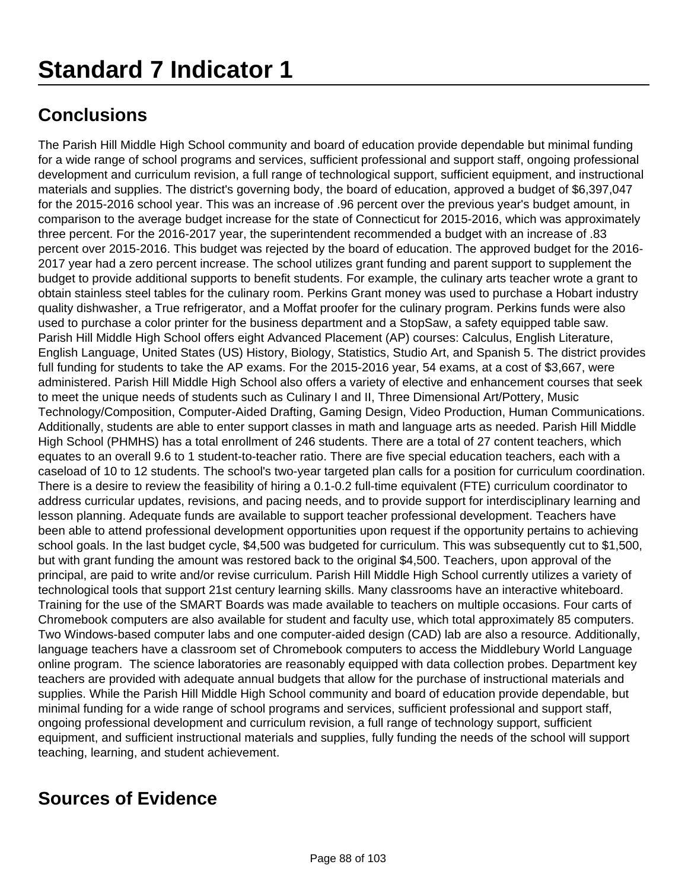The Parish Hill Middle High School community and board of education provide dependable but minimal funding for a wide range of school programs and services, sufficient professional and support staff, ongoing professional development and curriculum revision, a full range of technological support, sufficient equipment, and instructional materials and supplies. The district's governing body, the board of education, approved a budget of \$6,397,047 for the 2015-2016 school year. This was an increase of .96 percent over the previous year's budget amount, in comparison to the average budget increase for the state of Connecticut for 2015-2016, which was approximately three percent. For the 2016-2017 year, the superintendent recommended a budget with an increase of .83 percent over 2015-2016. This budget was rejected by the board of education. The approved budget for the 2016- 2017 year had a zero percent increase. The school utilizes grant funding and parent support to supplement the budget to provide additional supports to benefit students. For example, the culinary arts teacher wrote a grant to obtain stainless steel tables for the culinary room. Perkins Grant money was used to purchase a Hobart industry quality dishwasher, a True refrigerator, and a Moffat proofer for the culinary program. Perkins funds were also used to purchase a color printer for the business department and a StopSaw, a safety equipped table saw. Parish Hill Middle High School offers eight Advanced Placement (AP) courses: Calculus, English Literature, English Language, United States (US) History, Biology, Statistics, Studio Art, and Spanish 5. The district provides full funding for students to take the AP exams. For the 2015-2016 year, 54 exams, at a cost of \$3,667, were administered. Parish Hill Middle High School also offers a variety of elective and enhancement courses that seek to meet the unique needs of students such as Culinary I and II, Three Dimensional Art/Pottery, Music Technology/Composition, Computer-Aided Drafting, Gaming Design, Video Production, Human Communications. Additionally, students are able to enter support classes in math and language arts as needed. Parish Hill Middle High School (PHMHS) has a total enrollment of 246 students. There are a total of 27 content teachers, which equates to an overall 9.6 to 1 student-to-teacher ratio. There are five special education teachers, each with a caseload of 10 to 12 students. The school's two-year targeted plan calls for a position for curriculum coordination. There is a desire to review the feasibility of hiring a 0.1-0.2 full-time equivalent (FTE) curriculum coordinator to address curricular updates, revisions, and pacing needs, and to provide support for interdisciplinary learning and lesson planning. Adequate funds are available to support teacher professional development. Teachers have been able to attend professional development opportunities upon request if the opportunity pertains to achieving school goals. In the last budget cycle, \$4,500 was budgeted for curriculum. This was subsequently cut to \$1,500, but with grant funding the amount was restored back to the original \$4,500. Teachers, upon approval of the principal, are paid to write and/or revise curriculum. Parish Hill Middle High School currently utilizes a variety of technological tools that support 21st century learning skills. Many classrooms have an interactive whiteboard. Training for the use of the SMART Boards was made available to teachers on multiple occasions. Four carts of Chromebook computers are also available for student and faculty use, which total approximately 85 computers. Two Windows-based computer labs and one computer-aided design (CAD) lab are also a resource. Additionally, language teachers have a classroom set of Chromebook computers to access the Middlebury World Language online program. The science laboratories are reasonably equipped with data collection probes. Department key teachers are provided with adequate annual budgets that allow for the purchase of instructional materials and supplies. While the Parish Hill Middle High School community and board of education provide dependable, but minimal funding for a wide range of school programs and services, sufficient professional and support staff, ongoing professional development and curriculum revision, a full range of technology support, sufficient equipment, and sufficient instructional materials and supplies, fully funding the needs of the school will support teaching, learning, and student achievement.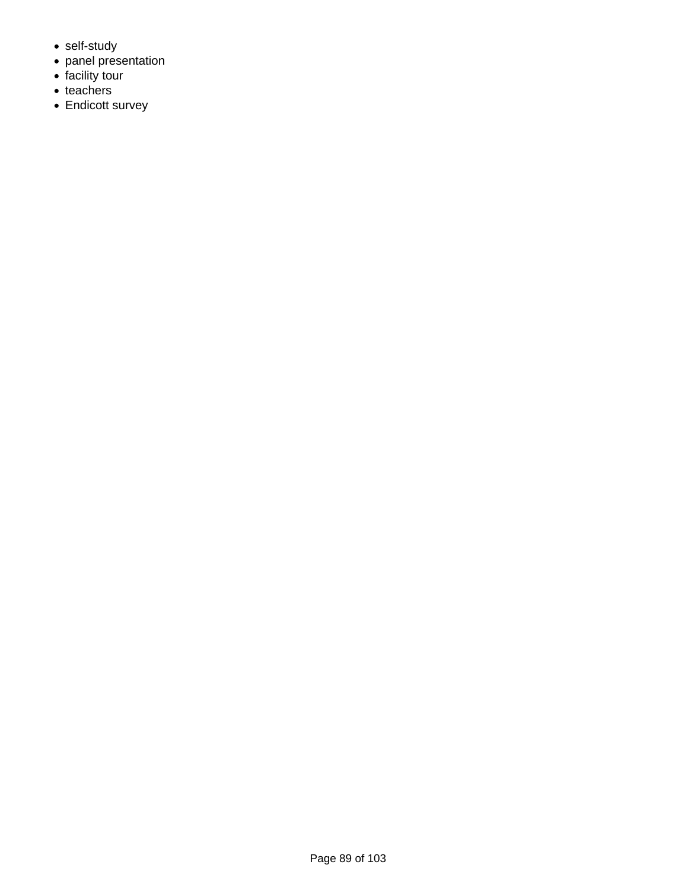- self-study
- panel presentation
- facility tour
- teachers
- Endicott survey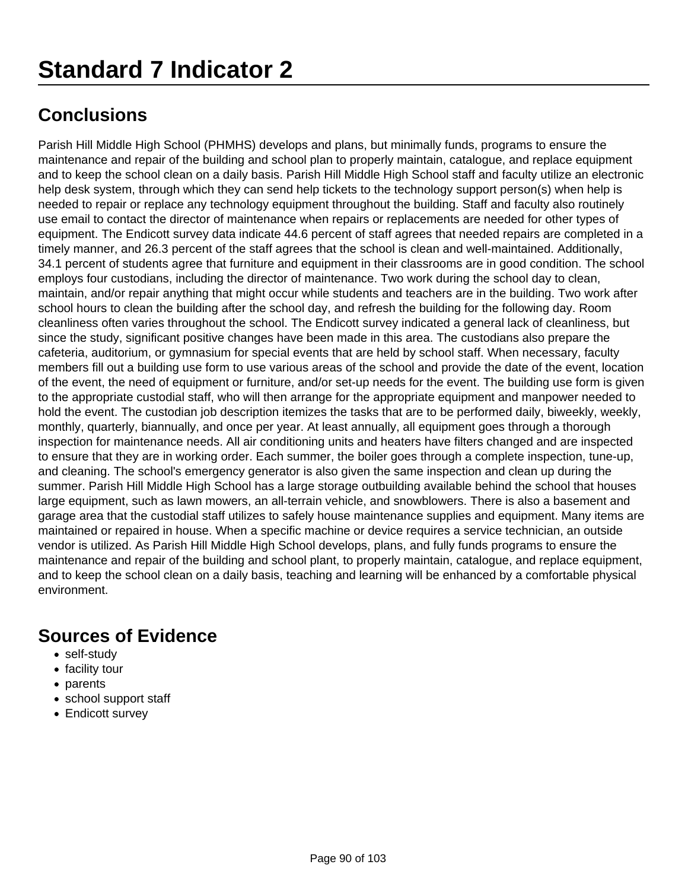Parish Hill Middle High School (PHMHS) develops and plans, but minimally funds, programs to ensure the maintenance and repair of the building and school plan to properly maintain, catalogue, and replace equipment and to keep the school clean on a daily basis. Parish Hill Middle High School staff and faculty utilize an electronic help desk system, through which they can send help tickets to the technology support person(s) when help is needed to repair or replace any technology equipment throughout the building. Staff and faculty also routinely use email to contact the director of maintenance when repairs or replacements are needed for other types of equipment. The Endicott survey data indicate 44.6 percent of staff agrees that needed repairs are completed in a timely manner, and 26.3 percent of the staff agrees that the school is clean and well-maintained. Additionally, 34.1 percent of students agree that furniture and equipment in their classrooms are in good condition. The school employs four custodians, including the director of maintenance. Two work during the school day to clean, maintain, and/or repair anything that might occur while students and teachers are in the building. Two work after school hours to clean the building after the school day, and refresh the building for the following day. Room cleanliness often varies throughout the school. The Endicott survey indicated a general lack of cleanliness, but since the study, significant positive changes have been made in this area. The custodians also prepare the cafeteria, auditorium, or gymnasium for special events that are held by school staff. When necessary, faculty members fill out a building use form to use various areas of the school and provide the date of the event, location of the event, the need of equipment or furniture, and/or set-up needs for the event. The building use form is given to the appropriate custodial staff, who will then arrange for the appropriate equipment and manpower needed to hold the event. The custodian job description itemizes the tasks that are to be performed daily, biweekly, weekly, monthly, quarterly, biannually, and once per year. At least annually, all equipment goes through a thorough inspection for maintenance needs. All air conditioning units and heaters have filters changed and are inspected to ensure that they are in working order. Each summer, the boiler goes through a complete inspection, tune-up, and cleaning. The school's emergency generator is also given the same inspection and clean up during the summer. Parish Hill Middle High School has a large storage outbuilding available behind the school that houses large equipment, such as lawn mowers, an all-terrain vehicle, and snowblowers. There is also a basement and garage area that the custodial staff utilizes to safely house maintenance supplies and equipment. Many items are maintained or repaired in house. When a specific machine or device requires a service technician, an outside vendor is utilized. As Parish Hill Middle High School develops, plans, and fully funds programs to ensure the maintenance and repair of the building and school plant, to properly maintain, catalogue, and replace equipment, and to keep the school clean on a daily basis, teaching and learning will be enhanced by a comfortable physical environment.

- self-study
- facility tour
- parents
- school support staff
- Endicott survey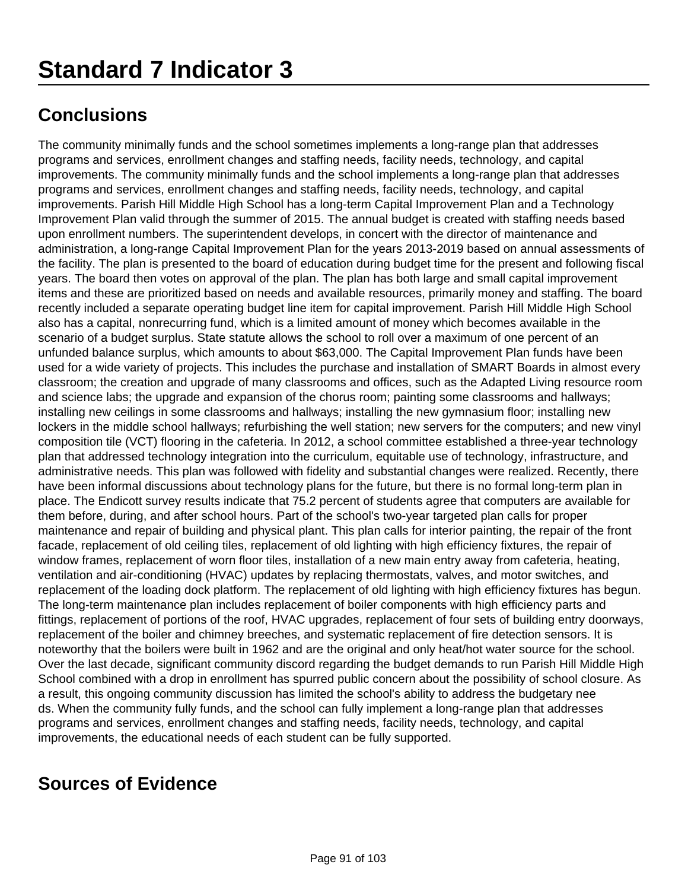The community minimally funds and the school sometimes implements a long-range plan that addresses programs and services, enrollment changes and staffing needs, facility needs, technology, and capital improvements. The community minimally funds and the school implements a long-range plan that addresses programs and services, enrollment changes and staffing needs, facility needs, technology, and capital improvements. Parish Hill Middle High School has a long-term Capital Improvement Plan and a Technology Improvement Plan valid through the summer of 2015. The annual budget is created with staffing needs based upon enrollment numbers. The superintendent develops, in concert with the director of maintenance and administration, a long-range Capital Improvement Plan for the years 2013-2019 based on annual assessments of the facility. The plan is presented to the board of education during budget time for the present and following fiscal years. The board then votes on approval of the plan. The plan has both large and small capital improvement items and these are prioritized based on needs and available resources, primarily money and staffing. The board recently included a separate operating budget line item for capital improvement. Parish Hill Middle High School also has a capital, nonrecurring fund, which is a limited amount of money which becomes available in the scenario of a budget surplus. State statute allows the school to roll over a maximum of one percent of an unfunded balance surplus, which amounts to about \$63,000. The Capital Improvement Plan funds have been used for a wide variety of projects. This includes the purchase and installation of SMART Boards in almost every classroom; the creation and upgrade of many classrooms and offices, such as the Adapted Living resource room and science labs; the upgrade and expansion of the chorus room; painting some classrooms and hallways; installing new ceilings in some classrooms and hallways; installing the new gymnasium floor; installing new lockers in the middle school hallways; refurbishing the well station; new servers for the computers; and new vinyl composition tile (VCT) flooring in the cafeteria. In 2012, a school committee established a three-year technology plan that addressed technology integration into the curriculum, equitable use of technology, infrastructure, and administrative needs. This plan was followed with fidelity and substantial changes were realized. Recently, there have been informal discussions about technology plans for the future, but there is no formal long-term plan in place. The Endicott survey results indicate that 75.2 percent of students agree that computers are available for them before, during, and after school hours. Part of the school's two-year targeted plan calls for proper maintenance and repair of building and physical plant. This plan calls for interior painting, the repair of the front facade, replacement of old ceiling tiles, replacement of old lighting with high efficiency fixtures, the repair of window frames, replacement of worn floor tiles, installation of a new main entry away from cafeteria, heating, ventilation and air-conditioning (HVAC) updates by replacing thermostats, valves, and motor switches, and replacement of the loading dock platform. The replacement of old lighting with high efficiency fixtures has begun. The long-term maintenance plan includes replacement of boiler components with high efficiency parts and fittings, replacement of portions of the roof, HVAC upgrades, replacement of four sets of building entry doorways, replacement of the boiler and chimney breeches, and systematic replacement of fire detection sensors. It is noteworthy that the boilers were built in 1962 and are the original and only heat/hot water source for the school. Over the last decade, significant community discord regarding the budget demands to run Parish Hill Middle High School combined with a drop in enrollment has spurred public concern about the possibility of school closure. As a result, this ongoing community discussion has limited the school's ability to address the budgetary nee ds. When the community fully funds, and the school can fully implement a long-range plan that addresses programs and services, enrollment changes and staffing needs, facility needs, technology, and capital improvements, the educational needs of each student can be fully supported.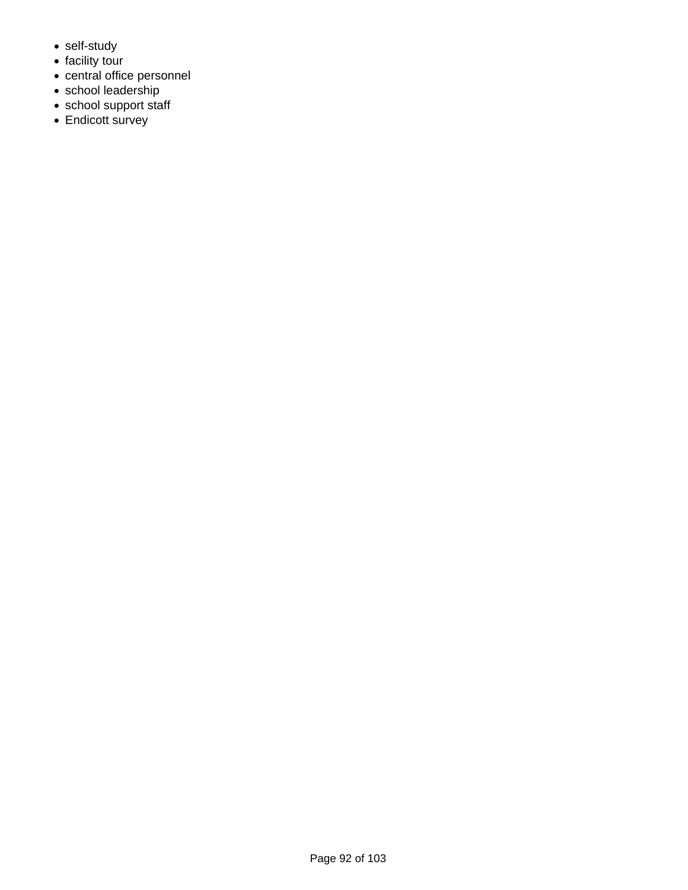- self-study
- facility tour
- central office personnel
- school leadership
- school support staff
- Endicott survey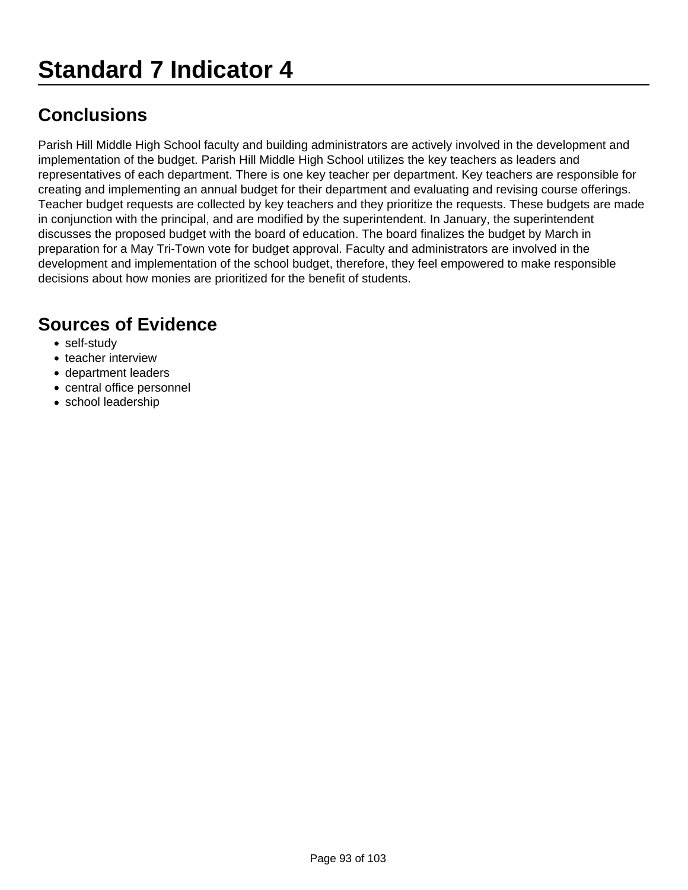Parish Hill Middle High School faculty and building administrators are actively involved in the development and implementation of the budget. Parish Hill Middle High School utilizes the key teachers as leaders and representatives of each department. There is one key teacher per department. Key teachers are responsible for creating and implementing an annual budget for their department and evaluating and revising course offerings. Teacher budget requests are collected by key teachers and they prioritize the requests. These budgets are made in conjunction with the principal, and are modified by the superintendent. In January, the superintendent discusses the proposed budget with the board of education. The board finalizes the budget by March in preparation for a May Tri-Town vote for budget approval. Faculty and administrators are involved in the development and implementation of the school budget, therefore, they feel empowered to make responsible decisions about how monies are prioritized for the benefit of students.

- self-study
- teacher interview
- department leaders
- central office personnel
- school leadership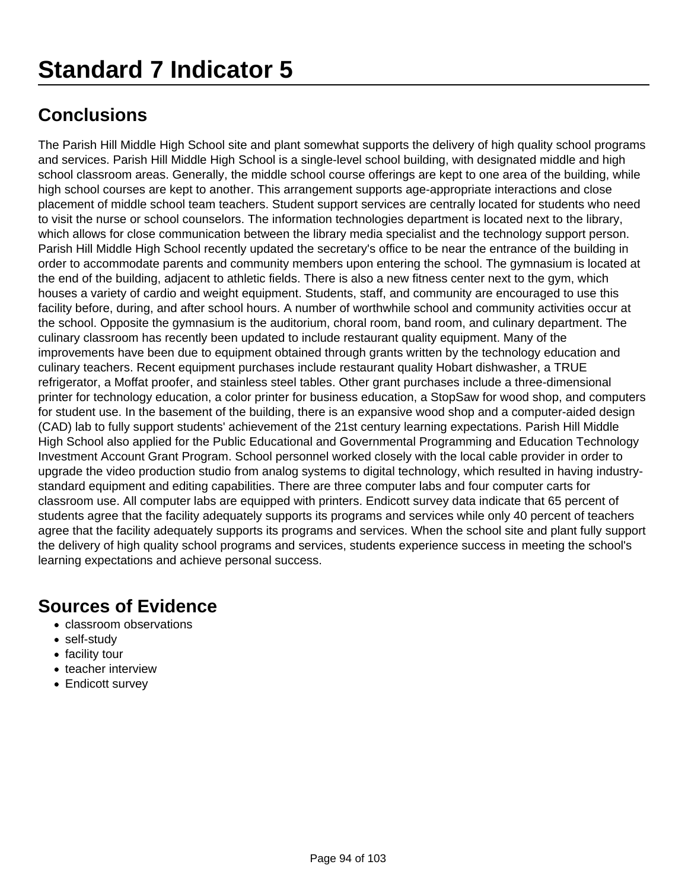The Parish Hill Middle High School site and plant somewhat supports the delivery of high quality school programs and services. Parish Hill Middle High School is a single-level school building, with designated middle and high school classroom areas. Generally, the middle school course offerings are kept to one area of the building, while high school courses are kept to another. This arrangement supports age-appropriate interactions and close placement of middle school team teachers. Student support services are centrally located for students who need to visit the nurse or school counselors. The information technologies department is located next to the library, which allows for close communication between the library media specialist and the technology support person. Parish Hill Middle High School recently updated the secretary's office to be near the entrance of the building in order to accommodate parents and community members upon entering the school. The gymnasium is located at the end of the building, adjacent to athletic fields. There is also a new fitness center next to the gym, which houses a variety of cardio and weight equipment. Students, staff, and community are encouraged to use this facility before, during, and after school hours. A number of worthwhile school and community activities occur at the school. Opposite the gymnasium is the auditorium, choral room, band room, and culinary department. The culinary classroom has recently been updated to include restaurant quality equipment. Many of the improvements have been due to equipment obtained through grants written by the technology education and culinary teachers. Recent equipment purchases include restaurant quality Hobart dishwasher, a TRUE refrigerator, a Moffat proofer, and stainless steel tables. Other grant purchases include a three-dimensional printer for technology education, a color printer for business education, a StopSaw for wood shop, and computers for student use. In the basement of the building, there is an expansive wood shop and a computer-aided design (CAD) lab to fully support students' achievement of the 21st century learning expectations. Parish Hill Middle High School also applied for the Public Educational and Governmental Programming and Education Technology Investment Account Grant Program. School personnel worked closely with the local cable provider in order to upgrade the video production studio from analog systems to digital technology, which resulted in having industrystandard equipment and editing capabilities. There are three computer labs and four computer carts for classroom use. All computer labs are equipped with printers. Endicott survey data indicate that 65 percent of students agree that the facility adequately supports its programs and services while only 40 percent of teachers agree that the facility adequately supports its programs and services. When the school site and plant fully support the delivery of high quality school programs and services, students experience success in meeting the school's learning expectations and achieve personal success.

- classroom observations
- self-study
- facility tour
- teacher interview
- Endicott survey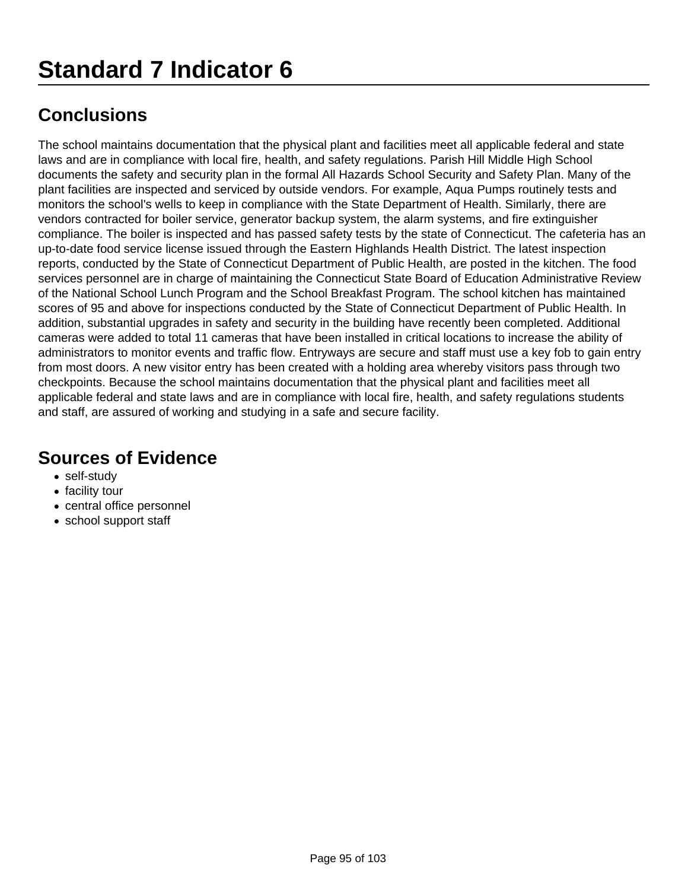The school maintains documentation that the physical plant and facilities meet all applicable federal and state laws and are in compliance with local fire, health, and safety regulations. Parish Hill Middle High School documents the safety and security plan in the formal All Hazards School Security and Safety Plan. Many of the plant facilities are inspected and serviced by outside vendors. For example, Aqua Pumps routinely tests and monitors the school's wells to keep in compliance with the State Department of Health. Similarly, there are vendors contracted for boiler service, generator backup system, the alarm systems, and fire extinguisher compliance. The boiler is inspected and has passed safety tests by the state of Connecticut. The cafeteria has an up-to-date food service license issued through the Eastern Highlands Health District. The latest inspection reports, conducted by the State of Connecticut Department of Public Health, are posted in the kitchen. The food services personnel are in charge of maintaining the Connecticut State Board of Education Administrative Review of the National School Lunch Program and the School Breakfast Program. The school kitchen has maintained scores of 95 and above for inspections conducted by the State of Connecticut Department of Public Health. In addition, substantial upgrades in safety and security in the building have recently been completed. Additional cameras were added to total 11 cameras that have been installed in critical locations to increase the ability of administrators to monitor events and traffic flow. Entryways are secure and staff must use a key fob to gain entry from most doors. A new visitor entry has been created with a holding area whereby visitors pass through two checkpoints. Because the school maintains documentation that the physical plant and facilities meet all applicable federal and state laws and are in compliance with local fire, health, and safety regulations students and staff, are assured of working and studying in a safe and secure facility.

- self-study
- facility tour
- central office personnel
- school support staff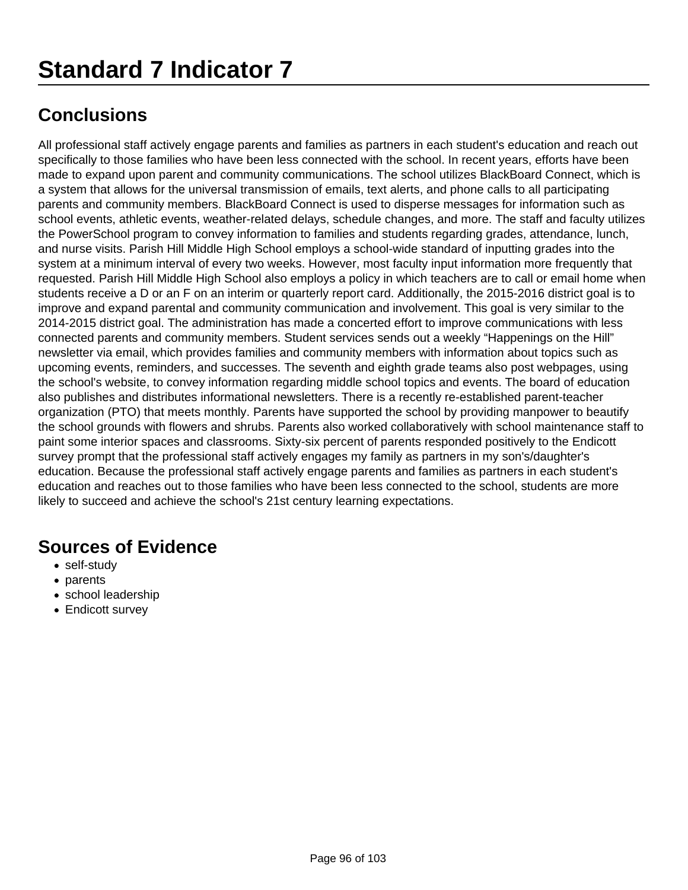## **Standard 7 Indicator 7**

## **Conclusions**

All professional staff actively engage parents and families as partners in each student's education and reach out specifically to those families who have been less connected with the school. In recent years, efforts have been made to expand upon parent and community communications. The school utilizes BlackBoard Connect, which is a system that allows for the universal transmission of emails, text alerts, and phone calls to all participating parents and community members. BlackBoard Connect is used to disperse messages for information such as school events, athletic events, weather-related delays, schedule changes, and more. The staff and faculty utilizes the PowerSchool program to convey information to families and students regarding grades, attendance, lunch, and nurse visits. Parish Hill Middle High School employs a school-wide standard of inputting grades into the system at a minimum interval of every two weeks. However, most faculty input information more frequently that requested. Parish Hill Middle High School also employs a policy in which teachers are to call or email home when students receive a D or an F on an interim or quarterly report card. Additionally, the 2015-2016 district goal is to improve and expand parental and community communication and involvement. This goal is very similar to the 2014-2015 district goal. The administration has made a concerted effort to improve communications with less connected parents and community members. Student services sends out a weekly "Happenings on the Hill" newsletter via email, which provides families and community members with information about topics such as upcoming events, reminders, and successes. The seventh and eighth grade teams also post webpages, using the school's website, to convey information regarding middle school topics and events. The board of education also publishes and distributes informational newsletters. There is a recently re-established parent-teacher organization (PTO) that meets monthly. Parents have supported the school by providing manpower to beautify the school grounds with flowers and shrubs. Parents also worked collaboratively with school maintenance staff to paint some interior spaces and classrooms. Sixty-six percent of parents responded positively to the Endicott survey prompt that the professional staff actively engages my family as partners in my son's/daughter's education. Because the professional staff actively engage parents and families as partners in each student's education and reaches out to those families who have been less connected to the school, students are more likely to succeed and achieve the school's 21st century learning expectations.

- self-study
- parents
- school leadership
- Endicott survey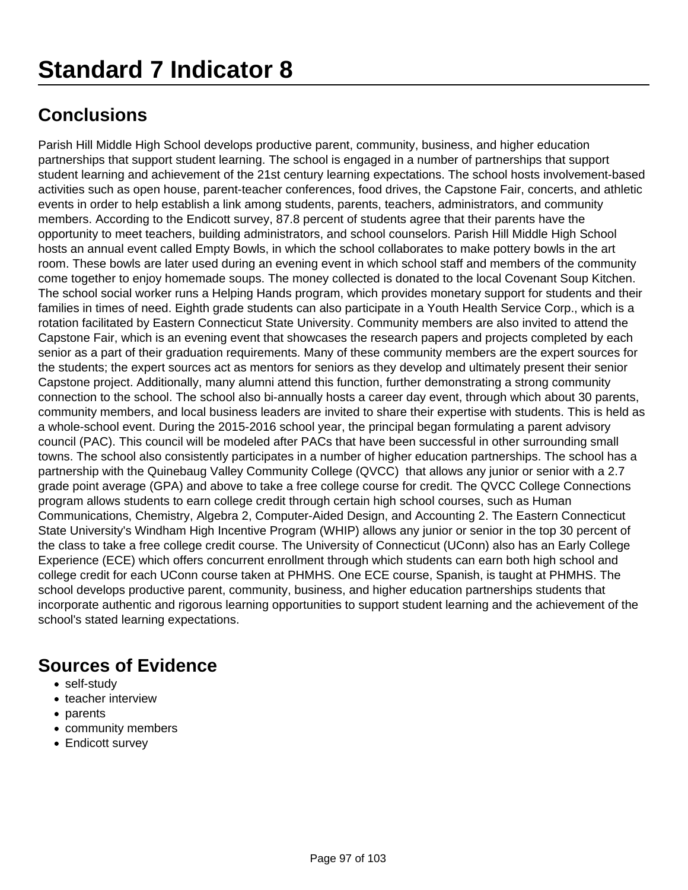Parish Hill Middle High School develops productive parent, community, business, and higher education partnerships that support student learning. The school is engaged in a number of partnerships that support student learning and achievement of the 21st century learning expectations. The school hosts involvement-based activities such as open house, parent-teacher conferences, food drives, the Capstone Fair, concerts, and athletic events in order to help establish a link among students, parents, teachers, administrators, and community members. According to the Endicott survey, 87.8 percent of students agree that their parents have the opportunity to meet teachers, building administrators, and school counselors. Parish Hill Middle High School hosts an annual event called Empty Bowls, in which the school collaborates to make pottery bowls in the art room. These bowls are later used during an evening event in which school staff and members of the community come together to enjoy homemade soups. The money collected is donated to the local Covenant Soup Kitchen. The school social worker runs a Helping Hands program, which provides monetary support for students and their families in times of need. Eighth grade students can also participate in a Youth Health Service Corp., which is a rotation facilitated by Eastern Connecticut State University. Community members are also invited to attend the Capstone Fair, which is an evening event that showcases the research papers and projects completed by each senior as a part of their graduation requirements. Many of these community members are the expert sources for the students; the expert sources act as mentors for seniors as they develop and ultimately present their senior Capstone project. Additionally, many alumni attend this function, further demonstrating a strong community connection to the school. The school also bi-annually hosts a career day event, through which about 30 parents, community members, and local business leaders are invited to share their expertise with students. This is held as a whole-school event. During the 2015-2016 school year, the principal began formulating a parent advisory council (PAC). This council will be modeled after PACs that have been successful in other surrounding small towns. The school also consistently participates in a number of higher education partnerships. The school has a partnership with the Quinebaug Valley Community College (QVCC) that allows any junior or senior with a 2.7 grade point average (GPA) and above to take a free college course for credit. The QVCC College Connections program allows students to earn college credit through certain high school courses, such as Human Communications, Chemistry, Algebra 2, Computer-Aided Design, and Accounting 2. The Eastern Connecticut State University's Windham High Incentive Program (WHIP) allows any junior or senior in the top 30 percent of the class to take a free college credit course. The University of Connecticut (UConn) also has an Early College Experience (ECE) which offers concurrent enrollment through which students can earn both high school and college credit for each UConn course taken at PHMHS. One ECE course, Spanish, is taught at PHMHS. The school develops productive parent, community, business, and higher education partnerships students that incorporate authentic and rigorous learning opportunities to support student learning and the achievement of the school's stated learning expectations.

- self-study
- teacher interview
- parents
- community members
- Endicott survey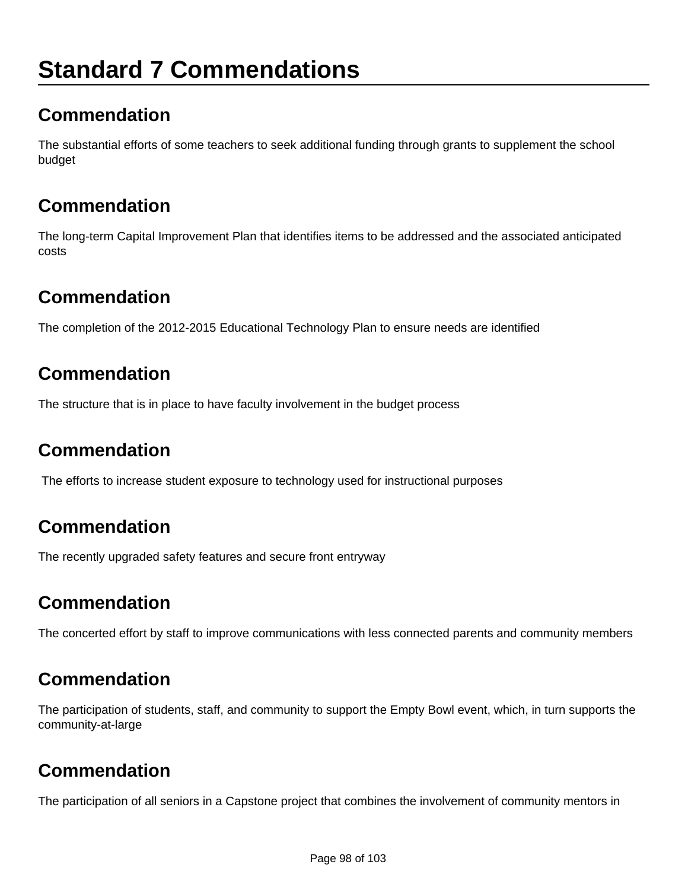## **Standard 7 Commendations**

## **Commendation**

The substantial efforts of some teachers to seek additional funding through grants to supplement the school budget

## **Commendation**

The long-term Capital Improvement Plan that identifies items to be addressed and the associated anticipated costs

### **Commendation**

The completion of the 2012-2015 Educational Technology Plan to ensure needs are identified

## **Commendation**

The structure that is in place to have faculty involvement in the budget process

## **Commendation**

The efforts to increase student exposure to technology used for instructional purposes

## **Commendation**

The recently upgraded safety features and secure front entryway

## **Commendation**

The concerted effort by staff to improve communications with less connected parents and community members

## **Commendation**

The participation of students, staff, and community to support the Empty Bowl event, which, in turn supports the community-at-large

## **Commendation**

The participation of all seniors in a Capstone project that combines the involvement of community mentors in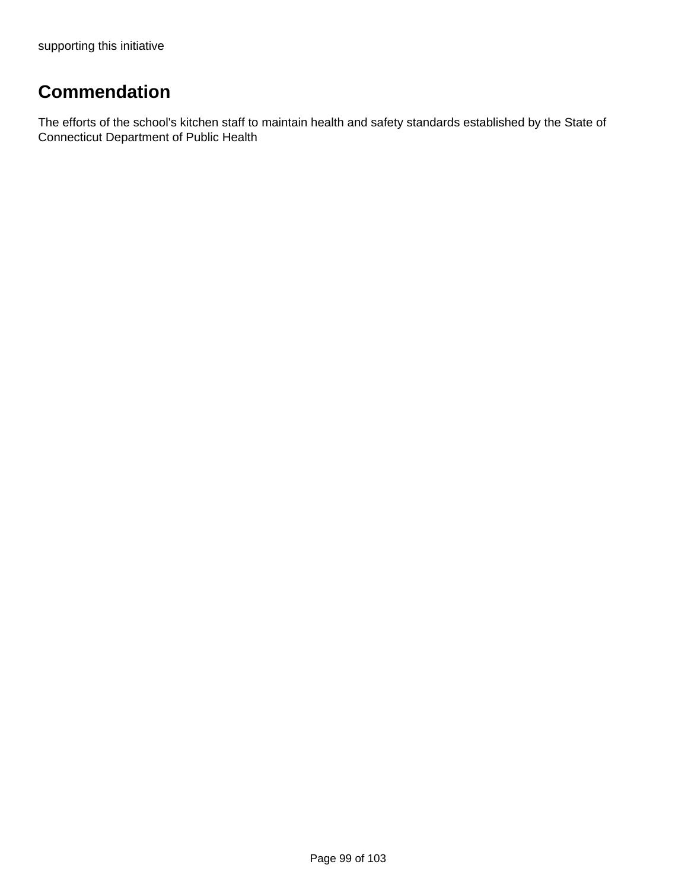## **Commendation**

The efforts of the school's kitchen staff to maintain health and safety standards established by the State of Connecticut Department of Public Health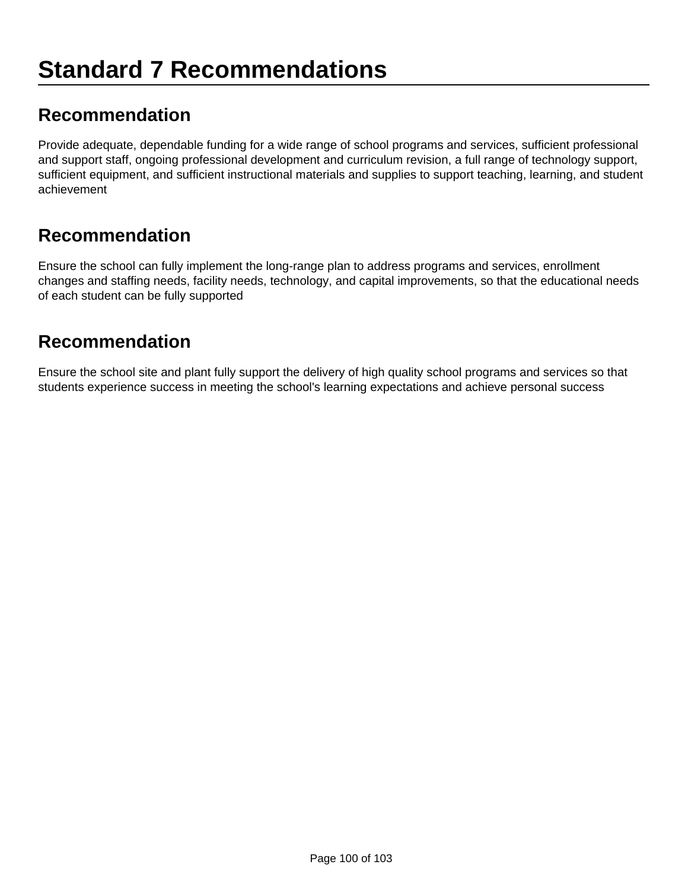### **Recommendation**

Provide adequate, dependable funding for a wide range of school programs and services, sufficient professional and support staff, ongoing professional development and curriculum revision, a full range of technology support, sufficient equipment, and sufficient instructional materials and supplies to support teaching, learning, and student achievement

#### **Recommendation**

Ensure the school can fully implement the long-range plan to address programs and services, enrollment changes and staffing needs, facility needs, technology, and capital improvements, so that the educational needs of each student can be fully supported

#### **Recommendation**

Ensure the school site and plant fully support the delivery of high quality school programs and services so that students experience success in meeting the school's learning expectations and achieve personal success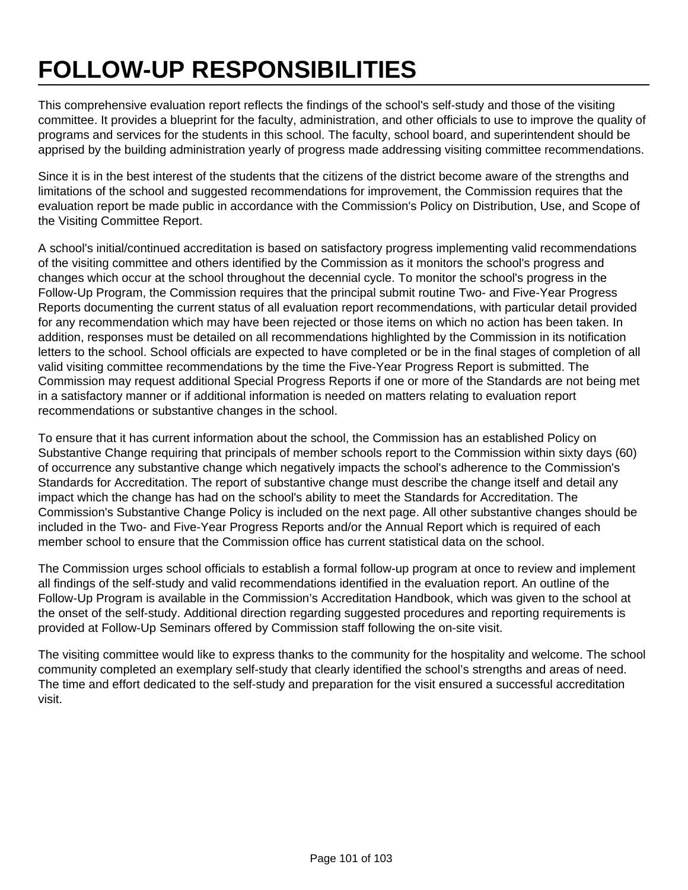# **FOLLOW-UP RESPONSIBILITIES**

This comprehensive evaluation report reflects the findings of the school's self-study and those of the visiting committee. It provides a blueprint for the faculty, administration, and other officials to use to improve the quality of programs and services for the students in this school. The faculty, school board, and superintendent should be apprised by the building administration yearly of progress made addressing visiting committee recommendations.

Since it is in the best interest of the students that the citizens of the district become aware of the strengths and limitations of the school and suggested recommendations for improvement, the Commission requires that the evaluation report be made public in accordance with the Commission's Policy on Distribution, Use, and Scope of the Visiting Committee Report.

A school's initial/continued accreditation is based on satisfactory progress implementing valid recommendations of the visiting committee and others identified by the Commission as it monitors the school's progress and changes which occur at the school throughout the decennial cycle. To monitor the school's progress in the Follow-Up Program, the Commission requires that the principal submit routine Two- and Five-Year Progress Reports documenting the current status of all evaluation report recommendations, with particular detail provided for any recommendation which may have been rejected or those items on which no action has been taken. In addition, responses must be detailed on all recommendations highlighted by the Commission in its notification letters to the school. School officials are expected to have completed or be in the final stages of completion of all valid visiting committee recommendations by the time the Five-Year Progress Report is submitted. The Commission may request additional Special Progress Reports if one or more of the Standards are not being met in a satisfactory manner or if additional information is needed on matters relating to evaluation report recommendations or substantive changes in the school.

To ensure that it has current information about the school, the Commission has an established Policy on Substantive Change requiring that principals of member schools report to the Commission within sixty days (60) of occurrence any substantive change which negatively impacts the school's adherence to the Commission's Standards for Accreditation. The report of substantive change must describe the change itself and detail any impact which the change has had on the school's ability to meet the Standards for Accreditation. The Commission's Substantive Change Policy is included on the next page. All other substantive changes should be included in the Two- and Five-Year Progress Reports and/or the Annual Report which is required of each member school to ensure that the Commission office has current statistical data on the school.

The Commission urges school officials to establish a formal follow-up program at once to review and implement all findings of the self-study and valid recommendations identified in the evaluation report. An outline of the Follow-Up Program is available in the Commission's Accreditation Handbook, which was given to the school at the onset of the self-study. Additional direction regarding suggested procedures and reporting requirements is provided at Follow-Up Seminars offered by Commission staff following the on-site visit.

The visiting committee would like to express thanks to the community for the hospitality and welcome. The school community completed an exemplary self-study that clearly identified the school's strengths and areas of need. The time and effort dedicated to the self-study and preparation for the visit ensured a successful accreditation visit.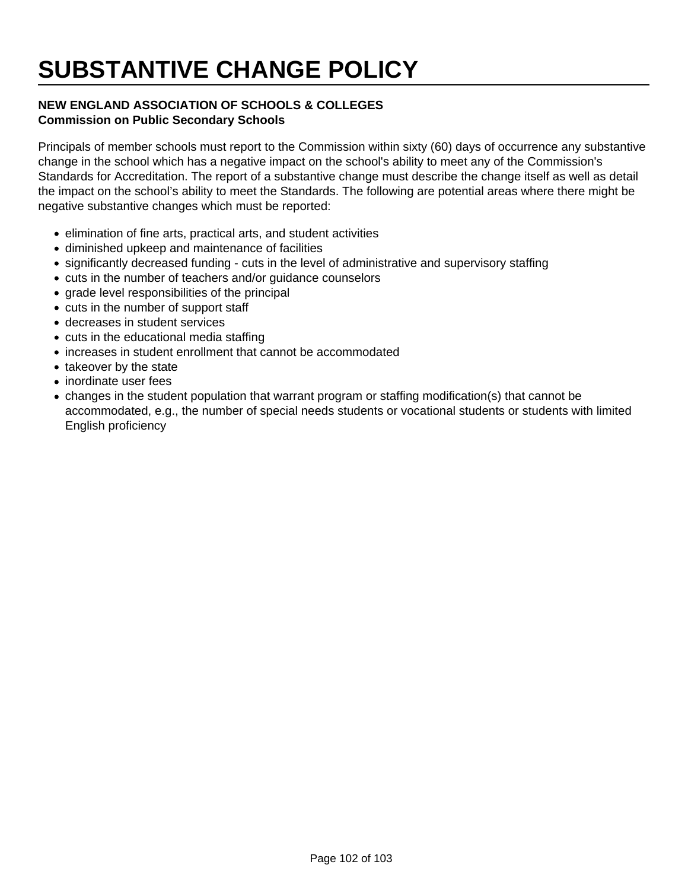## **SUBSTANTIVE CHANGE POLICY**

#### **NEW ENGLAND ASSOCIATION OF SCHOOLS & COLLEGES Commission on Public Secondary Schools**

Principals of member schools must report to the Commission within sixty (60) days of occurrence any substantive change in the school which has a negative impact on the school's ability to meet any of the Commission's Standards for Accreditation. The report of a substantive change must describe the change itself as well as detail the impact on the school's ability to meet the Standards. The following are potential areas where there might be negative substantive changes which must be reported:

- elimination of fine arts, practical arts, and student activities
- diminished upkeep and maintenance of facilities
- significantly decreased funding cuts in the level of administrative and supervisory staffing
- cuts in the number of teachers and/or guidance counselors
- grade level responsibilities of the principal
- cuts in the number of support staff
- decreases in student services
- cuts in the educational media staffing
- increases in student enrollment that cannot be accommodated
- takeover by the state
- inordinate user fees
- changes in the student population that warrant program or staffing modification(s) that cannot be accommodated, e.g., the number of special needs students or vocational students or students with limited English proficiency